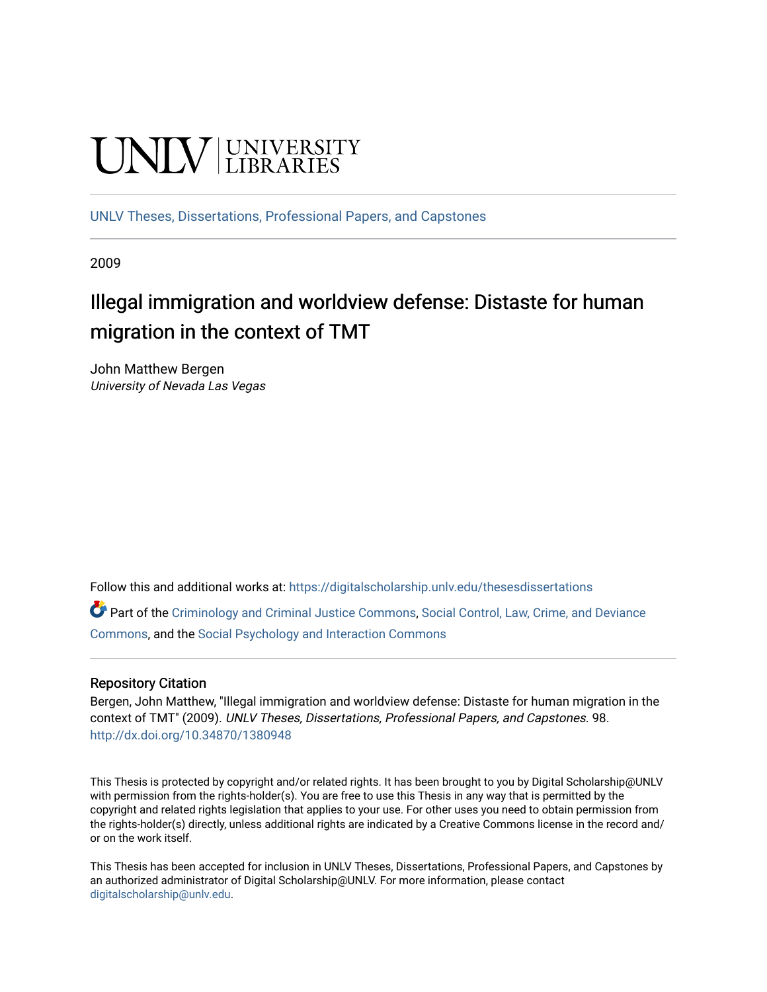# **UNIVERSITY**

[UNLV Theses, Dissertations, Professional Papers, and Capstones](https://digitalscholarship.unlv.edu/thesesdissertations)

2009

# Illegal immigration and worldview defense: Distaste for human migration in the context of TMT

John Matthew Bergen University of Nevada Las Vegas

Follow this and additional works at: [https://digitalscholarship.unlv.edu/thesesdissertations](https://digitalscholarship.unlv.edu/thesesdissertations?utm_source=digitalscholarship.unlv.edu%2Fthesesdissertations%2F98&utm_medium=PDF&utm_campaign=PDFCoverPages)

Part of the [Criminology and Criminal Justice Commons](http://network.bepress.com/hgg/discipline/367?utm_source=digitalscholarship.unlv.edu%2Fthesesdissertations%2F98&utm_medium=PDF&utm_campaign=PDFCoverPages), [Social Control, Law, Crime, and Deviance](http://network.bepress.com/hgg/discipline/429?utm_source=digitalscholarship.unlv.edu%2Fthesesdissertations%2F98&utm_medium=PDF&utm_campaign=PDFCoverPages)  [Commons](http://network.bepress.com/hgg/discipline/429?utm_source=digitalscholarship.unlv.edu%2Fthesesdissertations%2F98&utm_medium=PDF&utm_campaign=PDFCoverPages), and the [Social Psychology and Interaction Commons](http://network.bepress.com/hgg/discipline/430?utm_source=digitalscholarship.unlv.edu%2Fthesesdissertations%2F98&utm_medium=PDF&utm_campaign=PDFCoverPages) 

# Repository Citation

Bergen, John Matthew, "Illegal immigration and worldview defense: Distaste for human migration in the context of TMT" (2009). UNLV Theses, Dissertations, Professional Papers, and Capstones. 98. <http://dx.doi.org/10.34870/1380948>

This Thesis is protected by copyright and/or related rights. It has been brought to you by Digital Scholarship@UNLV with permission from the rights-holder(s). You are free to use this Thesis in any way that is permitted by the copyright and related rights legislation that applies to your use. For other uses you need to obtain permission from the rights-holder(s) directly, unless additional rights are indicated by a Creative Commons license in the record and/ or on the work itself.

This Thesis has been accepted for inclusion in UNLV Theses, Dissertations, Professional Papers, and Capstones by an authorized administrator of Digital Scholarship@UNLV. For more information, please contact [digitalscholarship@unlv.edu](mailto:digitalscholarship@unlv.edu).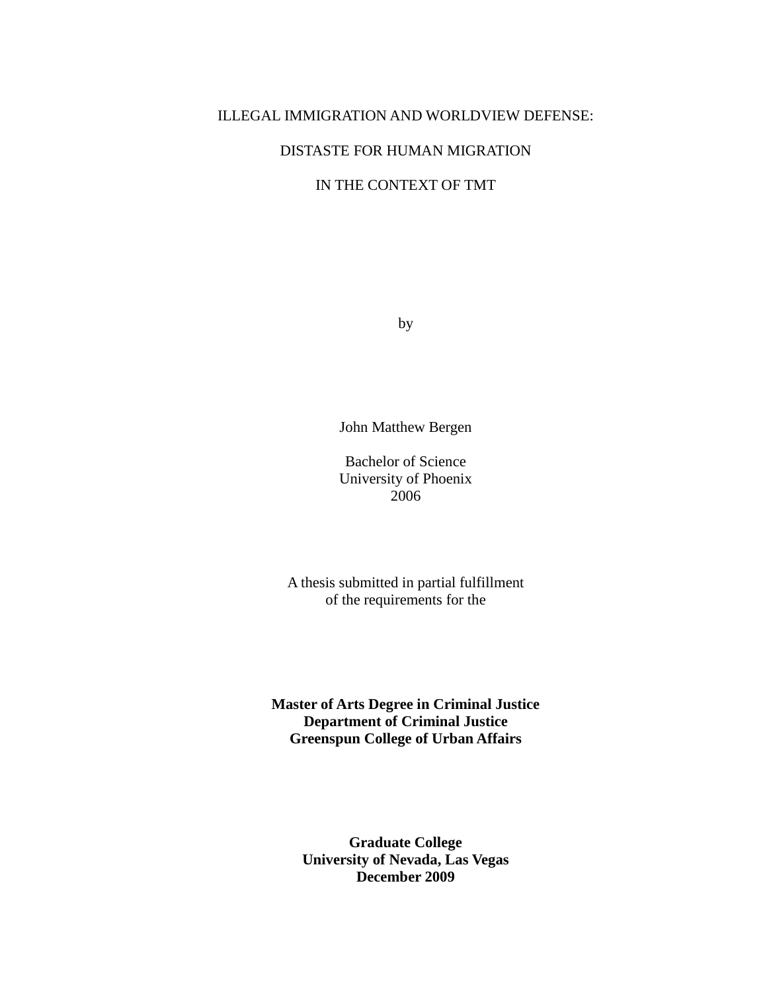#### ILLEGAL IMMIGRATION AND WORLDVIEW DEFENSE:

# DISTASTE FOR HUMAN MIGRATION

# IN THE CONTEXT OF TMT

by

John Matthew Bergen

Bachelor of Science University of Phoenix 2006

A thesis submitted in partial fulfillment of the requirements for the

**Master of Arts Degree in Criminal Justice Department of Criminal Justice Greenspun College of Urban Affairs** 

> **Graduate College University of Nevada, Las Vegas December 2009**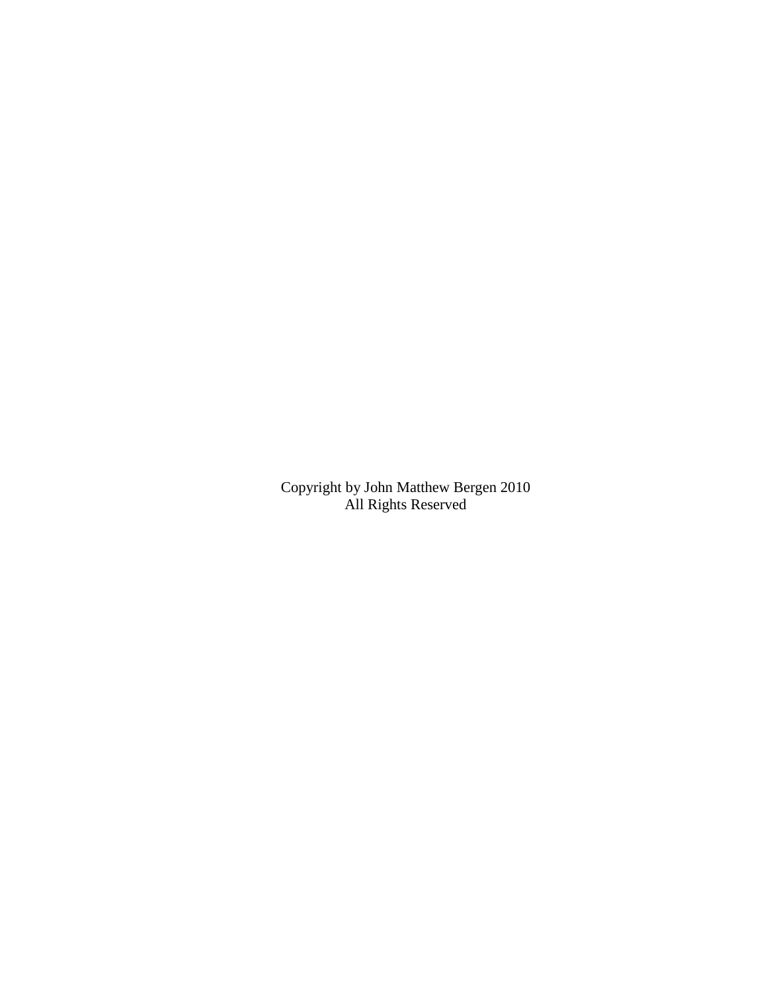Copyright by John Matthew Bergen 2010 All Rights Reserved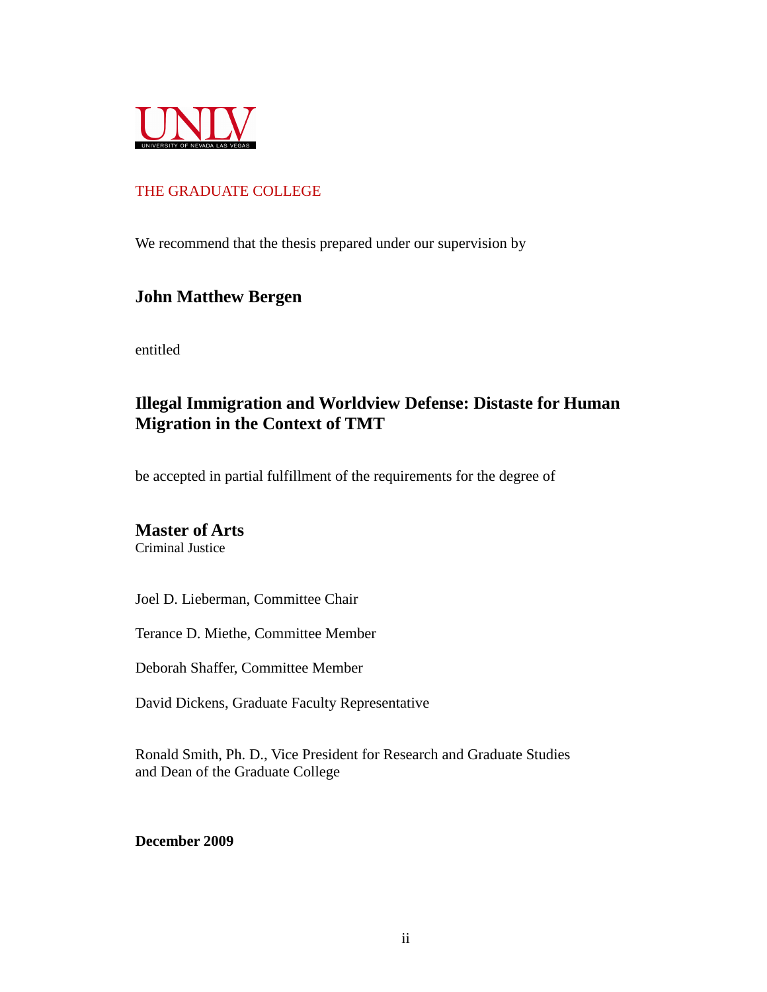

# THE GRADUATE COLLEGE

We recommend that the thesis prepared under our supervision by

# **John Matthew Bergen**

entitled

# **Illegal Immigration and Worldview Defense: Distaste for Human Migration in the Context of TMT**

be accepted in partial fulfillment of the requirements for the degree of

# **Master of Arts**

Criminal Justice

Joel D. Lieberman, Committee Chair

Terance D. Miethe, Committee Member

Deborah Shaffer, Committee Member

David Dickens, Graduate Faculty Representative

Ronald Smith, Ph. D., Vice President for Research and Graduate Studies and Dean of the Graduate College

**December 2009**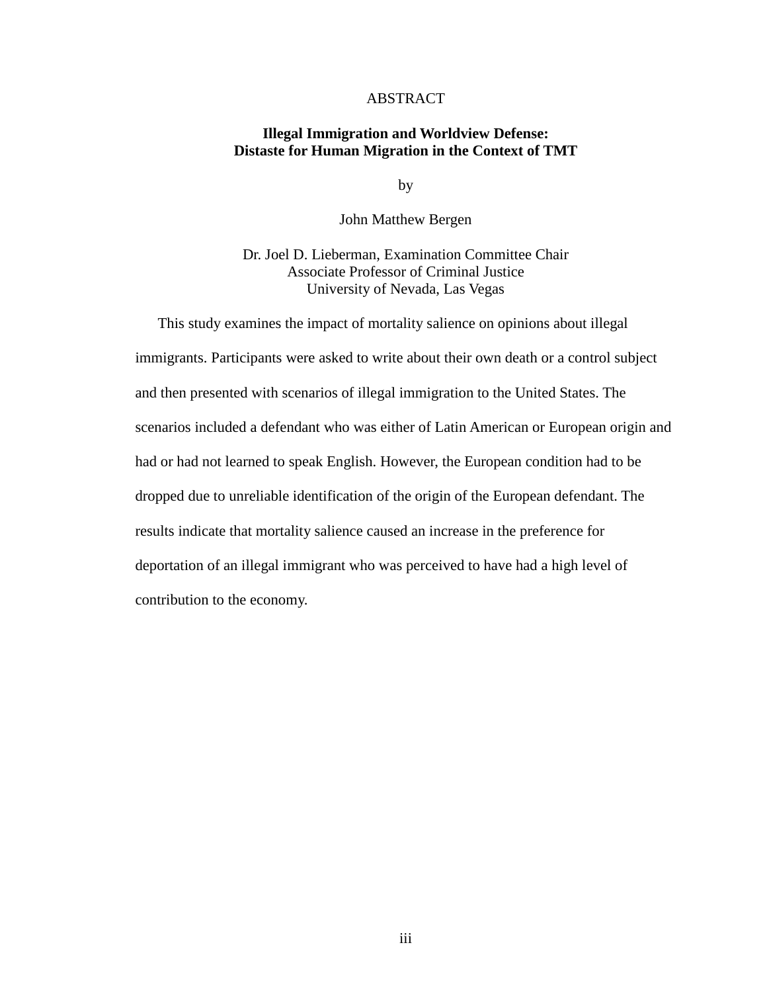# ABSTRACT

### **Illegal Immigration and Worldview Defense: Distaste for Human Migration in the Context of TMT**

by

John Matthew Bergen

Dr. Joel D. Lieberman, Examination Committee Chair Associate Professor of Criminal Justice University of Nevada, Las Vegas

This study examines the impact of mortality salience on opinions about illegal immigrants. Participants were asked to write about their own death or a control subject and then presented with scenarios of illegal immigration to the United States. The scenarios included a defendant who was either of Latin American or European origin and had or had not learned to speak English. However, the European condition had to be dropped due to unreliable identification of the origin of the European defendant. The results indicate that mortality salience caused an increase in the preference for deportation of an illegal immigrant who was perceived to have had a high level of contribution to the economy.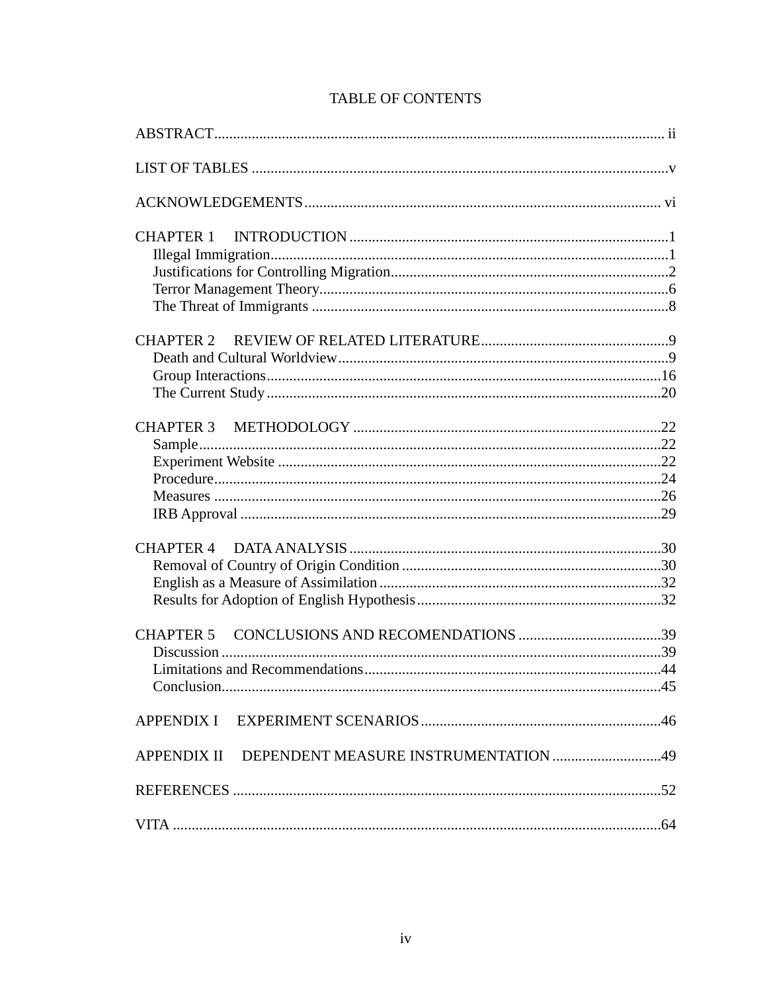| APPENDIX II DEPENDENT MEASURE INSTRUMENTATION 49 |  |
|--------------------------------------------------|--|
|                                                  |  |
|                                                  |  |

# **TABLE OF CONTENTS**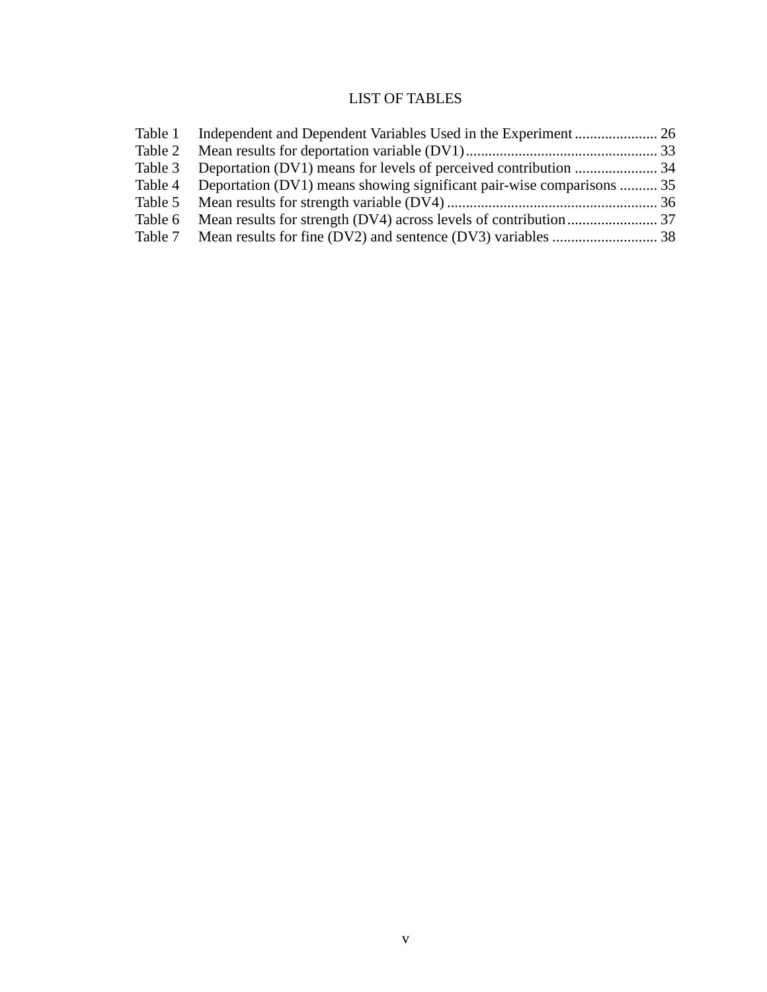# LIST OF TABLES

| Table 4 Deportation (DV1) means showing significant pair-wise comparisons  35 |  |
|-------------------------------------------------------------------------------|--|
|                                                                               |  |
|                                                                               |  |
|                                                                               |  |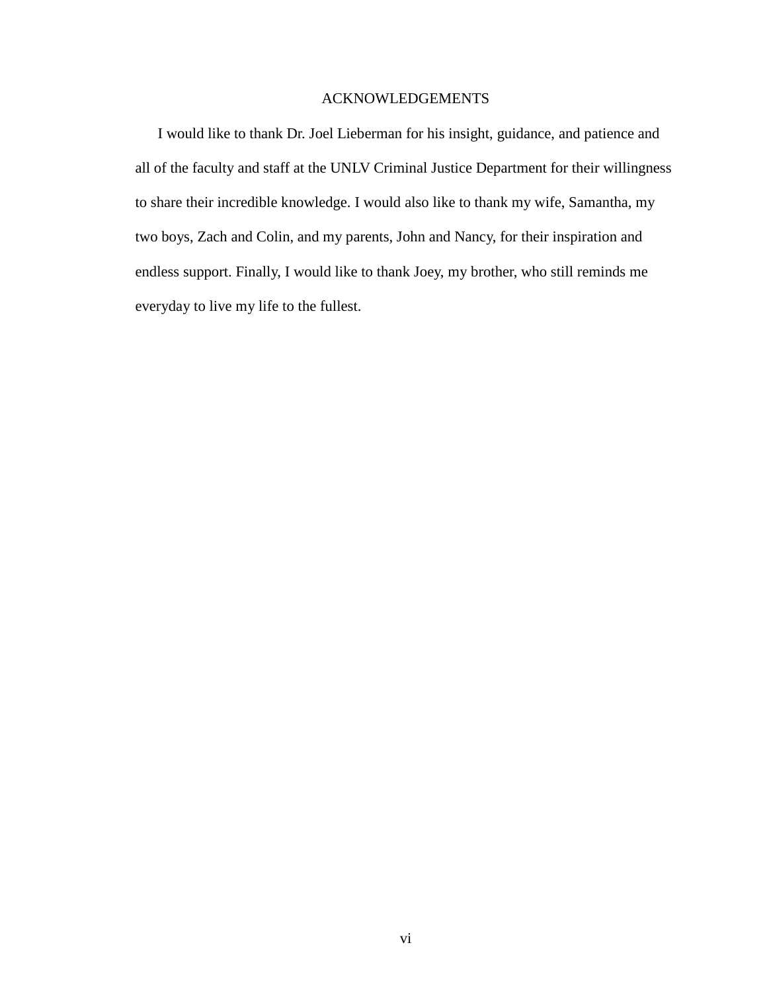# ACKNOWLEDGEMENTS

I would like to thank Dr. Joel Lieberman for his insight, guidance, and patience and all of the faculty and staff at the UNLV Criminal Justice Department for their willingness to share their incredible knowledge. I would also like to thank my wife, Samantha, my two boys, Zach and Colin, and my parents, John and Nancy, for their inspiration and endless support. Finally, I would like to thank Joey, my brother, who still reminds me everyday to live my life to the fullest.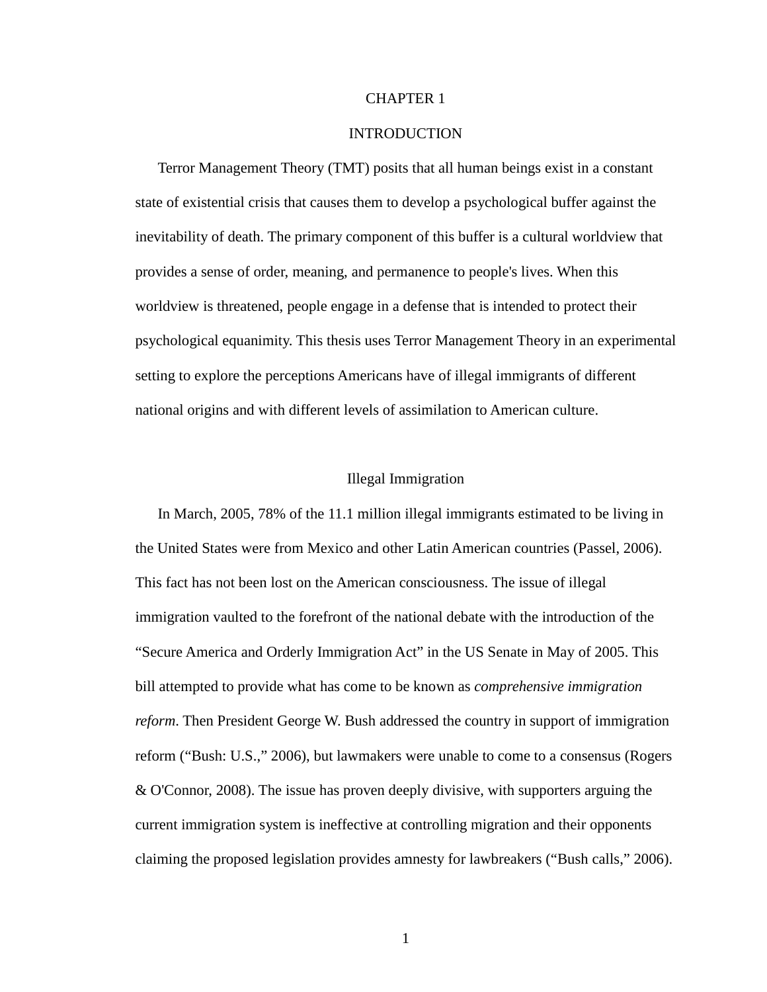#### CHAPTER 1

#### INTRODUCTION

Terror Management Theory (TMT) posits that all human beings exist in a constant state of existential crisis that causes them to develop a psychological buffer against the inevitability of death. The primary component of this buffer is a cultural worldview that provides a sense of order, meaning, and permanence to people's lives. When this worldview is threatened, people engage in a defense that is intended to protect their psychological equanimity. This thesis uses Terror Management Theory in an experimental setting to explore the perceptions Americans have of illegal immigrants of different national origins and with different levels of assimilation to American culture.

#### Illegal Immigration

In March, 2005, 78% of the 11.1 million illegal immigrants estimated to be living in the United States were from Mexico and other Latin American countries (Passel, 2006). This fact has not been lost on the American consciousness. The issue of illegal immigration vaulted to the forefront of the national debate with the introduction of the "Secure America and Orderly Immigration Act" in the US Senate in May of 2005. This bill attempted to provide what has come to be known as *comprehensive immigration reform*. Then President George W. Bush addressed the country in support of immigration reform ("Bush: U.S.," 2006), but lawmakers were unable to come to a consensus (Rogers & O'Connor, 2008). The issue has proven deeply divisive, with supporters arguing the current immigration system is ineffective at controlling migration and their opponents claiming the proposed legislation provides amnesty for lawbreakers ("Bush calls," 2006).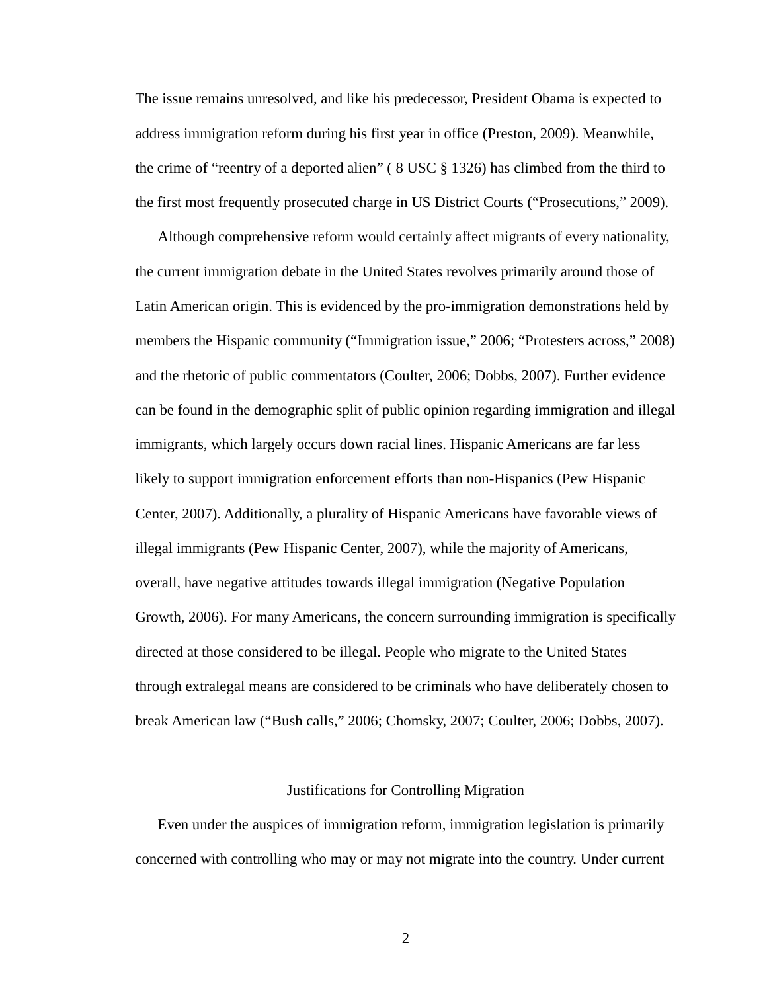The issue remains unresolved, and like his predecessor, President Obama is expected to address immigration reform during his first year in office (Preston, 2009). Meanwhile, the crime of "reentry of a deported alien" ( 8 USC § 1326) has climbed from the third to the first most frequently prosecuted charge in US District Courts ("Prosecutions," 2009).

Although comprehensive reform would certainly affect migrants of every nationality, the current immigration debate in the United States revolves primarily around those of Latin American origin. This is evidenced by the pro-immigration demonstrations held by members the Hispanic community ("Immigration issue," 2006; "Protesters across," 2008) and the rhetoric of public commentators (Coulter, 2006; Dobbs, 2007). Further evidence can be found in the demographic split of public opinion regarding immigration and illegal immigrants, which largely occurs down racial lines. Hispanic Americans are far less likely to support immigration enforcement efforts than non-Hispanics (Pew Hispanic Center, 2007). Additionally, a plurality of Hispanic Americans have favorable views of illegal immigrants (Pew Hispanic Center, 2007), while the majority of Americans, overall, have negative attitudes towards illegal immigration (Negative Population Growth, 2006). For many Americans, the concern surrounding immigration is specifically directed at those considered to be illegal. People who migrate to the United States through extralegal means are considered to be criminals who have deliberately chosen to break American law ("Bush calls," 2006; Chomsky, 2007; Coulter, 2006; Dobbs, 2007).

#### Justifications for Controlling Migration

Even under the auspices of immigration reform, immigration legislation is primarily concerned with controlling who may or may not migrate into the country. Under current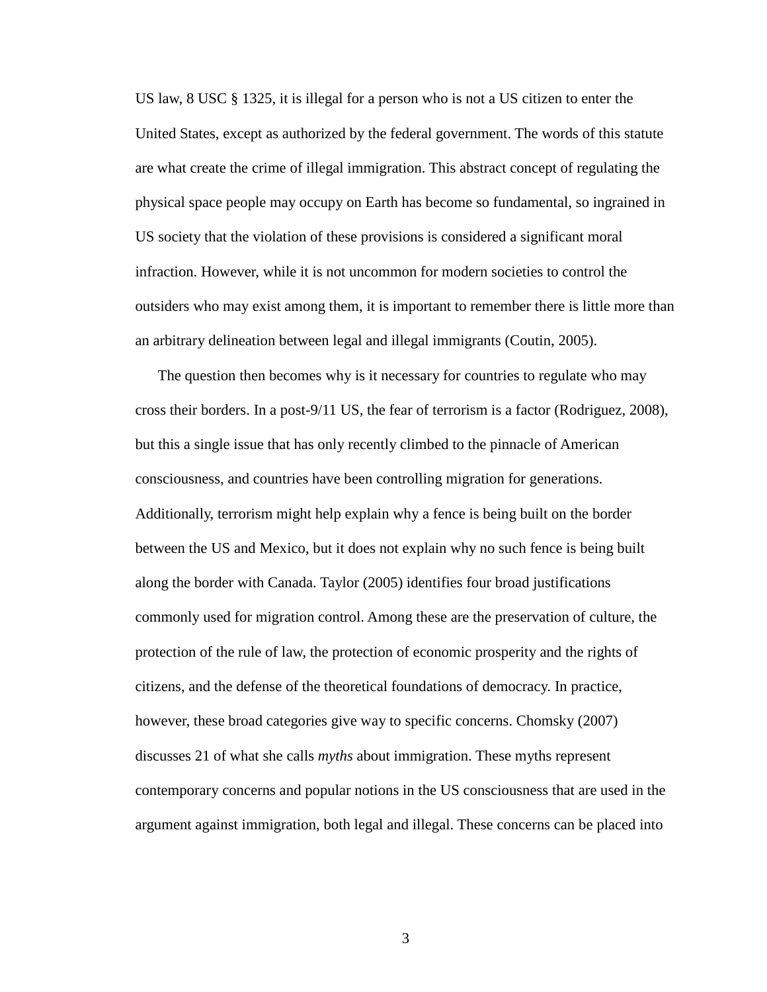US law, 8 USC § 1325, it is illegal for a person who is not a US citizen to enter the United States, except as authorized by the federal government. The words of this statute are what create the crime of illegal immigration. This abstract concept of regulating the physical space people may occupy on Earth has become so fundamental, so ingrained in US society that the violation of these provisions is considered a significant moral infraction. However, while it is not uncommon for modern societies to control the outsiders who may exist among them, it is important to remember there is little more than an arbitrary delineation between legal and illegal immigrants (Coutin, 2005).

The question then becomes why is it necessary for countries to regulate who may cross their borders. In a post-9/11 US, the fear of terrorism is a factor (Rodriguez, 2008), but this a single issue that has only recently climbed to the pinnacle of American consciousness, and countries have been controlling migration for generations. Additionally, terrorism might help explain why a fence is being built on the border between the US and Mexico, but it does not explain why no such fence is being built along the border with Canada. Taylor (2005) identifies four broad justifications commonly used for migration control. Among these are the preservation of culture, the protection of the rule of law, the protection of economic prosperity and the rights of citizens, and the defense of the theoretical foundations of democracy. In practice, however, these broad categories give way to specific concerns. Chomsky (2007) discusses 21 of what she calls *myths* about immigration. These myths represent contemporary concerns and popular notions in the US consciousness that are used in the argument against immigration, both legal and illegal. These concerns can be placed into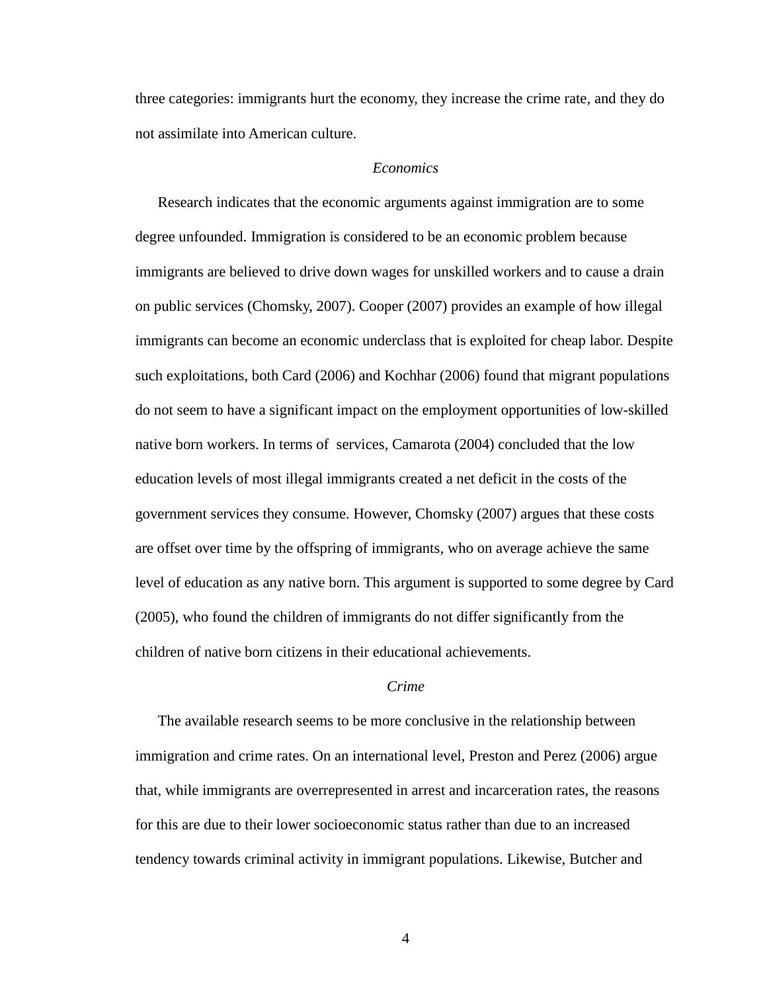three categories: immigrants hurt the economy, they increase the crime rate, and they do not assimilate into American culture.

#### *Economics*

Research indicates that the economic arguments against immigration are to some degree unfounded. Immigration is considered to be an economic problem because immigrants are believed to drive down wages for unskilled workers and to cause a drain on public services (Chomsky, 2007). Cooper (2007) provides an example of how illegal immigrants can become an economic underclass that is exploited for cheap labor. Despite such exploitations, both Card (2006) and Kochhar (2006) found that migrant populations do not seem to have a significant impact on the employment opportunities of low-skilled native born workers. In terms of services, Camarota (2004) concluded that the low education levels of most illegal immigrants created a net deficit in the costs of the government services they consume. However, Chomsky (2007) argues that these costs are offset over time by the offspring of immigrants, who on average achieve the same level of education as any native born. This argument is supported to some degree by Card (2005), who found the children of immigrants do not differ significantly from the children of native born citizens in their educational achievements.

#### *Crime*

The available research seems to be more conclusive in the relationship between immigration and crime rates. On an international level, Preston and Perez (2006) argue that, while immigrants are overrepresented in arrest and incarceration rates, the reasons for this are due to their lower socioeconomic status rather than due to an increased tendency towards criminal activity in immigrant populations. Likewise, Butcher and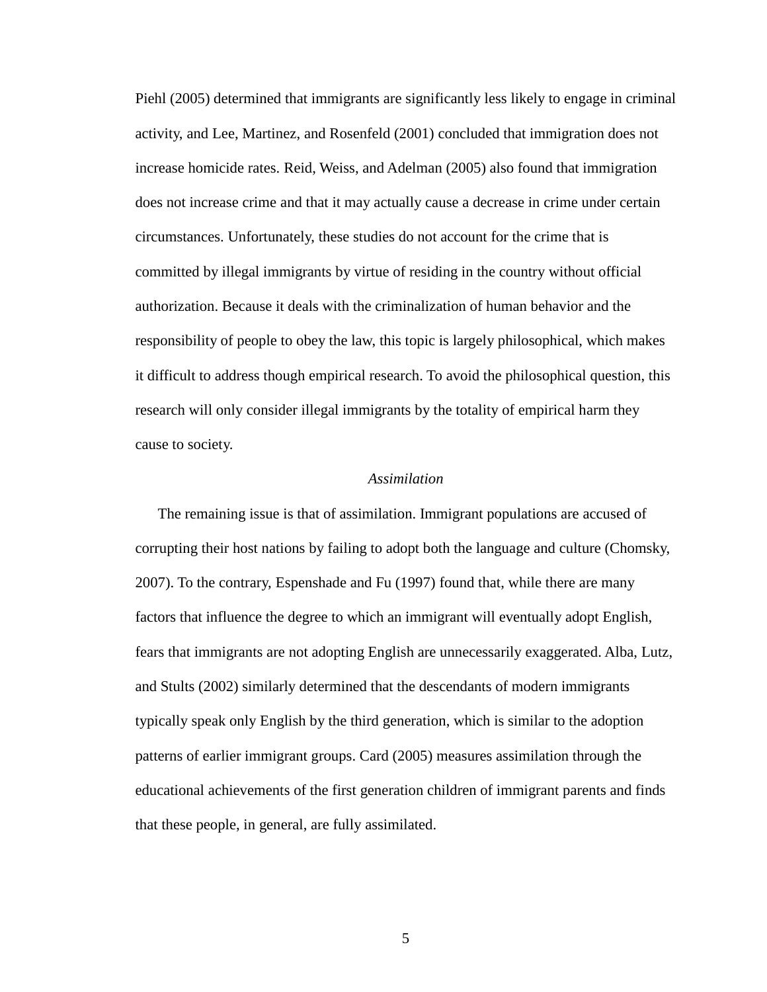Piehl (2005) determined that immigrants are significantly less likely to engage in criminal activity, and Lee, Martinez, and Rosenfeld (2001) concluded that immigration does not increase homicide rates. Reid, Weiss, and Adelman (2005) also found that immigration does not increase crime and that it may actually cause a decrease in crime under certain circumstances. Unfortunately, these studies do not account for the crime that is committed by illegal immigrants by virtue of residing in the country without official authorization. Because it deals with the criminalization of human behavior and the responsibility of people to obey the law, this topic is largely philosophical, which makes it difficult to address though empirical research. To avoid the philosophical question, this research will only consider illegal immigrants by the totality of empirical harm they cause to society.

#### *Assimilation*

The remaining issue is that of assimilation. Immigrant populations are accused of corrupting their host nations by failing to adopt both the language and culture (Chomsky, 2007). To the contrary, Espenshade and Fu (1997) found that, while there are many factors that influence the degree to which an immigrant will eventually adopt English, fears that immigrants are not adopting English are unnecessarily exaggerated. Alba, Lutz, and Stults (2002) similarly determined that the descendants of modern immigrants typically speak only English by the third generation, which is similar to the adoption patterns of earlier immigrant groups. Card (2005) measures assimilation through the educational achievements of the first generation children of immigrant parents and finds that these people, in general, are fully assimilated.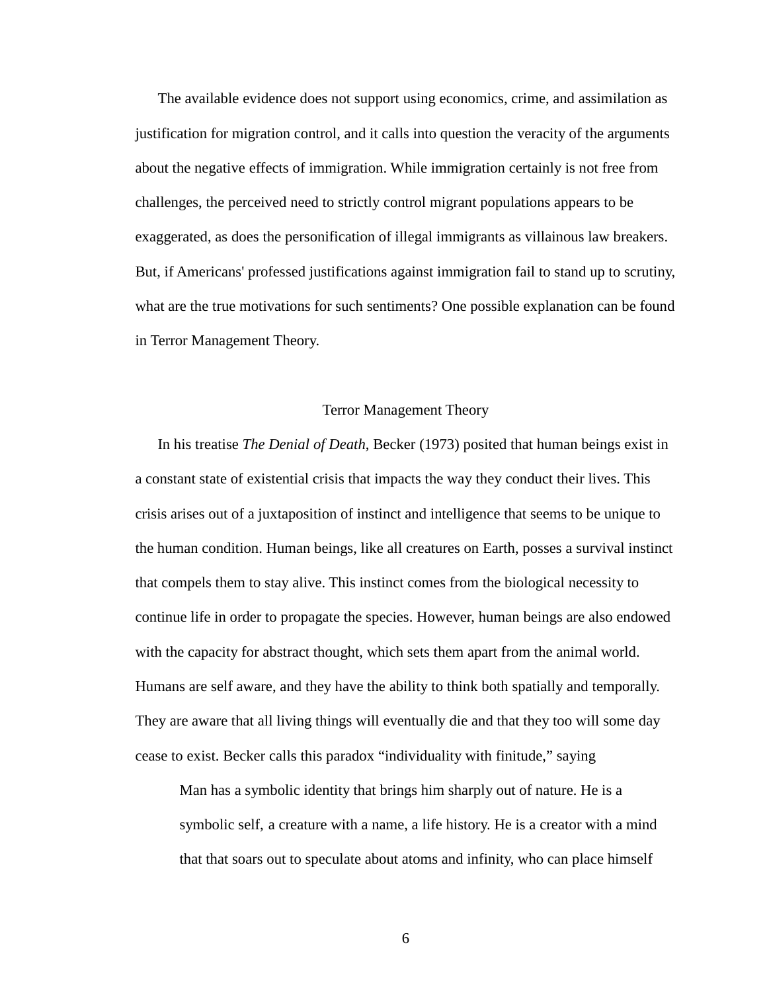The available evidence does not support using economics, crime, and assimilation as justification for migration control, and it calls into question the veracity of the arguments about the negative effects of immigration. While immigration certainly is not free from challenges, the perceived need to strictly control migrant populations appears to be exaggerated, as does the personification of illegal immigrants as villainous law breakers. But, if Americans' professed justifications against immigration fail to stand up to scrutiny, what are the true motivations for such sentiments? One possible explanation can be found in Terror Management Theory.

#### Terror Management Theory

In his treatise *The Denial of Death*, Becker (1973) posited that human beings exist in a constant state of existential crisis that impacts the way they conduct their lives. This crisis arises out of a juxtaposition of instinct and intelligence that seems to be unique to the human condition. Human beings, like all creatures on Earth, posses a survival instinct that compels them to stay alive. This instinct comes from the biological necessity to continue life in order to propagate the species. However, human beings are also endowed with the capacity for abstract thought, which sets them apart from the animal world. Humans are self aware, and they have the ability to think both spatially and temporally. They are aware that all living things will eventually die and that they too will some day cease to exist. Becker calls this paradox "individuality with finitude," saying

 Man has a symbolic identity that brings him sharply out of nature. He is a symbolic self, a creature with a name, a life history. He is a creator with a mind that that soars out to speculate about atoms and infinity, who can place himself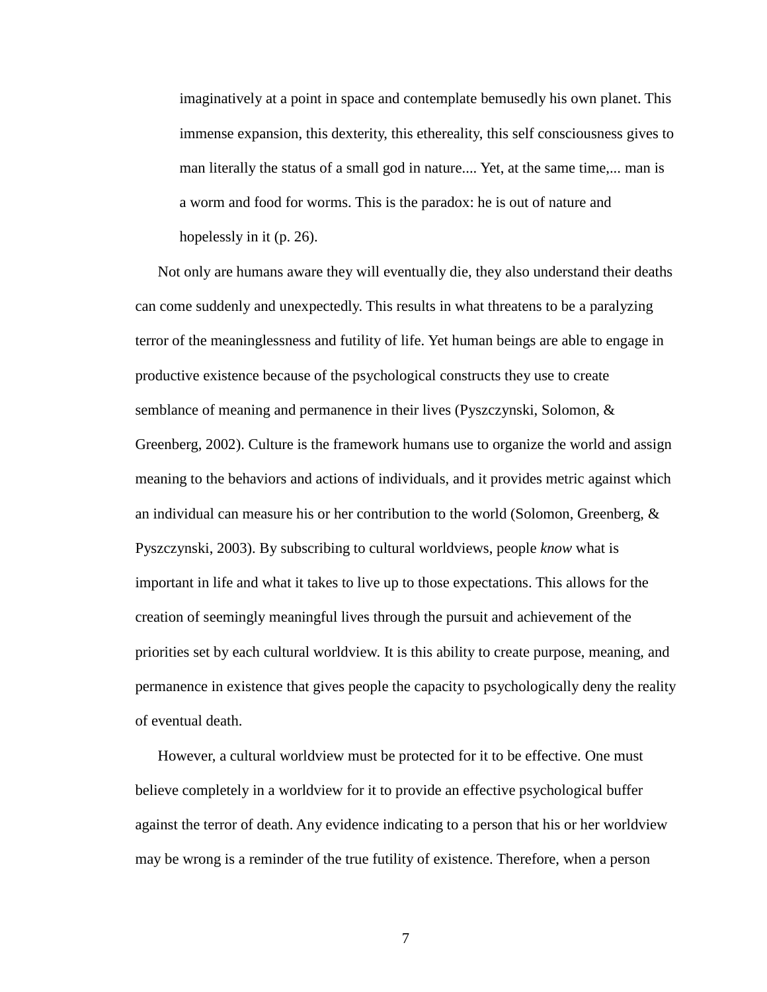imaginatively at a point in space and contemplate bemusedly his own planet. This immense expansion, this dexterity, this ethereality, this self consciousness gives to man literally the status of a small god in nature.... Yet, at the same time,... man is a worm and food for worms. This is the paradox: he is out of nature and hopelessly in it (p. 26).

Not only are humans aware they will eventually die, they also understand their deaths can come suddenly and unexpectedly. This results in what threatens to be a paralyzing terror of the meaninglessness and futility of life. Yet human beings are able to engage in productive existence because of the psychological constructs they use to create semblance of meaning and permanence in their lives (Pyszczynski, Solomon, & Greenberg, 2002). Culture is the framework humans use to organize the world and assign meaning to the behaviors and actions of individuals, and it provides metric against which an individual can measure his or her contribution to the world (Solomon, Greenberg,  $\&$ Pyszczynski, 2003). By subscribing to cultural worldviews, people *know* what is important in life and what it takes to live up to those expectations. This allows for the creation of seemingly meaningful lives through the pursuit and achievement of the priorities set by each cultural worldview. It is this ability to create purpose, meaning, and permanence in existence that gives people the capacity to psychologically deny the reality of eventual death.

However, a cultural worldview must be protected for it to be effective. One must believe completely in a worldview for it to provide an effective psychological buffer against the terror of death. Any evidence indicating to a person that his or her worldview may be wrong is a reminder of the true futility of existence. Therefore, when a person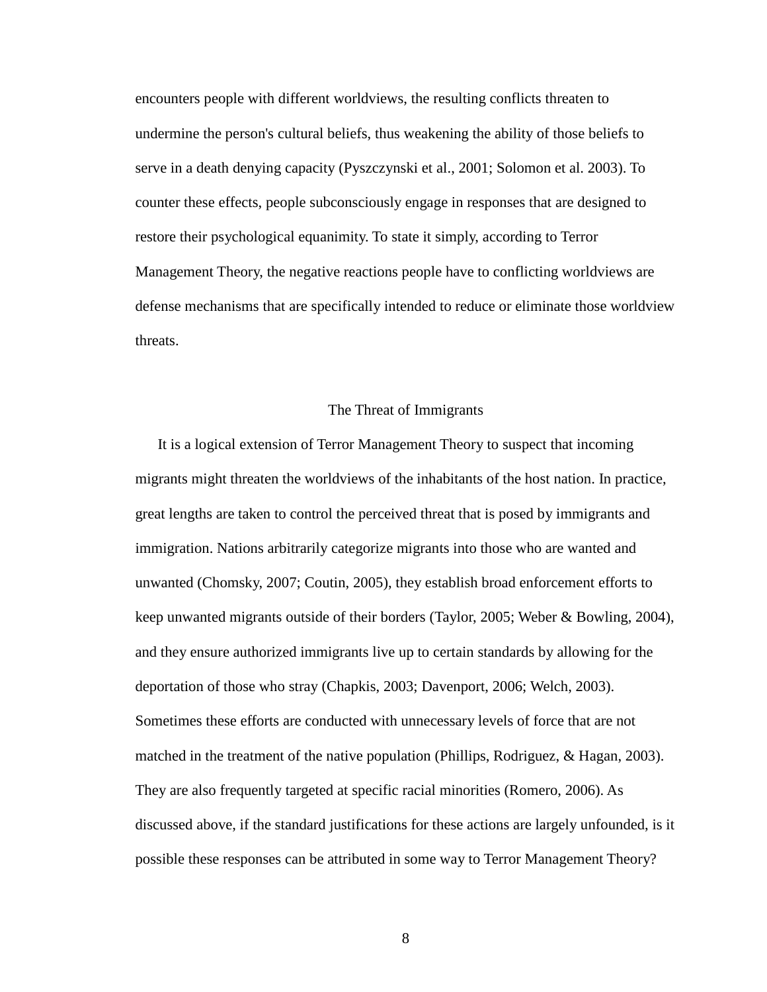encounters people with different worldviews, the resulting conflicts threaten to undermine the person's cultural beliefs, thus weakening the ability of those beliefs to serve in a death denying capacity (Pyszczynski et al., 2001; Solomon et al. 2003). To counter these effects, people subconsciously engage in responses that are designed to restore their psychological equanimity. To state it simply, according to Terror Management Theory, the negative reactions people have to conflicting worldviews are defense mechanisms that are specifically intended to reduce or eliminate those worldview threats.

#### The Threat of Immigrants

It is a logical extension of Terror Management Theory to suspect that incoming migrants might threaten the worldviews of the inhabitants of the host nation. In practice, great lengths are taken to control the perceived threat that is posed by immigrants and immigration. Nations arbitrarily categorize migrants into those who are wanted and unwanted (Chomsky, 2007; Coutin, 2005), they establish broad enforcement efforts to keep unwanted migrants outside of their borders (Taylor, 2005; Weber & Bowling, 2004), and they ensure authorized immigrants live up to certain standards by allowing for the deportation of those who stray (Chapkis, 2003; Davenport, 2006; Welch, 2003). Sometimes these efforts are conducted with unnecessary levels of force that are not matched in the treatment of the native population (Phillips, Rodriguez, & Hagan, 2003). They are also frequently targeted at specific racial minorities (Romero, 2006). As discussed above, if the standard justifications for these actions are largely unfounded, is it possible these responses can be attributed in some way to Terror Management Theory?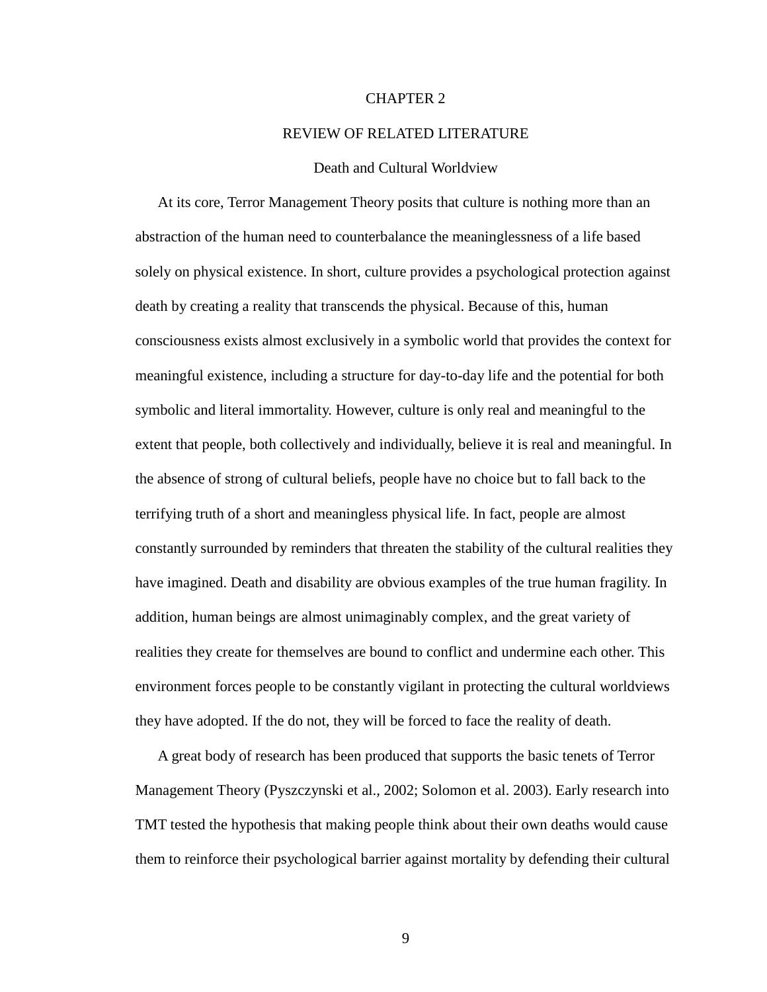#### CHAPTER 2

#### REVIEW OF RELATED LITERATURE

#### Death and Cultural Worldview

At its core, Terror Management Theory posits that culture is nothing more than an abstraction of the human need to counterbalance the meaninglessness of a life based solely on physical existence. In short, culture provides a psychological protection against death by creating a reality that transcends the physical. Because of this, human consciousness exists almost exclusively in a symbolic world that provides the context for meaningful existence, including a structure for day-to-day life and the potential for both symbolic and literal immortality. However, culture is only real and meaningful to the extent that people, both collectively and individually, believe it is real and meaningful. In the absence of strong of cultural beliefs, people have no choice but to fall back to the terrifying truth of a short and meaningless physical life. In fact, people are almost constantly surrounded by reminders that threaten the stability of the cultural realities they have imagined. Death and disability are obvious examples of the true human fragility. In addition, human beings are almost unimaginably complex, and the great variety of realities they create for themselves are bound to conflict and undermine each other. This environment forces people to be constantly vigilant in protecting the cultural worldviews they have adopted. If the do not, they will be forced to face the reality of death.

A great body of research has been produced that supports the basic tenets of Terror Management Theory (Pyszczynski et al., 2002; Solomon et al. 2003). Early research into TMT tested the hypothesis that making people think about their own deaths would cause them to reinforce their psychological barrier against mortality by defending their cultural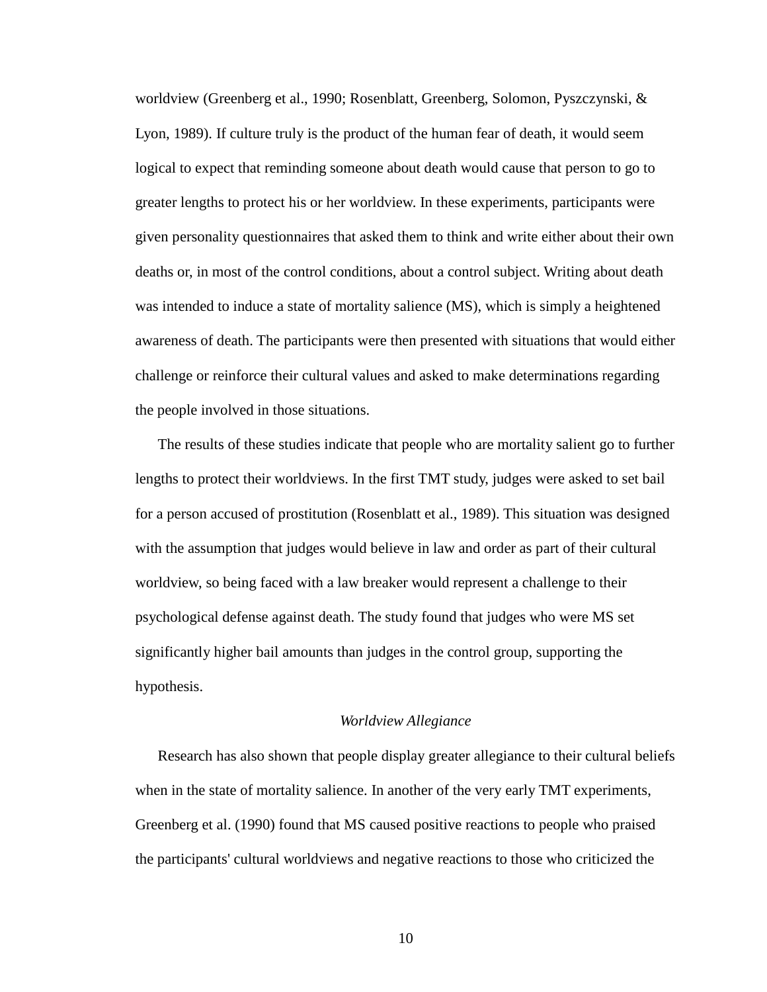worldview (Greenberg et al., 1990; Rosenblatt, Greenberg, Solomon, Pyszczynski, & Lyon, 1989). If culture truly is the product of the human fear of death, it would seem logical to expect that reminding someone about death would cause that person to go to greater lengths to protect his or her worldview. In these experiments, participants were given personality questionnaires that asked them to think and write either about their own deaths or, in most of the control conditions, about a control subject. Writing about death was intended to induce a state of mortality salience (MS), which is simply a heightened awareness of death. The participants were then presented with situations that would either challenge or reinforce their cultural values and asked to make determinations regarding the people involved in those situations.

The results of these studies indicate that people who are mortality salient go to further lengths to protect their worldviews. In the first TMT study, judges were asked to set bail for a person accused of prostitution (Rosenblatt et al., 1989). This situation was designed with the assumption that judges would believe in law and order as part of their cultural worldview, so being faced with a law breaker would represent a challenge to their psychological defense against death. The study found that judges who were MS set significantly higher bail amounts than judges in the control group, supporting the hypothesis.

#### *Worldview Allegiance*

Research has also shown that people display greater allegiance to their cultural beliefs when in the state of mortality salience. In another of the very early TMT experiments, Greenberg et al. (1990) found that MS caused positive reactions to people who praised the participants' cultural worldviews and negative reactions to those who criticized the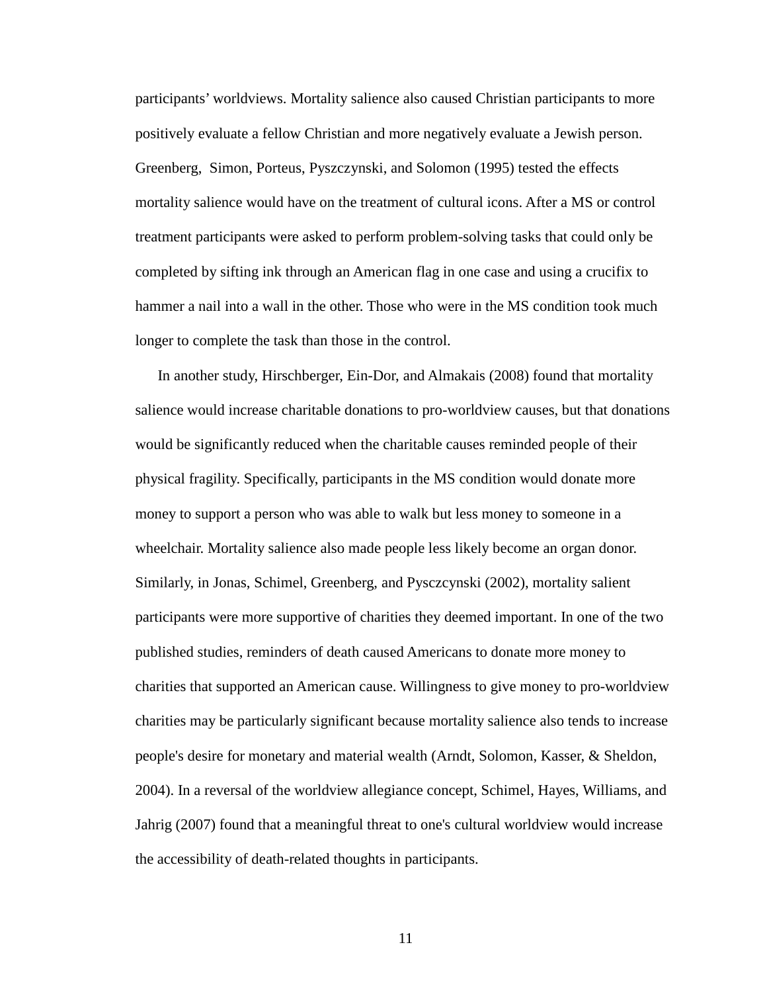participants' worldviews. Mortality salience also caused Christian participants to more positively evaluate a fellow Christian and more negatively evaluate a Jewish person. Greenberg, Simon, Porteus, Pyszczynski, and Solomon (1995) tested the effects mortality salience would have on the treatment of cultural icons. After a MS or control treatment participants were asked to perform problem-solving tasks that could only be completed by sifting ink through an American flag in one case and using a crucifix to hammer a nail into a wall in the other. Those who were in the MS condition took much longer to complete the task than those in the control.

In another study, Hirschberger, Ein-Dor, and Almakais (2008) found that mortality salience would increase charitable donations to pro-worldview causes, but that donations would be significantly reduced when the charitable causes reminded people of their physical fragility. Specifically, participants in the MS condition would donate more money to support a person who was able to walk but less money to someone in a wheelchair. Mortality salience also made people less likely become an organ donor. Similarly, in Jonas, Schimel, Greenberg, and Pysczcynski (2002), mortality salient participants were more supportive of charities they deemed important. In one of the two published studies, reminders of death caused Americans to donate more money to charities that supported an American cause. Willingness to give money to pro-worldview charities may be particularly significant because mortality salience also tends to increase people's desire for monetary and material wealth (Arndt, Solomon, Kasser, & Sheldon, 2004). In a reversal of the worldview allegiance concept, Schimel, Hayes, Williams, and Jahrig (2007) found that a meaningful threat to one's cultural worldview would increase the accessibility of death-related thoughts in participants.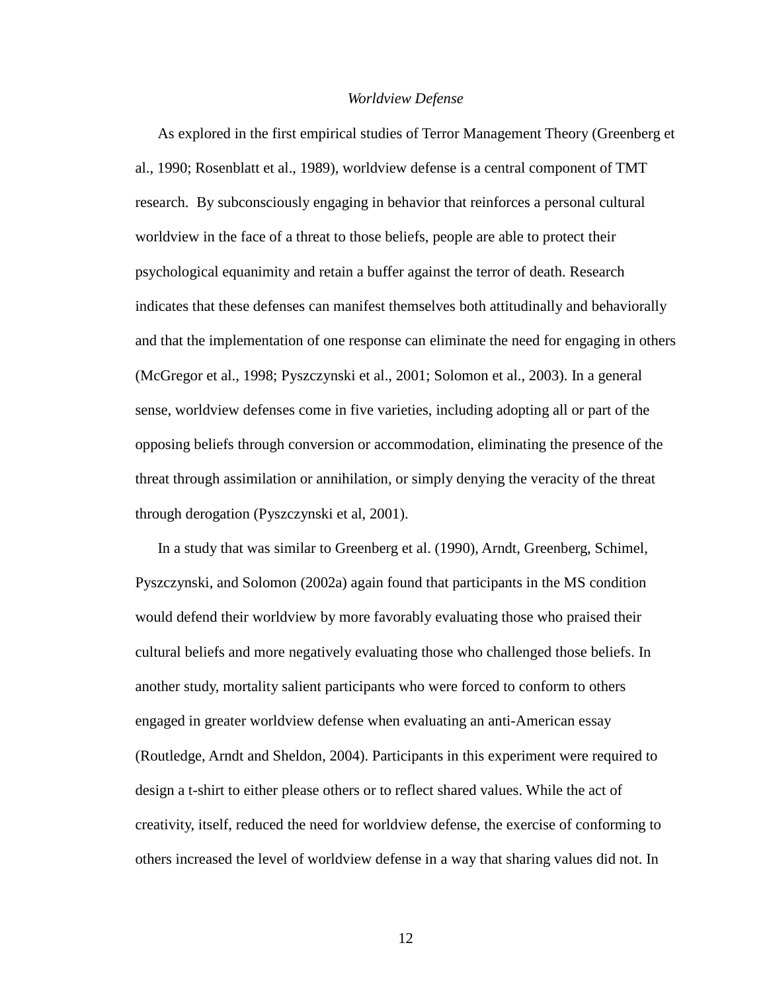#### *Worldview Defense*

As explored in the first empirical studies of Terror Management Theory (Greenberg et al., 1990; Rosenblatt et al., 1989), worldview defense is a central component of TMT research. By subconsciously engaging in behavior that reinforces a personal cultural worldview in the face of a threat to those beliefs, people are able to protect their psychological equanimity and retain a buffer against the terror of death. Research indicates that these defenses can manifest themselves both attitudinally and behaviorally and that the implementation of one response can eliminate the need for engaging in others (McGregor et al., 1998; Pyszczynski et al., 2001; Solomon et al., 2003). In a general sense, worldview defenses come in five varieties, including adopting all or part of the opposing beliefs through conversion or accommodation, eliminating the presence of the threat through assimilation or annihilation, or simply denying the veracity of the threat through derogation (Pyszczynski et al, 2001).

In a study that was similar to Greenberg et al. (1990), Arndt, Greenberg, Schimel, Pyszczynski, and Solomon (2002a) again found that participants in the MS condition would defend their worldview by more favorably evaluating those who praised their cultural beliefs and more negatively evaluating those who challenged those beliefs. In another study, mortality salient participants who were forced to conform to others engaged in greater worldview defense when evaluating an anti-American essay (Routledge, Arndt and Sheldon, 2004). Participants in this experiment were required to design a t-shirt to either please others or to reflect shared values. While the act of creativity, itself, reduced the need for worldview defense, the exercise of conforming to others increased the level of worldview defense in a way that sharing values did not. In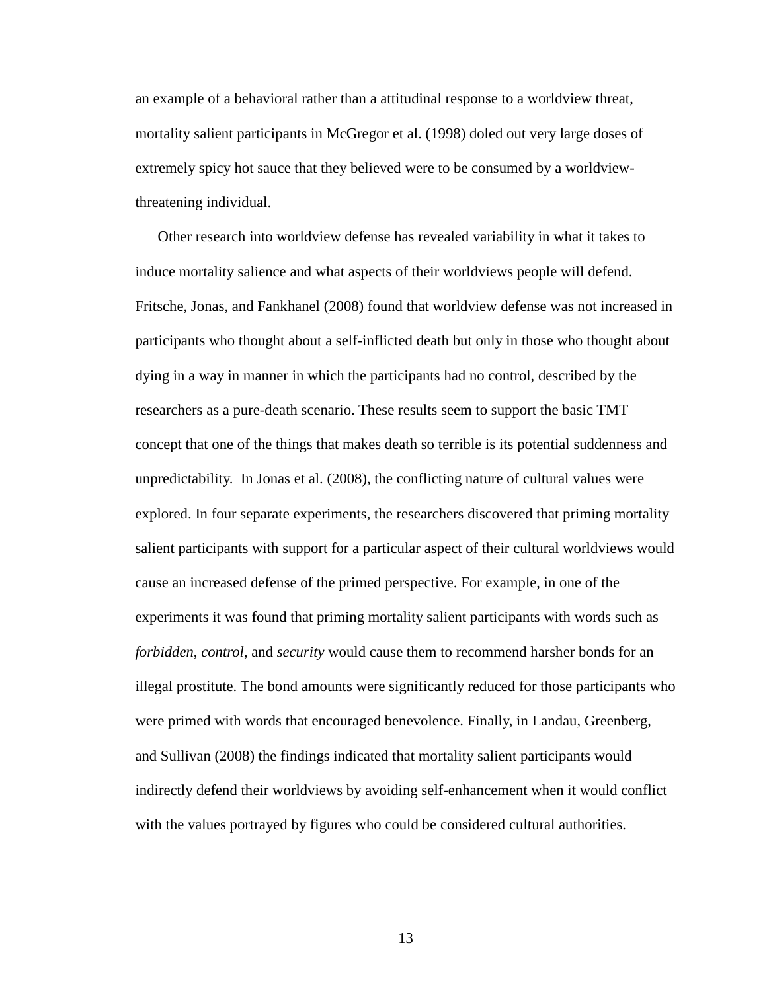an example of a behavioral rather than a attitudinal response to a worldview threat, mortality salient participants in McGregor et al. (1998) doled out very large doses of extremely spicy hot sauce that they believed were to be consumed by a worldviewthreatening individual.

Other research into worldview defense has revealed variability in what it takes to induce mortality salience and what aspects of their worldviews people will defend. Fritsche, Jonas, and Fankhanel (2008) found that worldview defense was not increased in participants who thought about a self-inflicted death but only in those who thought about dying in a way in manner in which the participants had no control, described by the researchers as a pure-death scenario. These results seem to support the basic TMT concept that one of the things that makes death so terrible is its potential suddenness and unpredictability. In Jonas et al. (2008), the conflicting nature of cultural values were explored. In four separate experiments, the researchers discovered that priming mortality salient participants with support for a particular aspect of their cultural worldviews would cause an increased defense of the primed perspective. For example, in one of the experiments it was found that priming mortality salient participants with words such as *forbidden*, *control*, and *security* would cause them to recommend harsher bonds for an illegal prostitute. The bond amounts were significantly reduced for those participants who were primed with words that encouraged benevolence. Finally, in Landau, Greenberg, and Sullivan (2008) the findings indicated that mortality salient participants would indirectly defend their worldviews by avoiding self-enhancement when it would conflict with the values portrayed by figures who could be considered cultural authorities.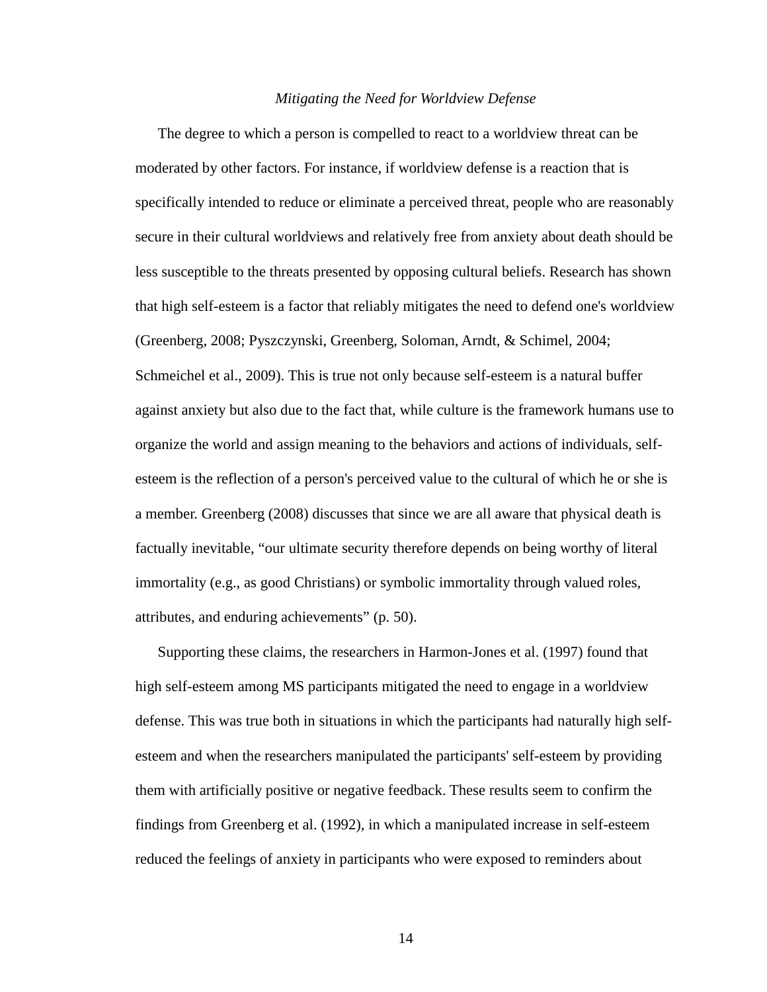#### *Mitigating the Need for Worldview Defense*

The degree to which a person is compelled to react to a worldview threat can be moderated by other factors. For instance, if worldview defense is a reaction that is specifically intended to reduce or eliminate a perceived threat, people who are reasonably secure in their cultural worldviews and relatively free from anxiety about death should be less susceptible to the threats presented by opposing cultural beliefs. Research has shown that high self-esteem is a factor that reliably mitigates the need to defend one's worldview (Greenberg, 2008; Pyszczynski, Greenberg, Soloman, Arndt, & Schimel, 2004; Schmeichel et al., 2009). This is true not only because self-esteem is a natural buffer against anxiety but also due to the fact that, while culture is the framework humans use to organize the world and assign meaning to the behaviors and actions of individuals, selfesteem is the reflection of a person's perceived value to the cultural of which he or she is a member. Greenberg (2008) discusses that since we are all aware that physical death is factually inevitable, "our ultimate security therefore depends on being worthy of literal immortality (e.g., as good Christians) or symbolic immortality through valued roles, attributes, and enduring achievements" (p. 50).

Supporting these claims, the researchers in Harmon-Jones et al. (1997) found that high self-esteem among MS participants mitigated the need to engage in a worldview defense. This was true both in situations in which the participants had naturally high selfesteem and when the researchers manipulated the participants' self-esteem by providing them with artificially positive or negative feedback. These results seem to confirm the findings from Greenberg et al. (1992), in which a manipulated increase in self-esteem reduced the feelings of anxiety in participants who were exposed to reminders about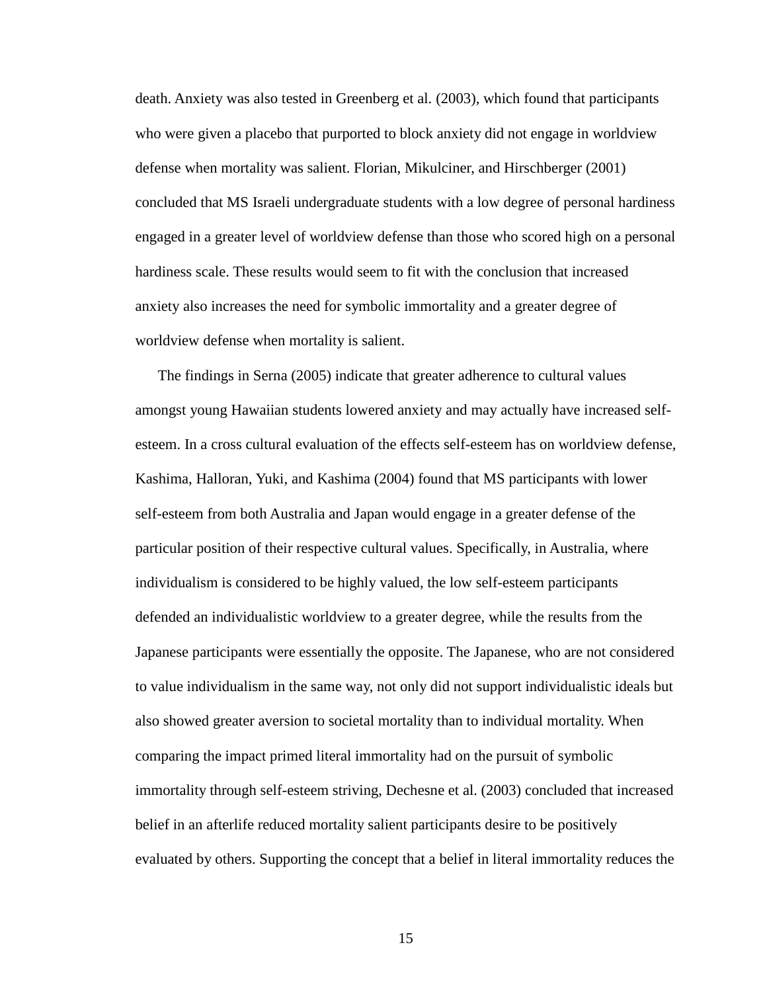death. Anxiety was also tested in Greenberg et al. (2003), which found that participants who were given a placebo that purported to block anxiety did not engage in worldview defense when mortality was salient. Florian, Mikulciner, and Hirschberger (2001) concluded that MS Israeli undergraduate students with a low degree of personal hardiness engaged in a greater level of worldview defense than those who scored high on a personal hardiness scale. These results would seem to fit with the conclusion that increased anxiety also increases the need for symbolic immortality and a greater degree of worldview defense when mortality is salient.

The findings in Serna (2005) indicate that greater adherence to cultural values amongst young Hawaiian students lowered anxiety and may actually have increased selfesteem. In a cross cultural evaluation of the effects self-esteem has on worldview defense, Kashima, Halloran, Yuki, and Kashima (2004) found that MS participants with lower self-esteem from both Australia and Japan would engage in a greater defense of the particular position of their respective cultural values. Specifically, in Australia, where individualism is considered to be highly valued, the low self-esteem participants defended an individualistic worldview to a greater degree, while the results from the Japanese participants were essentially the opposite. The Japanese, who are not considered to value individualism in the same way, not only did not support individualistic ideals but also showed greater aversion to societal mortality than to individual mortality. When comparing the impact primed literal immortality had on the pursuit of symbolic immortality through self-esteem striving, Dechesne et al. (2003) concluded that increased belief in an afterlife reduced mortality salient participants desire to be positively evaluated by others. Supporting the concept that a belief in literal immortality reduces the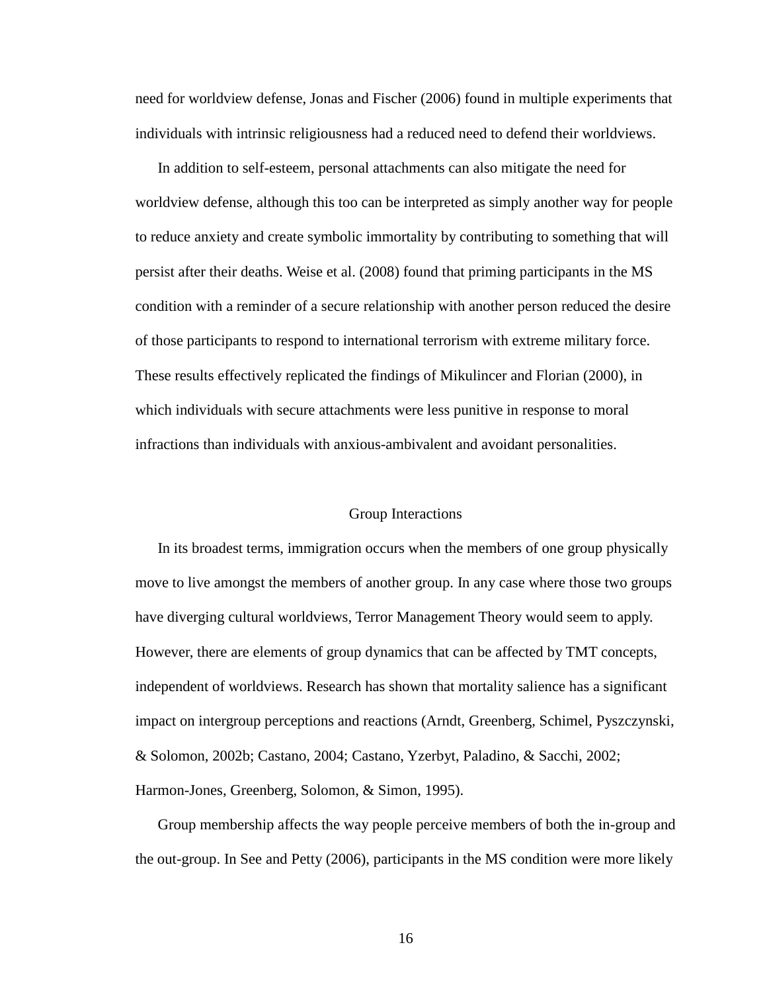need for worldview defense, Jonas and Fischer (2006) found in multiple experiments that individuals with intrinsic religiousness had a reduced need to defend their worldviews.

In addition to self-esteem, personal attachments can also mitigate the need for worldview defense, although this too can be interpreted as simply another way for people to reduce anxiety and create symbolic immortality by contributing to something that will persist after their deaths. Weise et al. (2008) found that priming participants in the MS condition with a reminder of a secure relationship with another person reduced the desire of those participants to respond to international terrorism with extreme military force. These results effectively replicated the findings of Mikulincer and Florian (2000), in which individuals with secure attachments were less punitive in response to moral infractions than individuals with anxious-ambivalent and avoidant personalities.

#### Group Interactions

In its broadest terms, immigration occurs when the members of one group physically move to live amongst the members of another group. In any case where those two groups have diverging cultural worldviews, Terror Management Theory would seem to apply. However, there are elements of group dynamics that can be affected by TMT concepts, independent of worldviews. Research has shown that mortality salience has a significant impact on intergroup perceptions and reactions (Arndt, Greenberg, Schimel, Pyszczynski, & Solomon, 2002b; Castano, 2004; Castano, Yzerbyt, Paladino, & Sacchi, 2002; Harmon-Jones, Greenberg, Solomon, & Simon, 1995).

Group membership affects the way people perceive members of both the in-group and the out-group. In See and Petty (2006), participants in the MS condition were more likely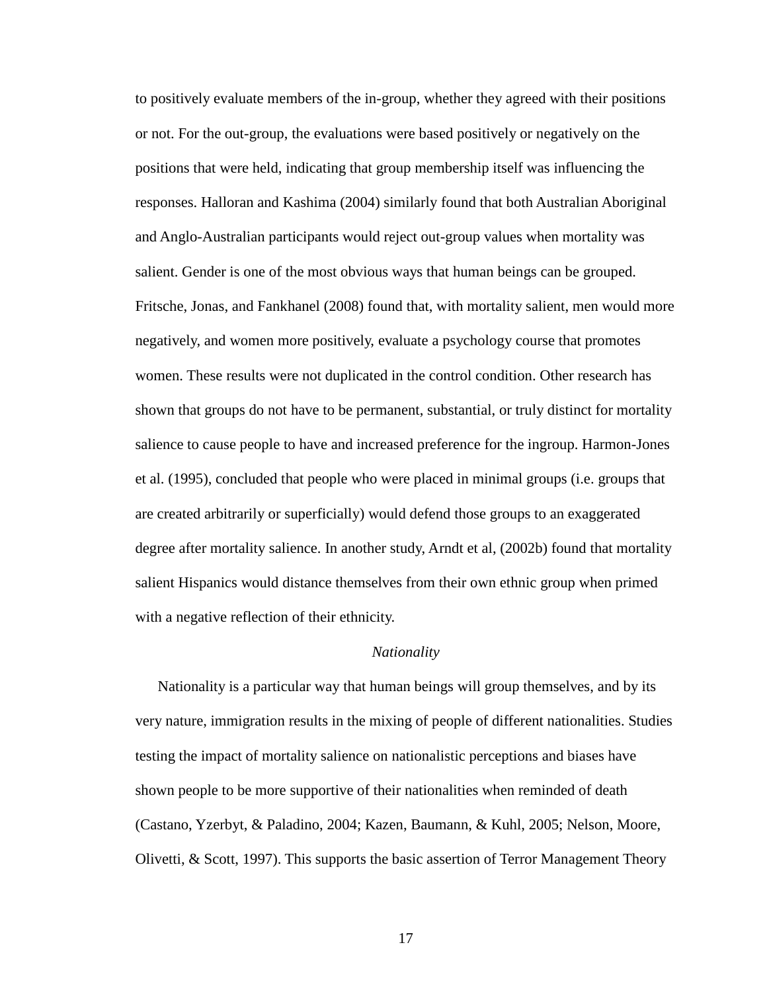to positively evaluate members of the in-group, whether they agreed with their positions or not. For the out-group, the evaluations were based positively or negatively on the positions that were held, indicating that group membership itself was influencing the responses. Halloran and Kashima (2004) similarly found that both Australian Aboriginal and Anglo-Australian participants would reject out-group values when mortality was salient. Gender is one of the most obvious ways that human beings can be grouped. Fritsche, Jonas, and Fankhanel (2008) found that, with mortality salient, men would more negatively, and women more positively, evaluate a psychology course that promotes women. These results were not duplicated in the control condition. Other research has shown that groups do not have to be permanent, substantial, or truly distinct for mortality salience to cause people to have and increased preference for the ingroup. Harmon-Jones et al. (1995), concluded that people who were placed in minimal groups (i.e. groups that are created arbitrarily or superficially) would defend those groups to an exaggerated degree after mortality salience. In another study, Arndt et al, (2002b) found that mortality salient Hispanics would distance themselves from their own ethnic group when primed with a negative reflection of their ethnicity.

#### *Nationality*

Nationality is a particular way that human beings will group themselves, and by its very nature, immigration results in the mixing of people of different nationalities. Studies testing the impact of mortality salience on nationalistic perceptions and biases have shown people to be more supportive of their nationalities when reminded of death (Castano, Yzerbyt, & Paladino, 2004; Kazen, Baumann, & Kuhl, 2005; Nelson, Moore, Olivetti, & Scott, 1997). This supports the basic assertion of Terror Management Theory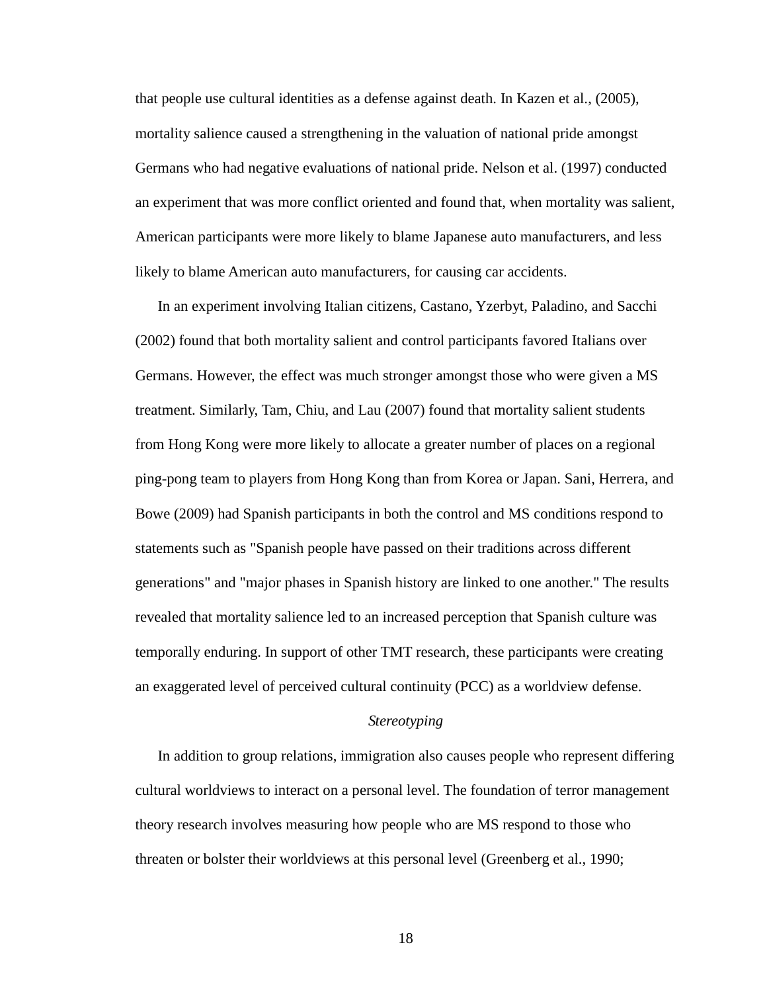that people use cultural identities as a defense against death. In Kazen et al., (2005), mortality salience caused a strengthening in the valuation of national pride amongst Germans who had negative evaluations of national pride. Nelson et al. (1997) conducted an experiment that was more conflict oriented and found that, when mortality was salient, American participants were more likely to blame Japanese auto manufacturers, and less likely to blame American auto manufacturers, for causing car accidents.

In an experiment involving Italian citizens, Castano, Yzerbyt, Paladino, and Sacchi (2002) found that both mortality salient and control participants favored Italians over Germans. However, the effect was much stronger amongst those who were given a MS treatment. Similarly, Tam, Chiu, and Lau (2007) found that mortality salient students from Hong Kong were more likely to allocate a greater number of places on a regional ping-pong team to players from Hong Kong than from Korea or Japan. Sani, Herrera, and Bowe (2009) had Spanish participants in both the control and MS conditions respond to statements such as "Spanish people have passed on their traditions across different generations" and "major phases in Spanish history are linked to one another." The results revealed that mortality salience led to an increased perception that Spanish culture was temporally enduring. In support of other TMT research, these participants were creating an exaggerated level of perceived cultural continuity (PCC) as a worldview defense.

#### *Stereotyping*

In addition to group relations, immigration also causes people who represent differing cultural worldviews to interact on a personal level. The foundation of terror management theory research involves measuring how people who are MS respond to those who threaten or bolster their worldviews at this personal level (Greenberg et al., 1990;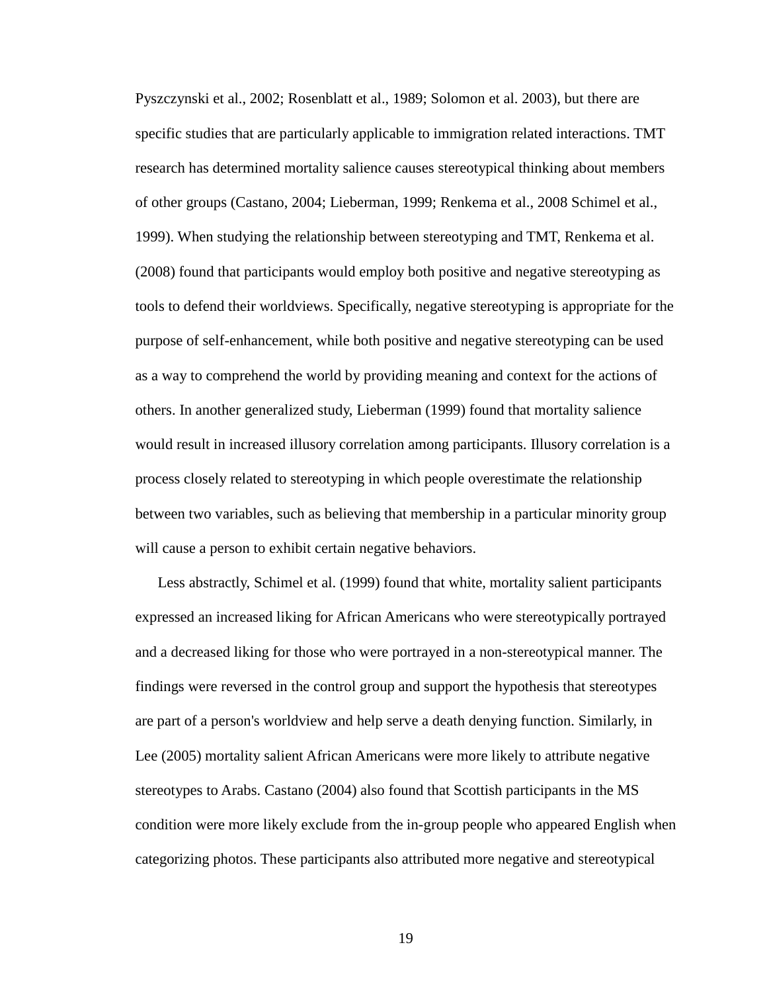Pyszczynski et al., 2002; Rosenblatt et al., 1989; Solomon et al. 2003), but there are specific studies that are particularly applicable to immigration related interactions. TMT research has determined mortality salience causes stereotypical thinking about members of other groups (Castano, 2004; Lieberman, 1999; Renkema et al., 2008 Schimel et al., 1999). When studying the relationship between stereotyping and TMT, Renkema et al. (2008) found that participants would employ both positive and negative stereotyping as tools to defend their worldviews. Specifically, negative stereotyping is appropriate for the purpose of self-enhancement, while both positive and negative stereotyping can be used as a way to comprehend the world by providing meaning and context for the actions of others. In another generalized study, Lieberman (1999) found that mortality salience would result in increased illusory correlation among participants. Illusory correlation is a process closely related to stereotyping in which people overestimate the relationship between two variables, such as believing that membership in a particular minority group will cause a person to exhibit certain negative behaviors.

Less abstractly, Schimel et al. (1999) found that white, mortality salient participants expressed an increased liking for African Americans who were stereotypically portrayed and a decreased liking for those who were portrayed in a non-stereotypical manner. The findings were reversed in the control group and support the hypothesis that stereotypes are part of a person's worldview and help serve a death denying function. Similarly, in Lee (2005) mortality salient African Americans were more likely to attribute negative stereotypes to Arabs. Castano (2004) also found that Scottish participants in the MS condition were more likely exclude from the in-group people who appeared English when categorizing photos. These participants also attributed more negative and stereotypical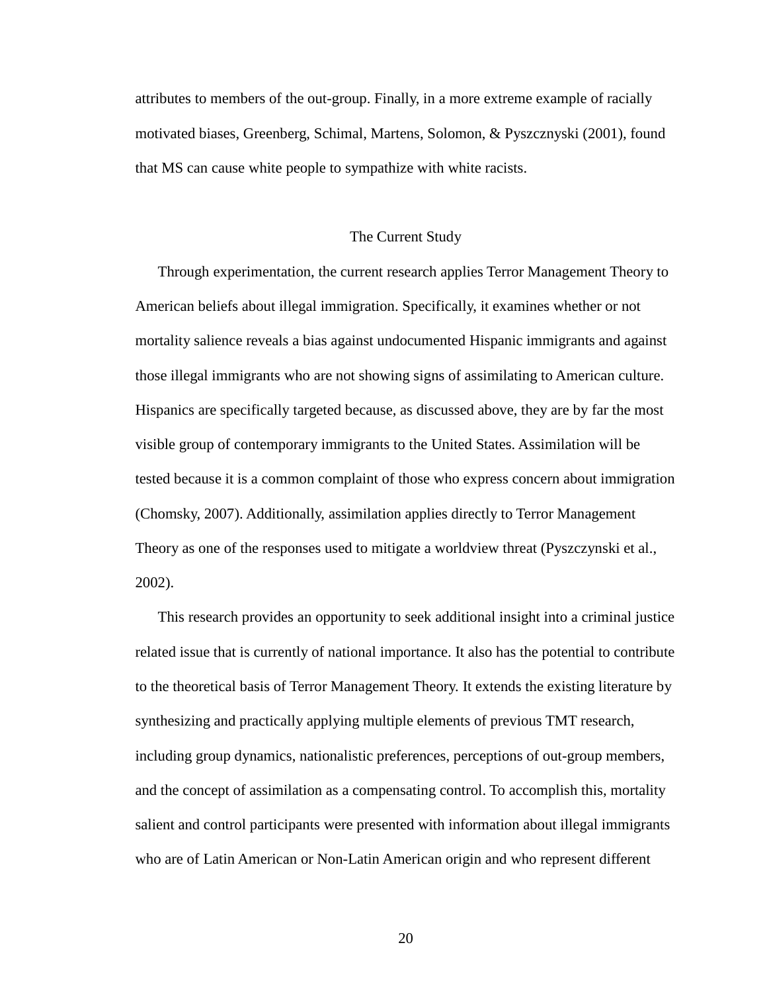attributes to members of the out-group. Finally, in a more extreme example of racially motivated biases, Greenberg, Schimal, Martens, Solomon, & Pyszcznyski (2001), found that MS can cause white people to sympathize with white racists.

#### The Current Study

Through experimentation, the current research applies Terror Management Theory to American beliefs about illegal immigration. Specifically, it examines whether or not mortality salience reveals a bias against undocumented Hispanic immigrants and against those illegal immigrants who are not showing signs of assimilating to American culture. Hispanics are specifically targeted because, as discussed above, they are by far the most visible group of contemporary immigrants to the United States. Assimilation will be tested because it is a common complaint of those who express concern about immigration (Chomsky, 2007). Additionally, assimilation applies directly to Terror Management Theory as one of the responses used to mitigate a worldview threat (Pyszczynski et al., 2002).

This research provides an opportunity to seek additional insight into a criminal justice related issue that is currently of national importance. It also has the potential to contribute to the theoretical basis of Terror Management Theory. It extends the existing literature by synthesizing and practically applying multiple elements of previous TMT research, including group dynamics, nationalistic preferences, perceptions of out-group members, and the concept of assimilation as a compensating control. To accomplish this, mortality salient and control participants were presented with information about illegal immigrants who are of Latin American or Non-Latin American origin and who represent different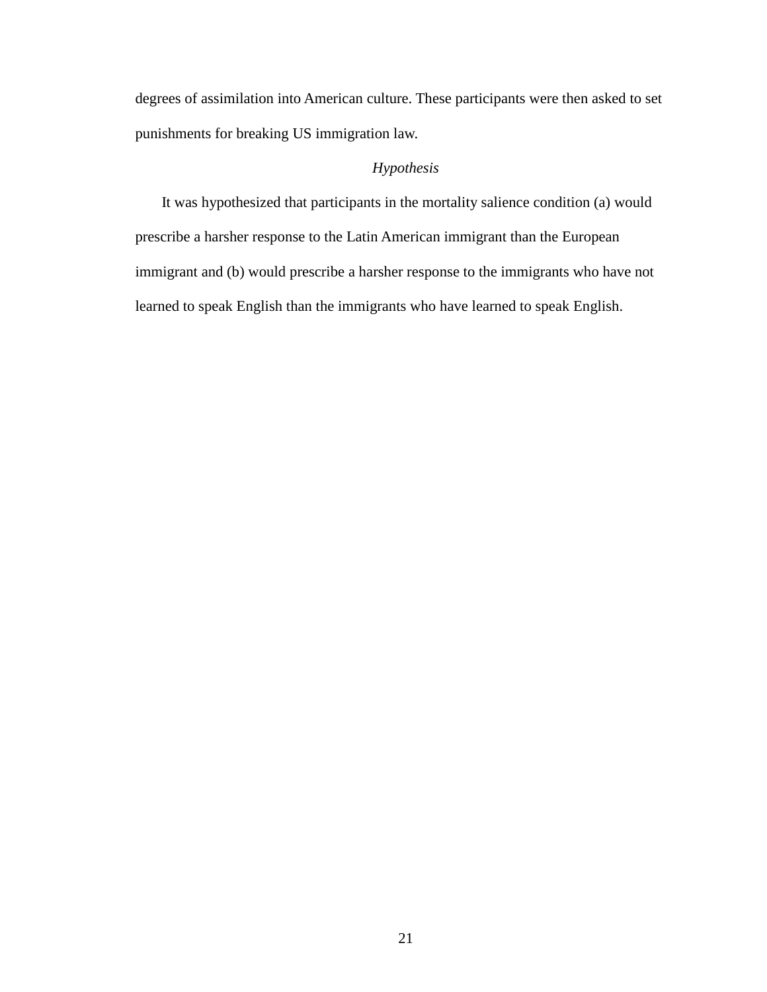degrees of assimilation into American culture. These participants were then asked to set punishments for breaking US immigration law.

# *Hypothesis*

 It was hypothesized that participants in the mortality salience condition (a) would prescribe a harsher response to the Latin American immigrant than the European immigrant and (b) would prescribe a harsher response to the immigrants who have not learned to speak English than the immigrants who have learned to speak English.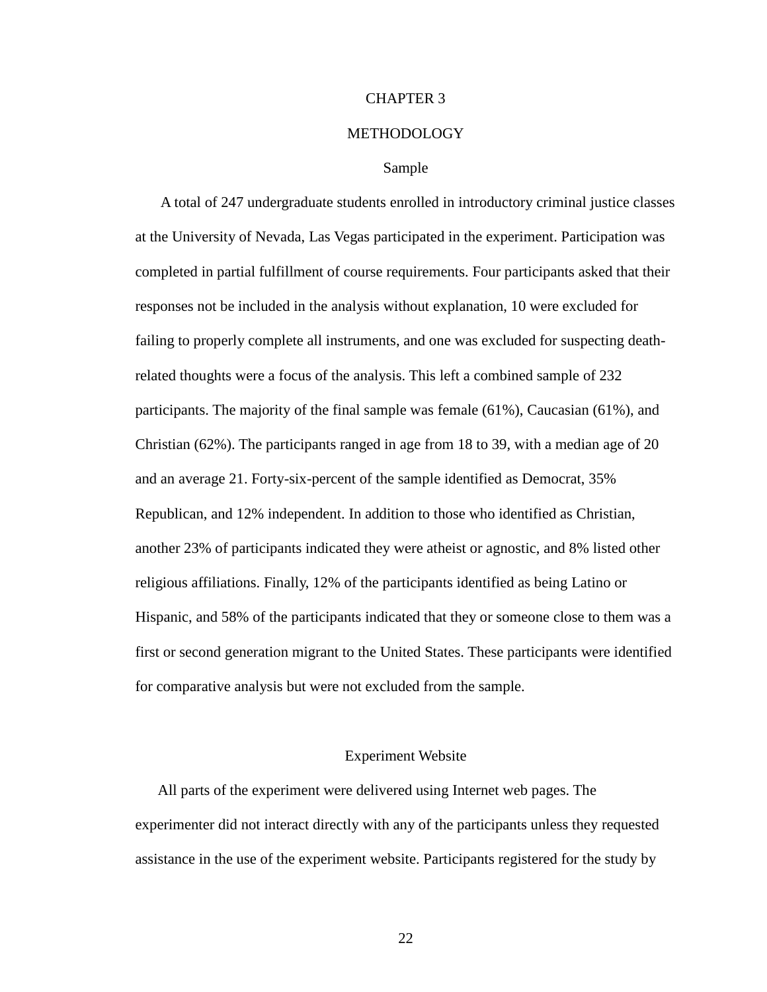#### CHAPTER 3

#### METHODOLOGY

#### Sample

 A total of 247 undergraduate students enrolled in introductory criminal justice classes at the University of Nevada, Las Vegas participated in the experiment. Participation was completed in partial fulfillment of course requirements. Four participants asked that their responses not be included in the analysis without explanation, 10 were excluded for failing to properly complete all instruments, and one was excluded for suspecting deathrelated thoughts were a focus of the analysis. This left a combined sample of 232 participants. The majority of the final sample was female (61%), Caucasian (61%), and Christian (62%). The participants ranged in age from 18 to 39, with a median age of 20 and an average 21. Forty-six-percent of the sample identified as Democrat, 35% Republican, and 12% independent. In addition to those who identified as Christian, another 23% of participants indicated they were atheist or agnostic, and 8% listed other religious affiliations. Finally, 12% of the participants identified as being Latino or Hispanic, and 58% of the participants indicated that they or someone close to them was a first or second generation migrant to the United States. These participants were identified for comparative analysis but were not excluded from the sample.

#### Experiment Website

All parts of the experiment were delivered using Internet web pages. The experimenter did not interact directly with any of the participants unless they requested assistance in the use of the experiment website. Participants registered for the study by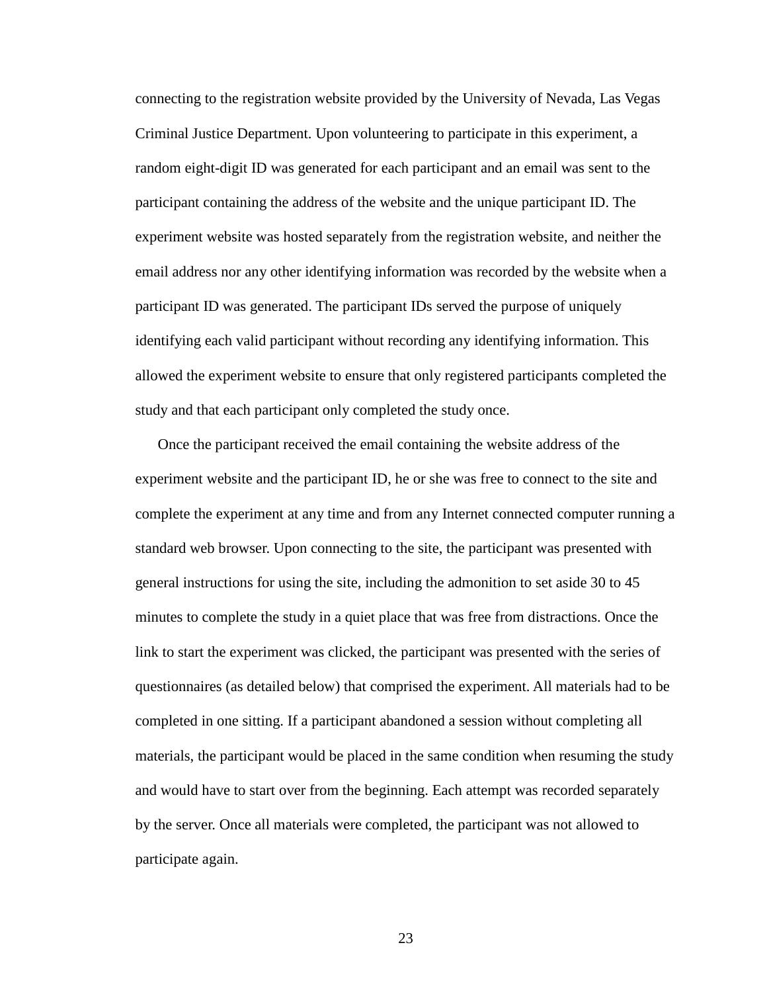connecting to the registration website provided by the University of Nevada, Las Vegas Criminal Justice Department. Upon volunteering to participate in this experiment, a random eight-digit ID was generated for each participant and an email was sent to the participant containing the address of the website and the unique participant ID. The experiment website was hosted separately from the registration website, and neither the email address nor any other identifying information was recorded by the website when a participant ID was generated. The participant IDs served the purpose of uniquely identifying each valid participant without recording any identifying information. This allowed the experiment website to ensure that only registered participants completed the study and that each participant only completed the study once.

Once the participant received the email containing the website address of the experiment website and the participant ID, he or she was free to connect to the site and complete the experiment at any time and from any Internet connected computer running a standard web browser. Upon connecting to the site, the participant was presented with general instructions for using the site, including the admonition to set aside 30 to 45 minutes to complete the study in a quiet place that was free from distractions. Once the link to start the experiment was clicked, the participant was presented with the series of questionnaires (as detailed below) that comprised the experiment. All materials had to be completed in one sitting. If a participant abandoned a session without completing all materials, the participant would be placed in the same condition when resuming the study and would have to start over from the beginning. Each attempt was recorded separately by the server. Once all materials were completed, the participant was not allowed to participate again.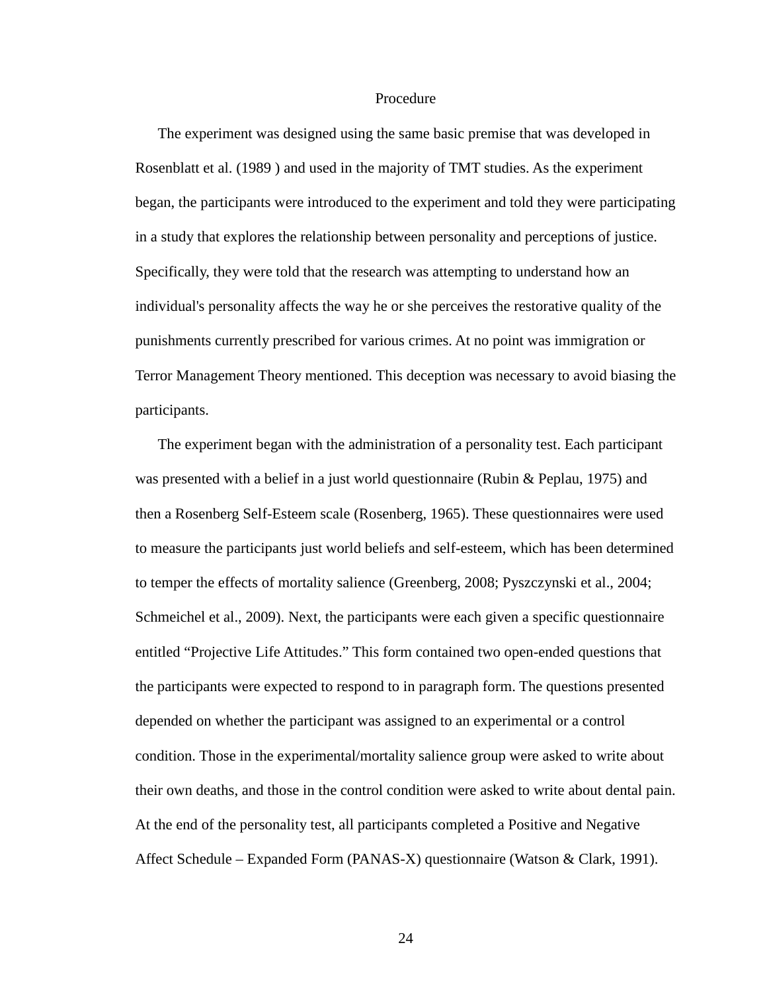#### Procedure

The experiment was designed using the same basic premise that was developed in Rosenblatt et al. (1989 ) and used in the majority of TMT studies. As the experiment began, the participants were introduced to the experiment and told they were participating in a study that explores the relationship between personality and perceptions of justice. Specifically, they were told that the research was attempting to understand how an individual's personality affects the way he or she perceives the restorative quality of the punishments currently prescribed for various crimes. At no point was immigration or Terror Management Theory mentioned. This deception was necessary to avoid biasing the participants.

The experiment began with the administration of a personality test. Each participant was presented with a belief in a just world questionnaire (Rubin & Peplau, 1975) and then a Rosenberg Self-Esteem scale (Rosenberg, 1965). These questionnaires were used to measure the participants just world beliefs and self-esteem, which has been determined to temper the effects of mortality salience (Greenberg, 2008; Pyszczynski et al., 2004; Schmeichel et al., 2009). Next, the participants were each given a specific questionnaire entitled "Projective Life Attitudes." This form contained two open-ended questions that the participants were expected to respond to in paragraph form. The questions presented depended on whether the participant was assigned to an experimental or a control condition. Those in the experimental/mortality salience group were asked to write about their own deaths, and those in the control condition were asked to write about dental pain. At the end of the personality test, all participants completed a Positive and Negative Affect Schedule – Expanded Form (PANAS-X) questionnaire (Watson & Clark, 1991).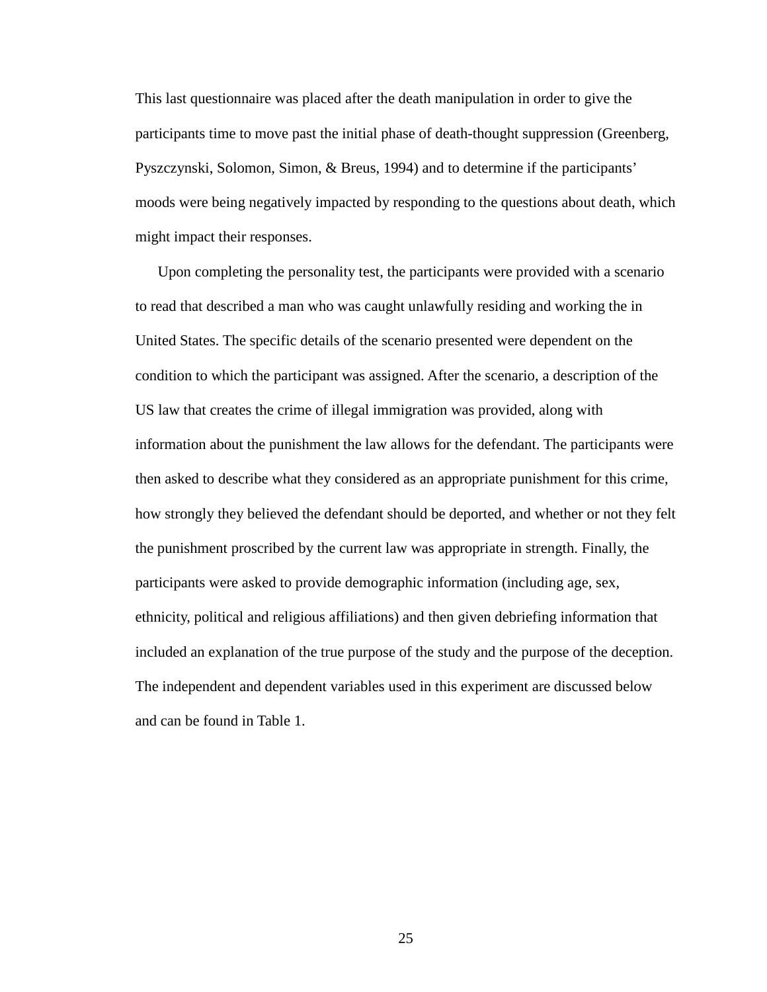This last questionnaire was placed after the death manipulation in order to give the participants time to move past the initial phase of death-thought suppression (Greenberg, Pyszczynski, Solomon, Simon, & Breus, 1994) and to determine if the participants' moods were being negatively impacted by responding to the questions about death, which might impact their responses.

Upon completing the personality test, the participants were provided with a scenario to read that described a man who was caught unlawfully residing and working the in United States. The specific details of the scenario presented were dependent on the condition to which the participant was assigned. After the scenario, a description of the US law that creates the crime of illegal immigration was provided, along with information about the punishment the law allows for the defendant. The participants were then asked to describe what they considered as an appropriate punishment for this crime, how strongly they believed the defendant should be deported, and whether or not they felt the punishment proscribed by the current law was appropriate in strength. Finally, the participants were asked to provide demographic information (including age, sex, ethnicity, political and religious affiliations) and then given debriefing information that included an explanation of the true purpose of the study and the purpose of the deception. The independent and dependent variables used in this experiment are discussed below and can be found in Table 1.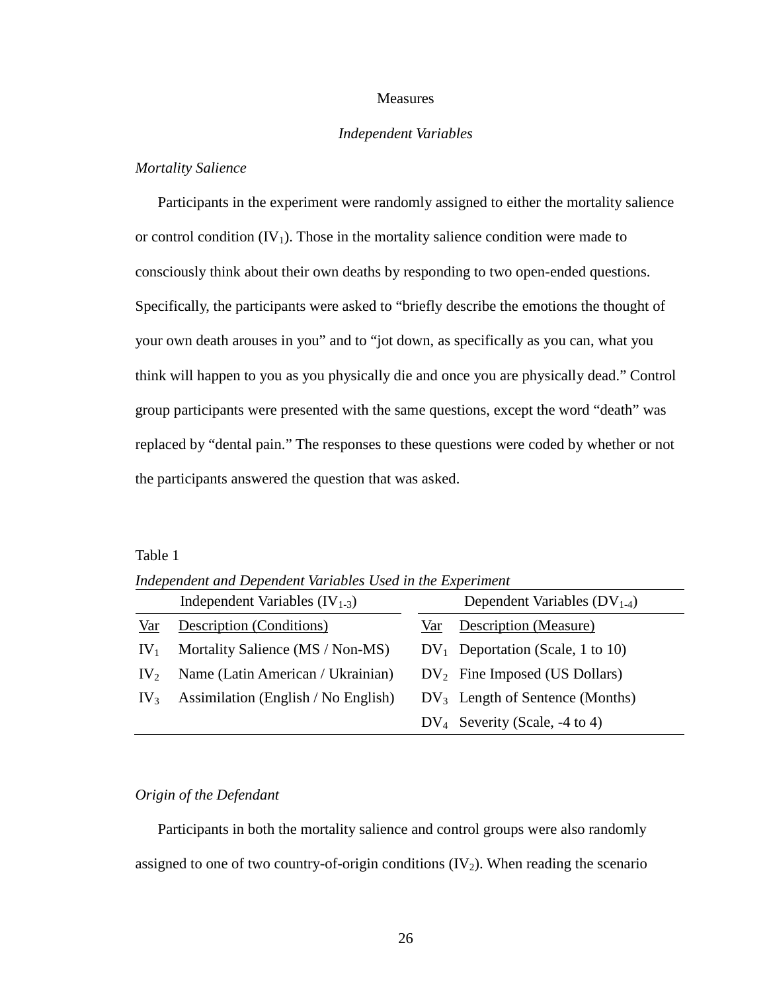#### Measures

#### *Independent Variables*

#### *Mortality Salience*

Participants in the experiment were randomly assigned to either the mortality salience or control condition  $(IV_1)$ . Those in the mortality salience condition were made to consciously think about their own deaths by responding to two open-ended questions. Specifically, the participants were asked to "briefly describe the emotions the thought of your own death arouses in you" and to "jot down, as specifically as you can, what you think will happen to you as you physically die and once you are physically dead." Control group participants were presented with the same questions, except the word "death" was replaced by "dental pain." The responses to these questions were coded by whether or not the participants answered the question that was asked.

#### Table 1

*Independent and Dependent Variables Used in the Experiment* 

|                 | Independent Variables $(IV_{1-3})$  | Dependent Variables $(DV_{1-4})$    |
|-----------------|-------------------------------------|-------------------------------------|
| Var             | Description (Conditions)            | Description (Measure)<br>Var        |
| IV <sub>1</sub> | Mortality Salience (MS / Non-MS)    | $DV_1$ Deportation (Scale, 1 to 10) |
| $IV_2$          | Name (Latin American / Ukrainian)   | $DV_2$ Fine Imposed (US Dollars)    |
| IV <sub>3</sub> | Assimilation (English / No English) | $DV_3$ Length of Sentence (Months)  |
|                 |                                     | $DV_4$ Severity (Scale, -4 to 4)    |

#### *Origin of the Defendant*

Participants in both the mortality salience and control groups were also randomly assigned to one of two country-of-origin conditions  $(V_2)$ . When reading the scenario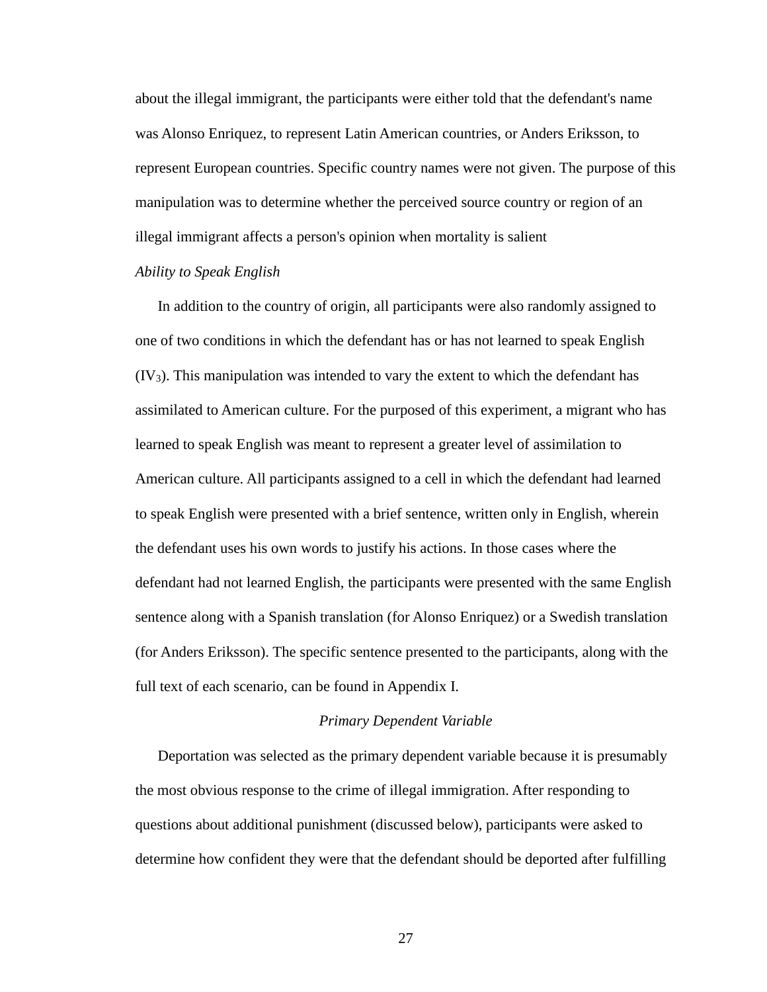about the illegal immigrant, the participants were either told that the defendant's name was Alonso Enriquez, to represent Latin American countries, or Anders Eriksson, to represent European countries. Specific country names were not given. The purpose of this manipulation was to determine whether the perceived source country or region of an illegal immigrant affects a person's opinion when mortality is salient

# *Ability to Speak English*

In addition to the country of origin, all participants were also randomly assigned to one of two conditions in which the defendant has or has not learned to speak English  $(IV<sub>3</sub>)$ . This manipulation was intended to vary the extent to which the defendant has assimilated to American culture. For the purposed of this experiment, a migrant who has learned to speak English was meant to represent a greater level of assimilation to American culture. All participants assigned to a cell in which the defendant had learned to speak English were presented with a brief sentence, written only in English, wherein the defendant uses his own words to justify his actions. In those cases where the defendant had not learned English, the participants were presented with the same English sentence along with a Spanish translation (for Alonso Enriquez) or a Swedish translation (for Anders Eriksson). The specific sentence presented to the participants, along with the full text of each scenario, can be found in Appendix I.

#### *Primary Dependent Variable*

Deportation was selected as the primary dependent variable because it is presumably the most obvious response to the crime of illegal immigration. After responding to questions about additional punishment (discussed below), participants were asked to determine how confident they were that the defendant should be deported after fulfilling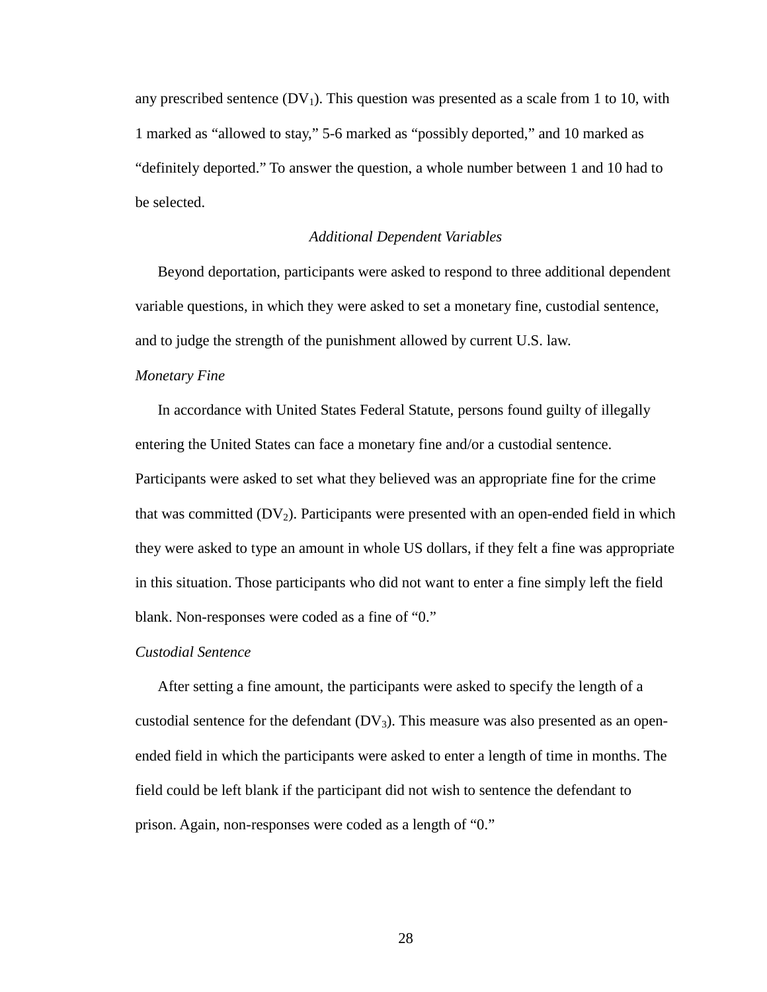any prescribed sentence  $(DV_1)$ . This question was presented as a scale from 1 to 10, with 1 marked as "allowed to stay," 5-6 marked as "possibly deported," and 10 marked as "definitely deported." To answer the question, a whole number between 1 and 10 had to be selected.

#### *Additional Dependent Variables*

Beyond deportation, participants were asked to respond to three additional dependent variable questions, in which they were asked to set a monetary fine, custodial sentence, and to judge the strength of the punishment allowed by current U.S. law.

#### *Monetary Fine*

In accordance with United States Federal Statute, persons found guilty of illegally entering the United States can face a monetary fine and/or a custodial sentence. Participants were asked to set what they believed was an appropriate fine for the crime that was committed  $(DV_2)$ . Participants were presented with an open-ended field in which they were asked to type an amount in whole US dollars, if they felt a fine was appropriate in this situation. Those participants who did not want to enter a fine simply left the field blank. Non-responses were coded as a fine of "0."

#### *Custodial Sentence*

After setting a fine amount, the participants were asked to specify the length of a custodial sentence for the defendant  $(DV_3)$ . This measure was also presented as an openended field in which the participants were asked to enter a length of time in months. The field could be left blank if the participant did not wish to sentence the defendant to prison. Again, non-responses were coded as a length of "0."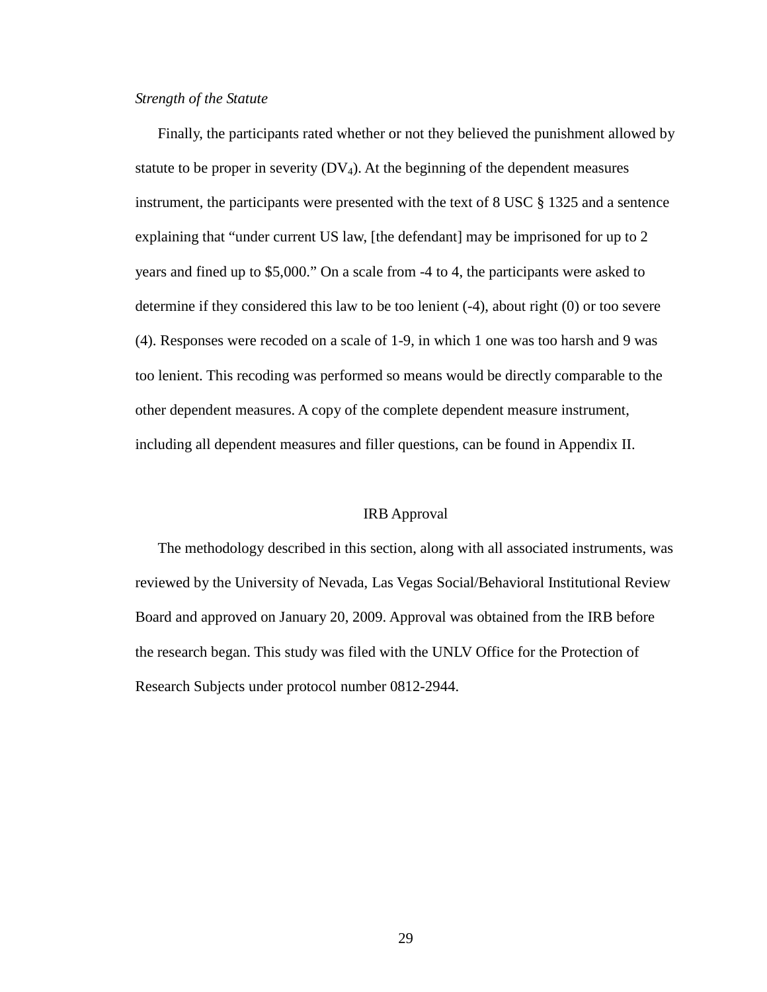# *Strength of the Statute*

Finally, the participants rated whether or not they believed the punishment allowed by statute to be proper in severity  $(DV_4)$ . At the beginning of the dependent measures instrument, the participants were presented with the text of 8 USC § 1325 and a sentence explaining that "under current US law, [the defendant] may be imprisoned for up to 2 years and fined up to \$5,000." On a scale from -4 to 4, the participants were asked to determine if they considered this law to be too lenient (-4), about right (0) or too severe (4). Responses were recoded on a scale of 1-9, in which 1 one was too harsh and 9 was too lenient. This recoding was performed so means would be directly comparable to the other dependent measures. A copy of the complete dependent measure instrument, including all dependent measures and filler questions, can be found in Appendix II.

### IRB Approval

The methodology described in this section, along with all associated instruments, was reviewed by the University of Nevada, Las Vegas Social/Behavioral Institutional Review Board and approved on January 20, 2009. Approval was obtained from the IRB before the research began. This study was filed with the UNLV Office for the Protection of Research Subjects under protocol number 0812-2944.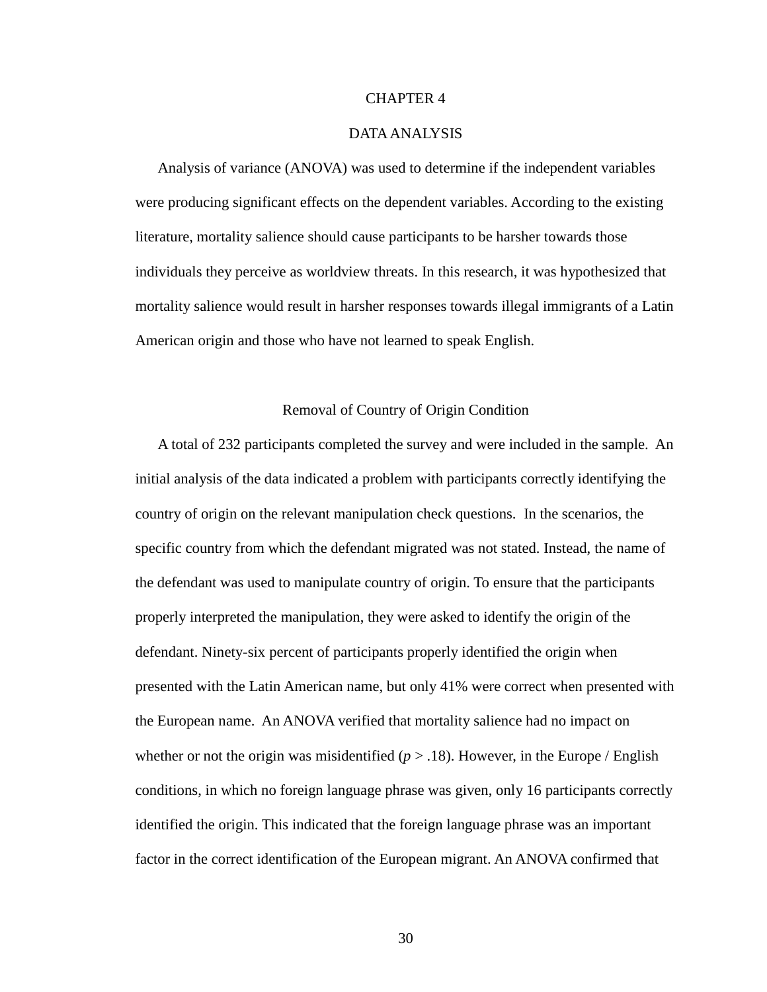### CHAPTER 4

#### DATA ANALYSIS

Analysis of variance (ANOVA) was used to determine if the independent variables were producing significant effects on the dependent variables. According to the existing literature, mortality salience should cause participants to be harsher towards those individuals they perceive as worldview threats. In this research, it was hypothesized that mortality salience would result in harsher responses towards illegal immigrants of a Latin American origin and those who have not learned to speak English.

## Removal of Country of Origin Condition

A total of 232 participants completed the survey and were included in the sample. An initial analysis of the data indicated a problem with participants correctly identifying the country of origin on the relevant manipulation check questions. In the scenarios, the specific country from which the defendant migrated was not stated. Instead, the name of the defendant was used to manipulate country of origin. To ensure that the participants properly interpreted the manipulation, they were asked to identify the origin of the defendant. Ninety-six percent of participants properly identified the origin when presented with the Latin American name, but only 41% were correct when presented with the European name. An ANOVA verified that mortality salience had no impact on whether or not the origin was misidentified  $(p > .18)$ . However, in the Europe / English conditions, in which no foreign language phrase was given, only 16 participants correctly identified the origin. This indicated that the foreign language phrase was an important factor in the correct identification of the European migrant. An ANOVA confirmed that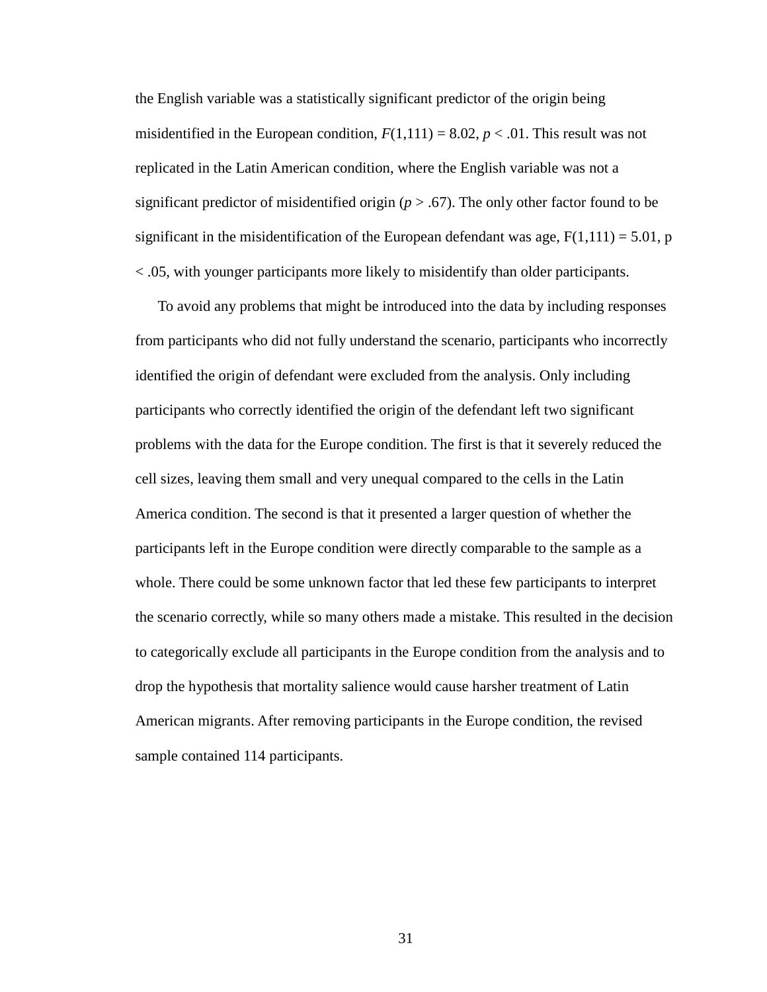the English variable was a statistically significant predictor of the origin being misidentified in the European condition,  $F(1,111) = 8.02$ ,  $p < .01$ . This result was not replicated in the Latin American condition, where the English variable was not a significant predictor of misidentified origin  $(p > .67)$ . The only other factor found to be significant in the misidentification of the European defendant was age,  $F(1,111) = 5.01$ , p < .05, with younger participants more likely to misidentify than older participants.

To avoid any problems that might be introduced into the data by including responses from participants who did not fully understand the scenario, participants who incorrectly identified the origin of defendant were excluded from the analysis. Only including participants who correctly identified the origin of the defendant left two significant problems with the data for the Europe condition. The first is that it severely reduced the cell sizes, leaving them small and very unequal compared to the cells in the Latin America condition. The second is that it presented a larger question of whether the participants left in the Europe condition were directly comparable to the sample as a whole. There could be some unknown factor that led these few participants to interpret the scenario correctly, while so many others made a mistake. This resulted in the decision to categorically exclude all participants in the Europe condition from the analysis and to drop the hypothesis that mortality salience would cause harsher treatment of Latin American migrants. After removing participants in the Europe condition, the revised sample contained 114 participants.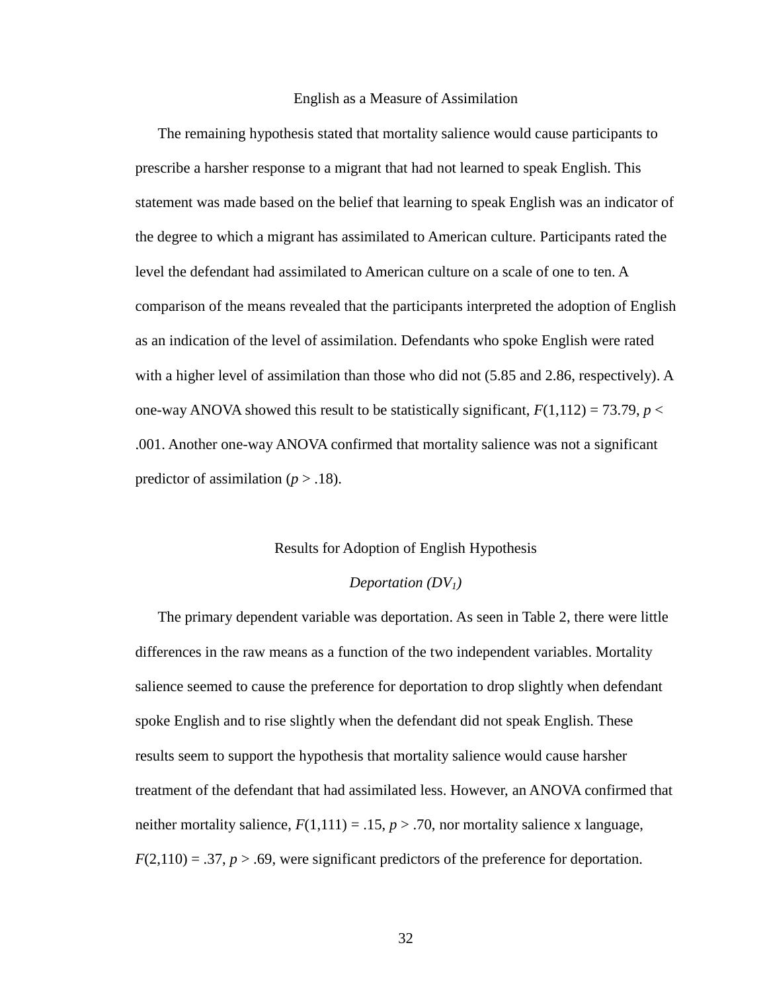#### English as a Measure of Assimilation

The remaining hypothesis stated that mortality salience would cause participants to prescribe a harsher response to a migrant that had not learned to speak English. This statement was made based on the belief that learning to speak English was an indicator of the degree to which a migrant has assimilated to American culture. Participants rated the level the defendant had assimilated to American culture on a scale of one to ten. A comparison of the means revealed that the participants interpreted the adoption of English as an indication of the level of assimilation. Defendants who spoke English were rated with a higher level of assimilation than those who did not (5.85 and 2.86, respectively). A one-way ANOVA showed this result to be statistically significant,  $F(1,112) = 73.79$ ,  $p <$ .001. Another one-way ANOVA confirmed that mortality salience was not a significant predictor of assimilation ( $p > .18$ ).

#### Results for Adoption of English Hypothesis

## *Deportation (DV1)*

The primary dependent variable was deportation. As seen in Table 2, there were little differences in the raw means as a function of the two independent variables. Mortality salience seemed to cause the preference for deportation to drop slightly when defendant spoke English and to rise slightly when the defendant did not speak English. These results seem to support the hypothesis that mortality salience would cause harsher treatment of the defendant that had assimilated less. However, an ANOVA confirmed that neither mortality salience,  $F(1,111) = .15$ ,  $p > .70$ , nor mortality salience x language,  $F(2,110) = .37, p > .69$ , were significant predictors of the preference for deportation.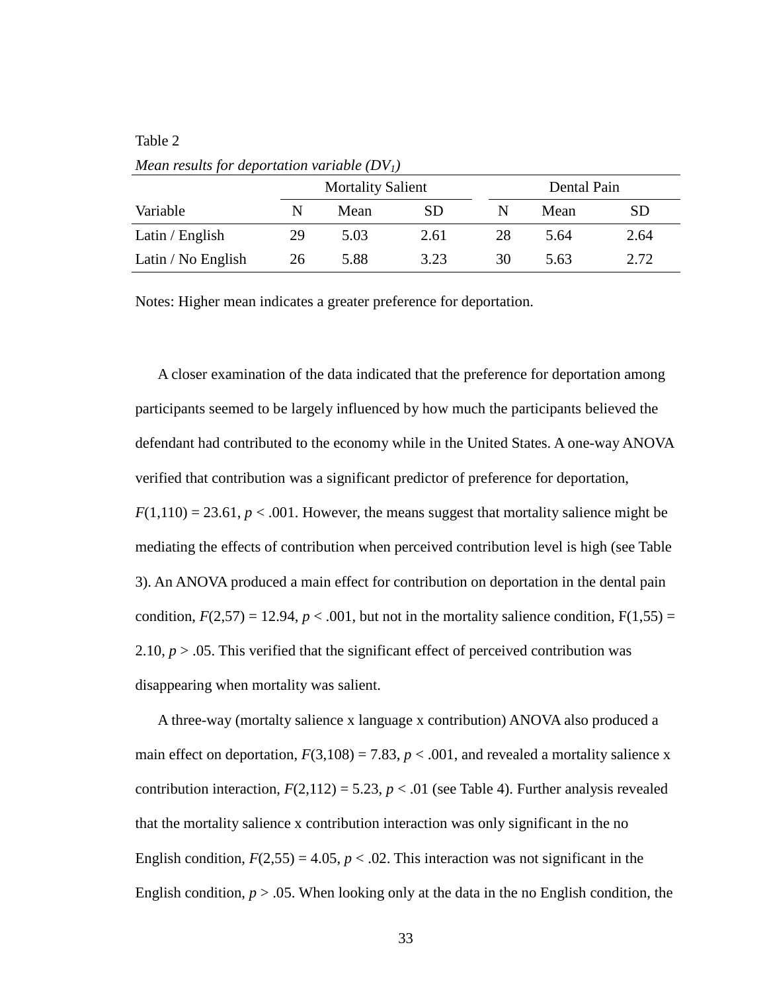### Table 2

| mean results for aeportanon variable (DVT) |    |                          |      |             |      |      |  |  |  |
|--------------------------------------------|----|--------------------------|------|-------------|------|------|--|--|--|
|                                            |    | <b>Mortality Salient</b> |      | Dental Pain |      |      |  |  |  |
| Variable                                   | N  | Mean                     | SD   | N           | Mean | SD   |  |  |  |
| Latin / English                            | 29 | 5.03                     | 2.61 | 28          | 5.64 | 2.64 |  |  |  |
| Latin / No English                         | 26 | 5.88                     | 3.23 | 30          | 5.63 | 2.72 |  |  |  |

*Mean results for deportation variable (DV1)* 

Notes: Higher mean indicates a greater preference for deportation.

A closer examination of the data indicated that the preference for deportation among participants seemed to be largely influenced by how much the participants believed the defendant had contributed to the economy while in the United States. A one-way ANOVA verified that contribution was a significant predictor of preference for deportation,  $F(1,110) = 23.61, p < .001$ . However, the means suggest that mortality salience might be mediating the effects of contribution when perceived contribution level is high (see Table 3). An ANOVA produced a main effect for contribution on deportation in the dental pain condition,  $F(2,57) = 12.94$ ,  $p < .001$ , but not in the mortality salience condition,  $F(1,55) =$ 2.10,  $p > 0.05$ . This verified that the significant effect of perceived contribution was disappearing when mortality was salient.

A three-way (mortalty salience x language x contribution) ANOVA also produced a main effect on deportation,  $F(3,108) = 7.83$ ,  $p < .001$ , and revealed a mortality salience x contribution interaction,  $F(2,112) = 5.23$ ,  $p < .01$  (see Table 4). Further analysis revealed that the mortality salience x contribution interaction was only significant in the no English condition,  $F(2,55) = 4.05$ ,  $p < .02$ . This interaction was not significant in the English condition,  $p > 0.05$ . When looking only at the data in the no English condition, the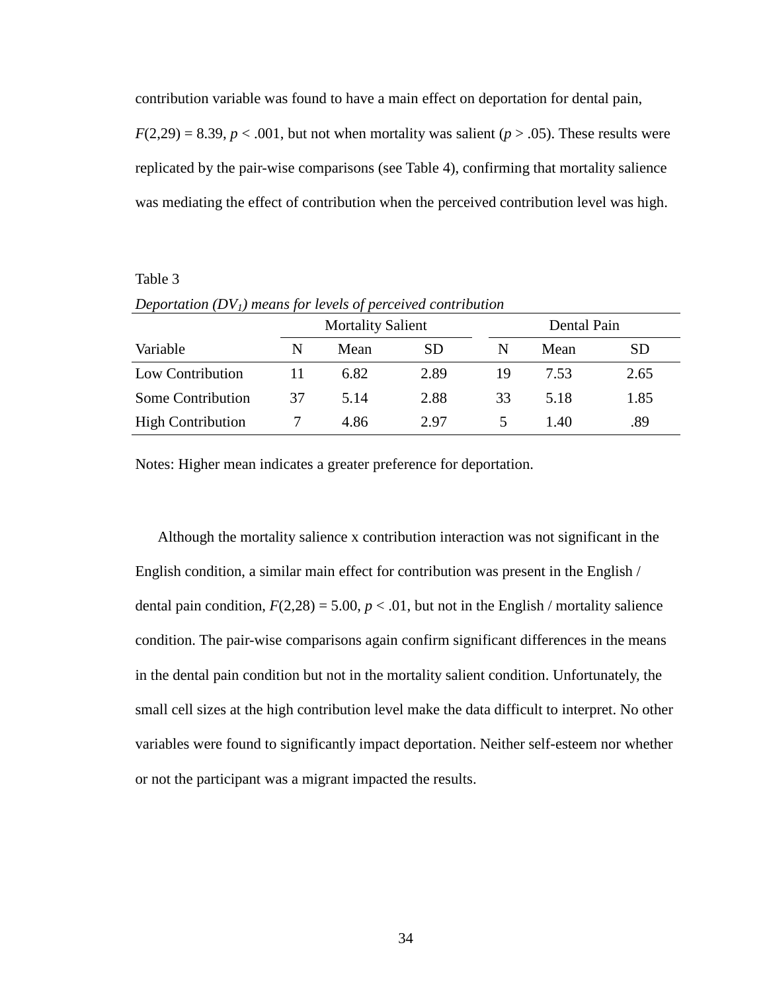contribution variable was found to have a main effect on deportation for dental pain,

 $F(2,29) = 8.39, p < .001$ , but not when mortality was salient ( $p > .05$ ). These results were replicated by the pair-wise comparisons (see Table 4), confirming that mortality salience was mediating the effect of contribution when the perceived contribution level was high.

## Table 3

|                          |    | <b>Mortality Salient</b> |           |    | Dental Pain |           |  |  |
|--------------------------|----|--------------------------|-----------|----|-------------|-----------|--|--|
| Variable                 | N  | Mean                     | <b>SD</b> | N  | Mean        | <b>SD</b> |  |  |
| Low Contribution         |    | 6.82                     | 2.89      | 19 | 7.53        | 2.65      |  |  |
| Some Contribution        | 37 | 5.14                     | 2.88      | 33 | 5.18        | 1.85      |  |  |
| <b>High Contribution</b> |    | 4.86                     | 2.97      |    | 1.40        | .89       |  |  |

*Deportation (DV1) means for levels of perceived contribution* 

Notes: Higher mean indicates a greater preference for deportation.

Although the mortality salience x contribution interaction was not significant in the English condition, a similar main effect for contribution was present in the English / dental pain condition,  $F(2,28) = 5.00$ ,  $p < .01$ , but not in the English / mortality salience condition. The pair-wise comparisons again confirm significant differences in the means in the dental pain condition but not in the mortality salient condition. Unfortunately, the small cell sizes at the high contribution level make the data difficult to interpret. No other variables were found to significantly impact deportation. Neither self-esteem nor whether or not the participant was a migrant impacted the results.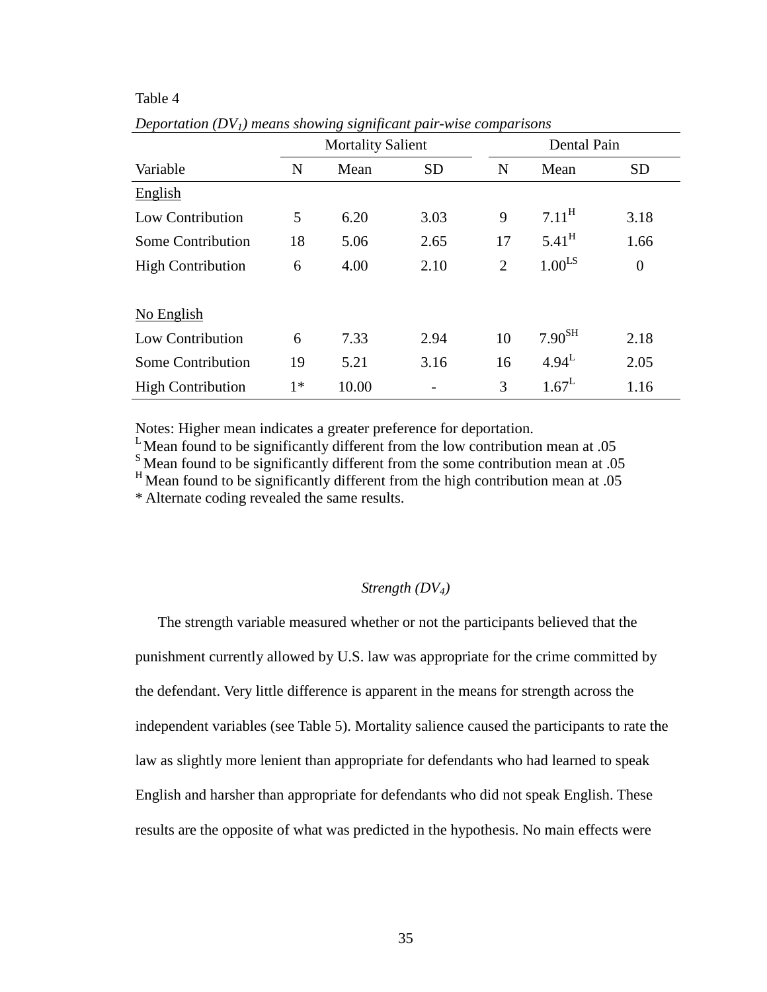### Table 4

|                          |      | <b>Mortality Salient</b> |           | Dental Pain    |                      |                |  |
|--------------------------|------|--------------------------|-----------|----------------|----------------------|----------------|--|
| Variable                 | N    | Mean                     | <b>SD</b> | N              | Mean                 | <b>SD</b>      |  |
| English                  |      |                          |           |                |                      |                |  |
| Low Contribution         | 5    | 6.20                     | 3.03      | 9              | $7.11^{\text{H}}$    | 3.18           |  |
| Some Contribution        | 18   | 5.06                     | 2.65      | 17             | $5.41^{\text{H}}$    | 1.66           |  |
| <b>High Contribution</b> | 6    | 4.00                     | 2.10      | $\overline{2}$ | $1.00$ <sup>LS</sup> | $\overline{0}$ |  |
| No English               |      |                          |           |                |                      |                |  |
| Low Contribution         | 6    | 7.33                     | 2.94      | 10             | 7.90 <sup>SH</sup>   | 2.18           |  |
| Some Contribution        | 19   | 5.21                     | 3.16      | 16             | $4.94^L$             | 2.05           |  |
| <b>High Contribution</b> | $1*$ | 10.00                    |           | 3              | $1.67^L$             | 1.16           |  |
|                          |      |                          |           |                |                      |                |  |

*Deportation (DV1) means showing significant pair-wise comparisons* 

Notes: Higher mean indicates a greater preference for deportation.

 $L$ Mean found to be significantly different from the low contribution mean at .05

<sup>S</sup>Mean found to be significantly different from the some contribution mean at .05

 $H$ Mean found to be significantly different from the high contribution mean at .05

\* Alternate coding revealed the same results.

## *Strength (DV4)*

The strength variable measured whether or not the participants believed that the punishment currently allowed by U.S. law was appropriate for the crime committed by the defendant. Very little difference is apparent in the means for strength across the independent variables (see Table 5). Mortality salience caused the participants to rate the law as slightly more lenient than appropriate for defendants who had learned to speak English and harsher than appropriate for defendants who did not speak English. These results are the opposite of what was predicted in the hypothesis. No main effects were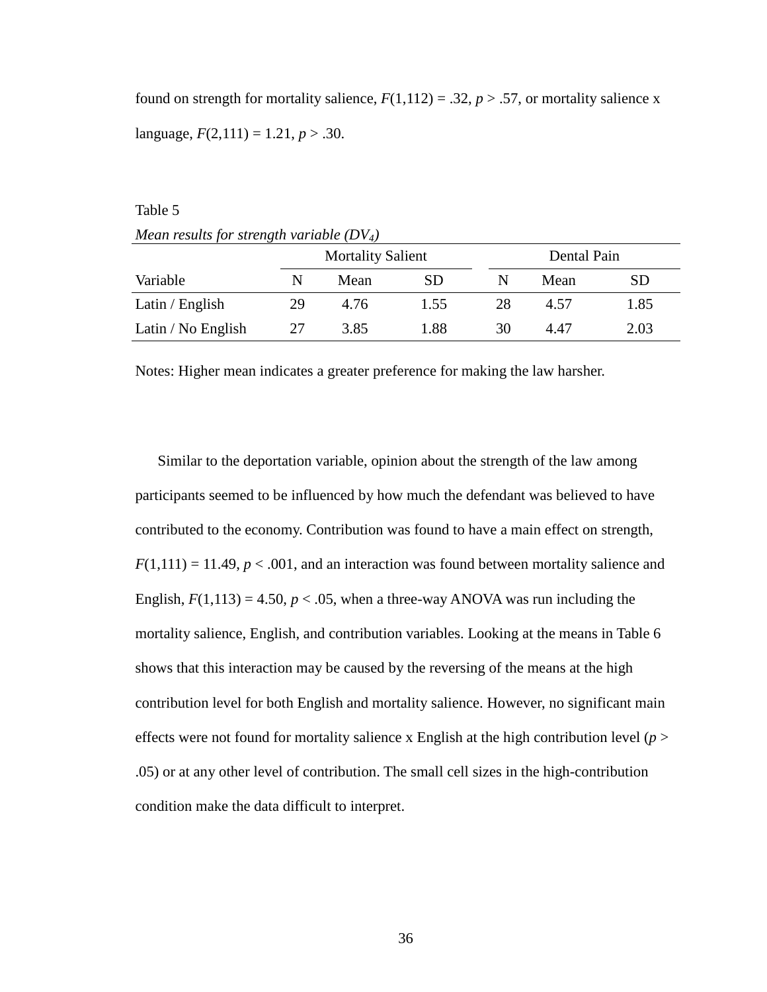found on strength for mortality salience,  $F(1,112) = .32, p > .57$ , or mortality salience x language,  $F(2,111) = 1.21, p > .30$ .

Table 5

*Mean results for strength variable (DV4)* 

|                    |    | <b>Mortality Salient</b> |           |    | Dental Pain |           |  |  |
|--------------------|----|--------------------------|-----------|----|-------------|-----------|--|--|
| Variable           | N  | Mean                     | <b>SD</b> | N  | Mean        | <b>SD</b> |  |  |
| Latin / English    | 29 | 4.76                     | 1.55      | 28 | 4.57        | 1.85      |  |  |
| Latin / No English | 27 | 3.85                     | 1.88      | 30 | 4.47        | 2.03      |  |  |

Notes: Higher mean indicates a greater preference for making the law harsher.

Similar to the deportation variable, opinion about the strength of the law among participants seemed to be influenced by how much the defendant was believed to have contributed to the economy. Contribution was found to have a main effect on strength,  $F(1,111) = 11.49, p < .001$ , and an interaction was found between mortality salience and English,  $F(1,113) = 4.50$ ,  $p < .05$ , when a three-way ANOVA was run including the mortality salience, English, and contribution variables. Looking at the means in Table 6 shows that this interaction may be caused by the reversing of the means at the high contribution level for both English and mortality salience. However, no significant main effects were not found for mortality salience x English at the high contribution level  $(p >$ .05) or at any other level of contribution. The small cell sizes in the high-contribution condition make the data difficult to interpret.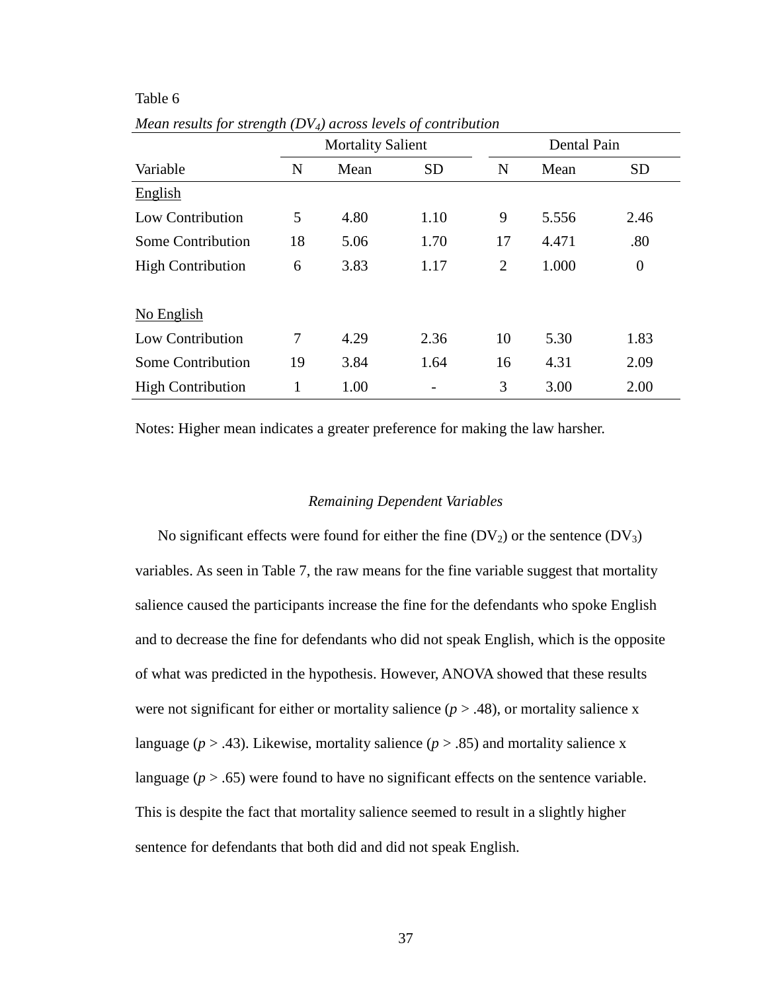## Table 6

|                          |    | <b>Mortality Salient</b> |           | Dental Pain    |       |                |  |
|--------------------------|----|--------------------------|-----------|----------------|-------|----------------|--|
| Variable                 | N  | Mean                     | <b>SD</b> | N              | Mean  | <b>SD</b>      |  |
| <b>English</b>           |    |                          |           |                |       |                |  |
| <b>Low Contribution</b>  | 5  | 4.80                     | 1.10      | 9              | 5.556 | 2.46           |  |
| Some Contribution        | 18 | 5.06                     | 1.70      | 17             | 4.471 | .80            |  |
| <b>High Contribution</b> | 6  | 3.83                     | 1.17      | $\overline{2}$ | 1.000 | $\overline{0}$ |  |
|                          |    |                          |           |                |       |                |  |
| No English               |    |                          |           |                |       |                |  |
| Low Contribution         | 7  | 4.29                     | 2.36      | 10             | 5.30  | 1.83           |  |
| Some Contribution        | 19 | 3.84                     | 1.64      | 16             | 4.31  | 2.09           |  |
| <b>High Contribution</b> | 1  | 1.00                     |           | 3              | 3.00  | 2.00           |  |

*Mean results for strength (DV4) across levels of contribution* 

Notes: Higher mean indicates a greater preference for making the law harsher.

### *Remaining Dependent Variables*

No significant effects were found for either the fine  $(DV_2)$  or the sentence  $(DV_3)$ variables. As seen in Table 7, the raw means for the fine variable suggest that mortality salience caused the participants increase the fine for the defendants who spoke English and to decrease the fine for defendants who did not speak English, which is the opposite of what was predicted in the hypothesis. However, ANOVA showed that these results were not significant for either or mortality salience  $(p > .48)$ , or mortality salience x language ( $p > .43$ ). Likewise, mortality salience ( $p > .85$ ) and mortality salience x language  $(p > .65)$  were found to have no significant effects on the sentence variable. This is despite the fact that mortality salience seemed to result in a slightly higher sentence for defendants that both did and did not speak English.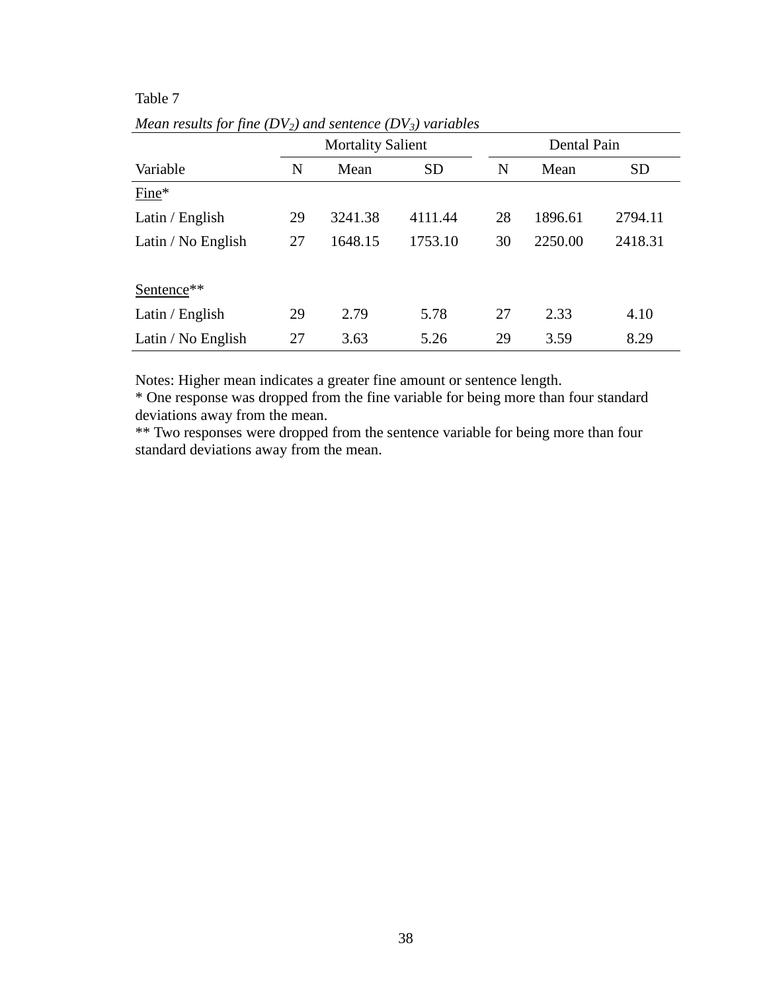# Table 7

|                    |    |                          | ↩ ∕     |             |         |           |  |  |
|--------------------|----|--------------------------|---------|-------------|---------|-----------|--|--|
|                    |    | <b>Mortality Salient</b> |         | Dental Pain |         |           |  |  |
| Variable           | N  | <b>SD</b><br>Mean        |         | N           | Mean    | <b>SD</b> |  |  |
| $Fine*$            |    |                          |         |             |         |           |  |  |
| Latin / English    | 29 | 3241.38                  | 4111.44 | 28          | 1896.61 | 2794.11   |  |  |
| Latin / No English | 27 | 1648.15                  | 1753.10 | 30          | 2250.00 | 2418.31   |  |  |
| Sentence**         |    |                          |         |             |         |           |  |  |
| Latin / English    | 29 |                          | 5.78    | 27          | 2.33    | 4.10      |  |  |
| Latin / No English | 27 | 3.63                     | 5.26    | 29          | 3.59    | 8.29      |  |  |

*Mean results for fine (DV2) and sentence (DV3) variables* 

Notes: Higher mean indicates a greater fine amount or sentence length.

\* One response was dropped from the fine variable for being more than four standard deviations away from the mean.

\*\* Two responses were dropped from the sentence variable for being more than four standard deviations away from the mean.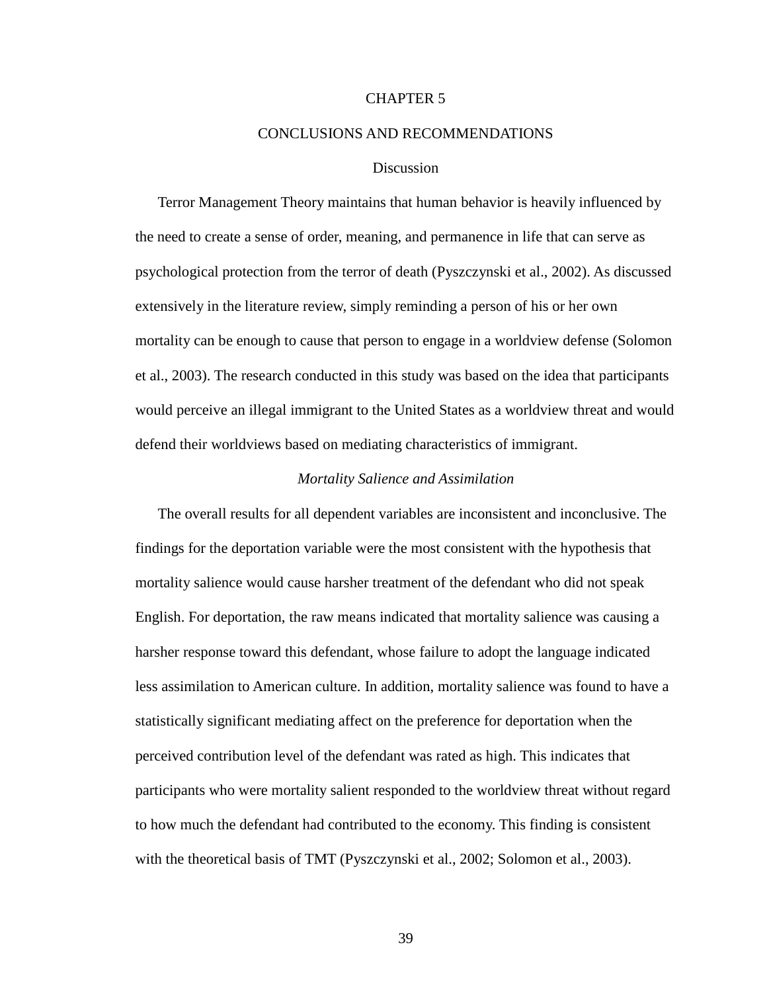### CHAPTER 5

#### CONCLUSIONS AND RECOMMENDATIONS

#### **Discussion**

Terror Management Theory maintains that human behavior is heavily influenced by the need to create a sense of order, meaning, and permanence in life that can serve as psychological protection from the terror of death (Pyszczynski et al., 2002). As discussed extensively in the literature review, simply reminding a person of his or her own mortality can be enough to cause that person to engage in a worldview defense (Solomon et al., 2003). The research conducted in this study was based on the idea that participants would perceive an illegal immigrant to the United States as a worldview threat and would defend their worldviews based on mediating characteristics of immigrant.

#### *Mortality Salience and Assimilation*

The overall results for all dependent variables are inconsistent and inconclusive. The findings for the deportation variable were the most consistent with the hypothesis that mortality salience would cause harsher treatment of the defendant who did not speak English. For deportation, the raw means indicated that mortality salience was causing a harsher response toward this defendant, whose failure to adopt the language indicated less assimilation to American culture. In addition, mortality salience was found to have a statistically significant mediating affect on the preference for deportation when the perceived contribution level of the defendant was rated as high. This indicates that participants who were mortality salient responded to the worldview threat without regard to how much the defendant had contributed to the economy. This finding is consistent with the theoretical basis of TMT (Pyszczynski et al., 2002; Solomon et al., 2003).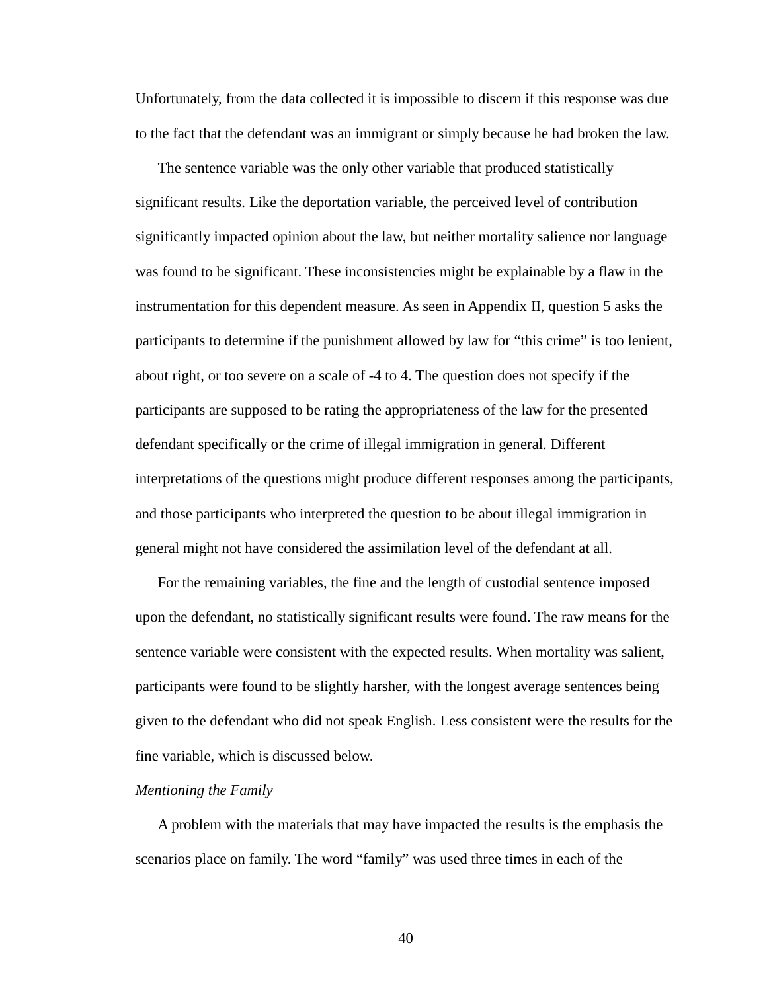Unfortunately, from the data collected it is impossible to discern if this response was due to the fact that the defendant was an immigrant or simply because he had broken the law.

The sentence variable was the only other variable that produced statistically significant results. Like the deportation variable, the perceived level of contribution significantly impacted opinion about the law, but neither mortality salience nor language was found to be significant. These inconsistencies might be explainable by a flaw in the instrumentation for this dependent measure. As seen in Appendix II, question 5 asks the participants to determine if the punishment allowed by law for "this crime" is too lenient, about right, or too severe on a scale of -4 to 4. The question does not specify if the participants are supposed to be rating the appropriateness of the law for the presented defendant specifically or the crime of illegal immigration in general. Different interpretations of the questions might produce different responses among the participants, and those participants who interpreted the question to be about illegal immigration in general might not have considered the assimilation level of the defendant at all.

For the remaining variables, the fine and the length of custodial sentence imposed upon the defendant, no statistically significant results were found. The raw means for the sentence variable were consistent with the expected results. When mortality was salient, participants were found to be slightly harsher, with the longest average sentences being given to the defendant who did not speak English. Less consistent were the results for the fine variable, which is discussed below.

#### *Mentioning the Family*

A problem with the materials that may have impacted the results is the emphasis the scenarios place on family. The word "family" was used three times in each of the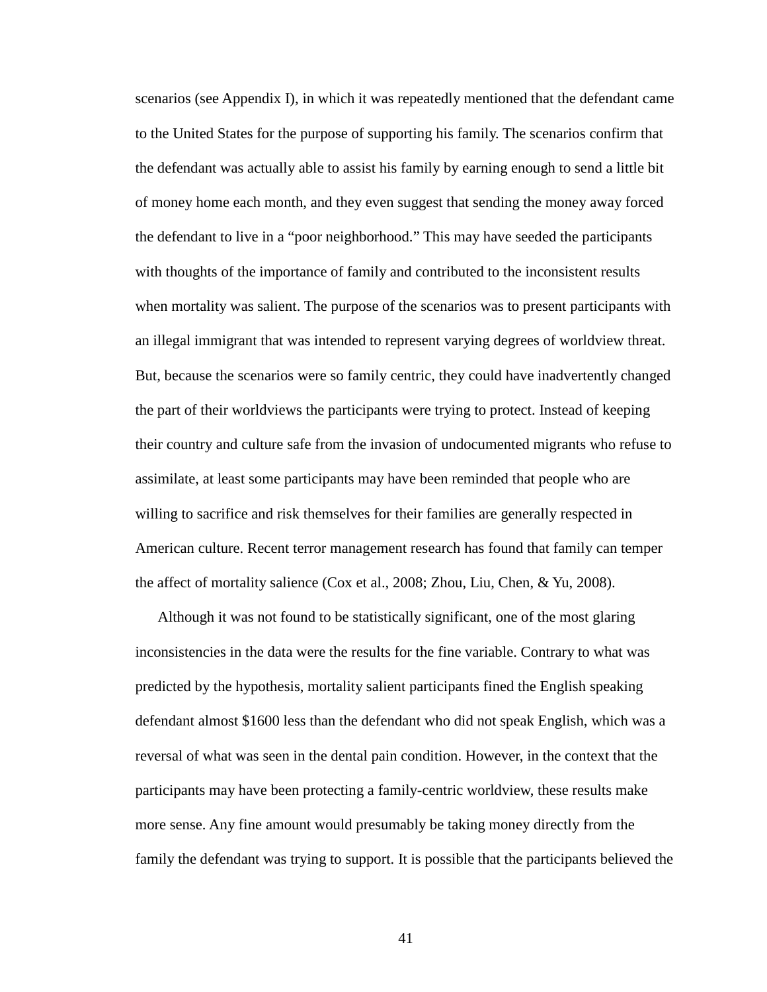scenarios (see Appendix I), in which it was repeatedly mentioned that the defendant came to the United States for the purpose of supporting his family. The scenarios confirm that the defendant was actually able to assist his family by earning enough to send a little bit of money home each month, and they even suggest that sending the money away forced the defendant to live in a "poor neighborhood." This may have seeded the participants with thoughts of the importance of family and contributed to the inconsistent results when mortality was salient. The purpose of the scenarios was to present participants with an illegal immigrant that was intended to represent varying degrees of worldview threat. But, because the scenarios were so family centric, they could have inadvertently changed the part of their worldviews the participants were trying to protect. Instead of keeping their country and culture safe from the invasion of undocumented migrants who refuse to assimilate, at least some participants may have been reminded that people who are willing to sacrifice and risk themselves for their families are generally respected in American culture. Recent terror management research has found that family can temper the affect of mortality salience (Cox et al., 2008; Zhou, Liu, Chen, & Yu, 2008).

Although it was not found to be statistically significant, one of the most glaring inconsistencies in the data were the results for the fine variable. Contrary to what was predicted by the hypothesis, mortality salient participants fined the English speaking defendant almost \$1600 less than the defendant who did not speak English, which was a reversal of what was seen in the dental pain condition. However, in the context that the participants may have been protecting a family-centric worldview, these results make more sense. Any fine amount would presumably be taking money directly from the family the defendant was trying to support. It is possible that the participants believed the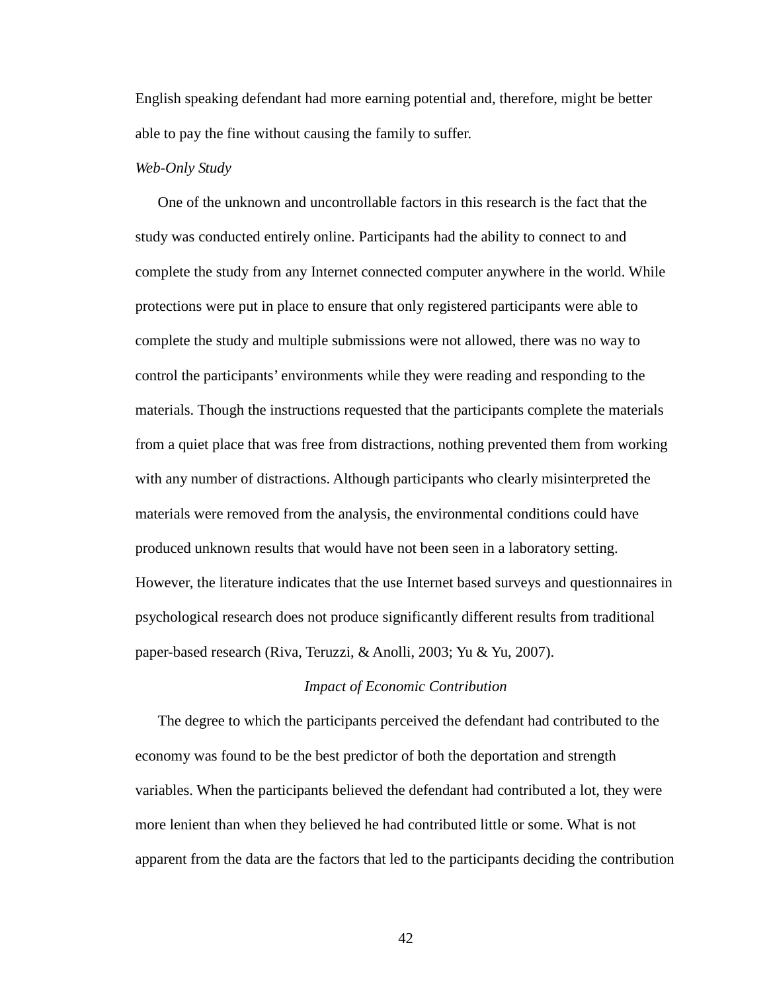English speaking defendant had more earning potential and, therefore, might be better able to pay the fine without causing the family to suffer.

#### *Web-Only Study*

One of the unknown and uncontrollable factors in this research is the fact that the study was conducted entirely online. Participants had the ability to connect to and complete the study from any Internet connected computer anywhere in the world. While protections were put in place to ensure that only registered participants were able to complete the study and multiple submissions were not allowed, there was no way to control the participants' environments while they were reading and responding to the materials. Though the instructions requested that the participants complete the materials from a quiet place that was free from distractions, nothing prevented them from working with any number of distractions. Although participants who clearly misinterpreted the materials were removed from the analysis, the environmental conditions could have produced unknown results that would have not been seen in a laboratory setting. However, the literature indicates that the use Internet based surveys and questionnaires in psychological research does not produce significantly different results from traditional paper-based research (Riva, Teruzzi, & Anolli, 2003; Yu & Yu, 2007).

#### *Impact of Economic Contribution*

The degree to which the participants perceived the defendant had contributed to the economy was found to be the best predictor of both the deportation and strength variables. When the participants believed the defendant had contributed a lot, they were more lenient than when they believed he had contributed little or some. What is not apparent from the data are the factors that led to the participants deciding the contribution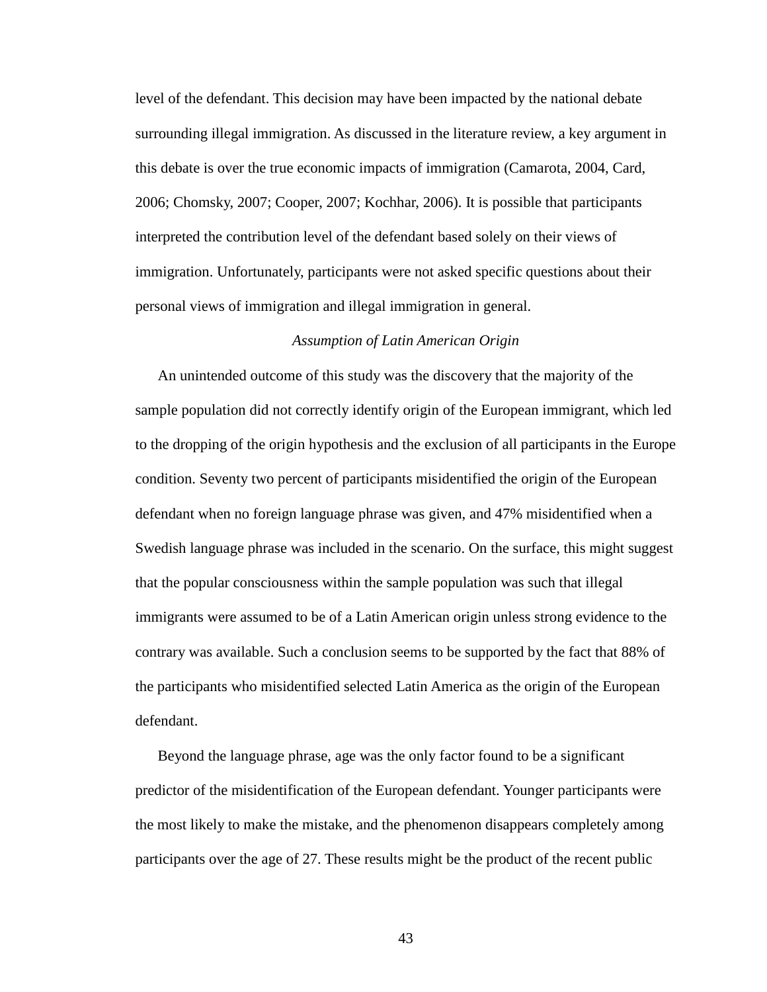level of the defendant. This decision may have been impacted by the national debate surrounding illegal immigration. As discussed in the literature review, a key argument in this debate is over the true economic impacts of immigration (Camarota, 2004, Card, 2006; Chomsky, 2007; Cooper, 2007; Kochhar, 2006). It is possible that participants interpreted the contribution level of the defendant based solely on their views of immigration. Unfortunately, participants were not asked specific questions about their personal views of immigration and illegal immigration in general.

#### *Assumption of Latin American Origin*

An unintended outcome of this study was the discovery that the majority of the sample population did not correctly identify origin of the European immigrant, which led to the dropping of the origin hypothesis and the exclusion of all participants in the Europe condition. Seventy two percent of participants misidentified the origin of the European defendant when no foreign language phrase was given, and 47% misidentified when a Swedish language phrase was included in the scenario. On the surface, this might suggest that the popular consciousness within the sample population was such that illegal immigrants were assumed to be of a Latin American origin unless strong evidence to the contrary was available. Such a conclusion seems to be supported by the fact that 88% of the participants who misidentified selected Latin America as the origin of the European defendant.

Beyond the language phrase, age was the only factor found to be a significant predictor of the misidentification of the European defendant. Younger participants were the most likely to make the mistake, and the phenomenon disappears completely among participants over the age of 27. These results might be the product of the recent public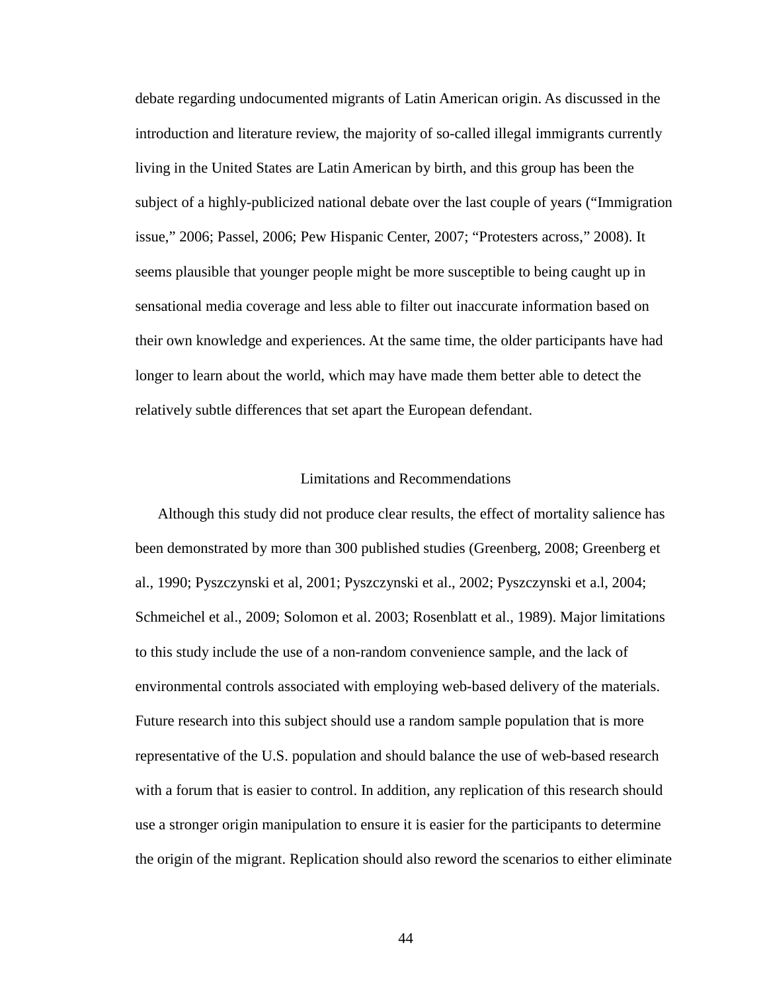debate regarding undocumented migrants of Latin American origin. As discussed in the introduction and literature review, the majority of so-called illegal immigrants currently living in the United States are Latin American by birth, and this group has been the subject of a highly-publicized national debate over the last couple of years ("Immigration issue," 2006; Passel, 2006; Pew Hispanic Center, 2007; "Protesters across," 2008). It seems plausible that younger people might be more susceptible to being caught up in sensational media coverage and less able to filter out inaccurate information based on their own knowledge and experiences. At the same time, the older participants have had longer to learn about the world, which may have made them better able to detect the relatively subtle differences that set apart the European defendant.

## Limitations and Recommendations

Although this study did not produce clear results, the effect of mortality salience has been demonstrated by more than 300 published studies (Greenberg, 2008; Greenberg et al., 1990; Pyszczynski et al, 2001; Pyszczynski et al., 2002; Pyszczynski et a.l, 2004; Schmeichel et al., 2009; Solomon et al. 2003; Rosenblatt et al., 1989). Major limitations to this study include the use of a non-random convenience sample, and the lack of environmental controls associated with employing web-based delivery of the materials. Future research into this subject should use a random sample population that is more representative of the U.S. population and should balance the use of web-based research with a forum that is easier to control. In addition, any replication of this research should use a stronger origin manipulation to ensure it is easier for the participants to determine the origin of the migrant. Replication should also reword the scenarios to either eliminate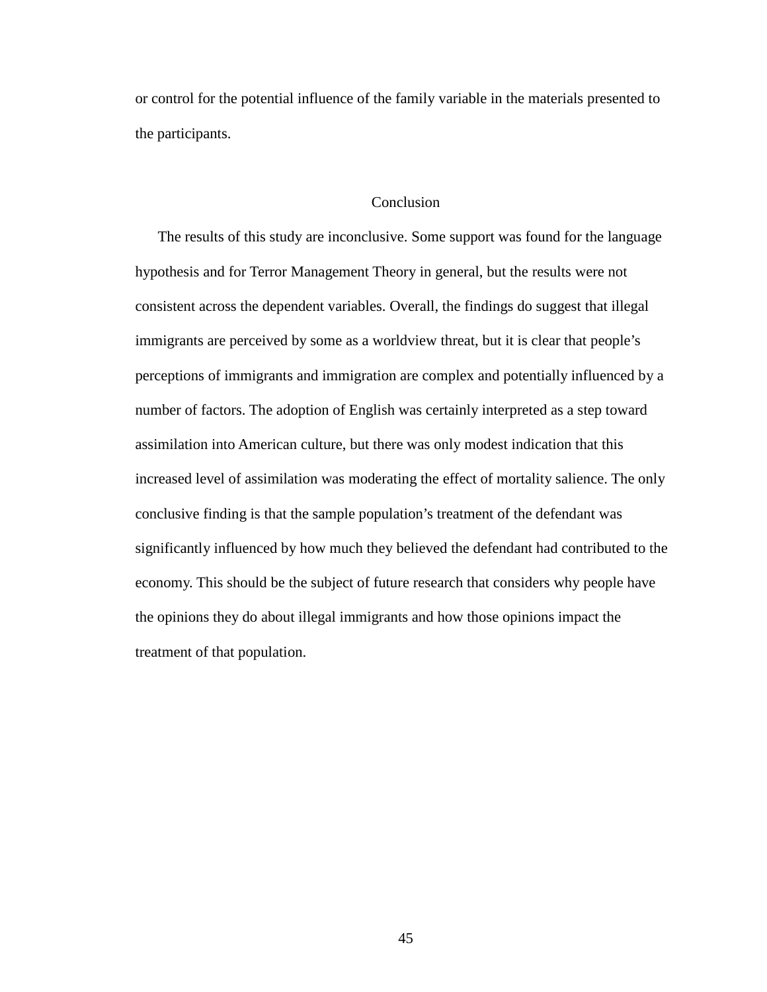or control for the potential influence of the family variable in the materials presented to the participants.

## **Conclusion**

The results of this study are inconclusive. Some support was found for the language hypothesis and for Terror Management Theory in general, but the results were not consistent across the dependent variables. Overall, the findings do suggest that illegal immigrants are perceived by some as a worldview threat, but it is clear that people's perceptions of immigrants and immigration are complex and potentially influenced by a number of factors. The adoption of English was certainly interpreted as a step toward assimilation into American culture, but there was only modest indication that this increased level of assimilation was moderating the effect of mortality salience. The only conclusive finding is that the sample population's treatment of the defendant was significantly influenced by how much they believed the defendant had contributed to the economy. This should be the subject of future research that considers why people have the opinions they do about illegal immigrants and how those opinions impact the treatment of that population.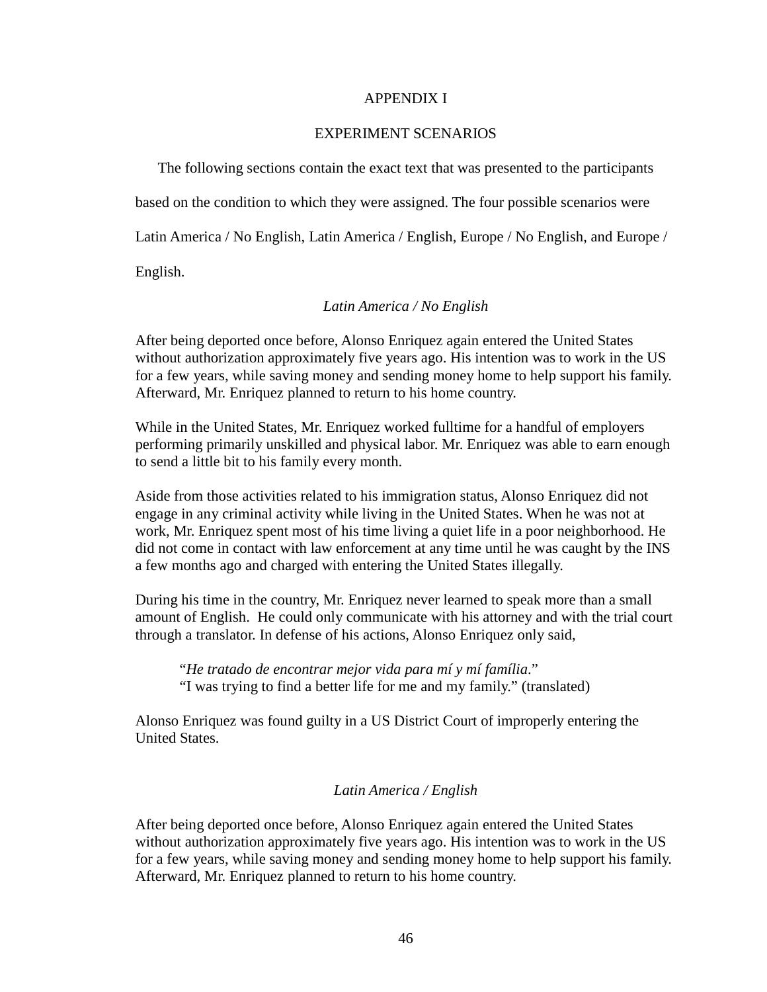## APPENDIX I

## EXPERIMENT SCENARIOS

The following sections contain the exact text that was presented to the participants based on the condition to which they were assigned. The four possible scenarios were Latin America / No English, Latin America / English, Europe / No English, and Europe /

English.

# *Latin America / No English*

After being deported once before, Alonso Enriquez again entered the United States without authorization approximately five years ago. His intention was to work in the US for a few years, while saving money and sending money home to help support his family. Afterward, Mr. Enriquez planned to return to his home country.

While in the United States, Mr. Enriquez worked fulltime for a handful of employers performing primarily unskilled and physical labor. Mr. Enriquez was able to earn enough to send a little bit to his family every month.

Aside from those activities related to his immigration status, Alonso Enriquez did not engage in any criminal activity while living in the United States. When he was not at work, Mr. Enriquez spent most of his time living a quiet life in a poor neighborhood. He did not come in contact with law enforcement at any time until he was caught by the INS a few months ago and charged with entering the United States illegally.

During his time in the country, Mr. Enriquez never learned to speak more than a small amount of English. He could only communicate with his attorney and with the trial court through a translator. In defense of his actions, Alonso Enriquez only said,

 "*He tratado de encontrar mejor vida para mí y mí família*." "I was trying to find a better life for me and my family." (translated)

Alonso Enriquez was found guilty in a US District Court of improperly entering the United States.

# *Latin America / English*

After being deported once before, Alonso Enriquez again entered the United States without authorization approximately five years ago. His intention was to work in the US for a few years, while saving money and sending money home to help support his family. Afterward, Mr. Enriquez planned to return to his home country.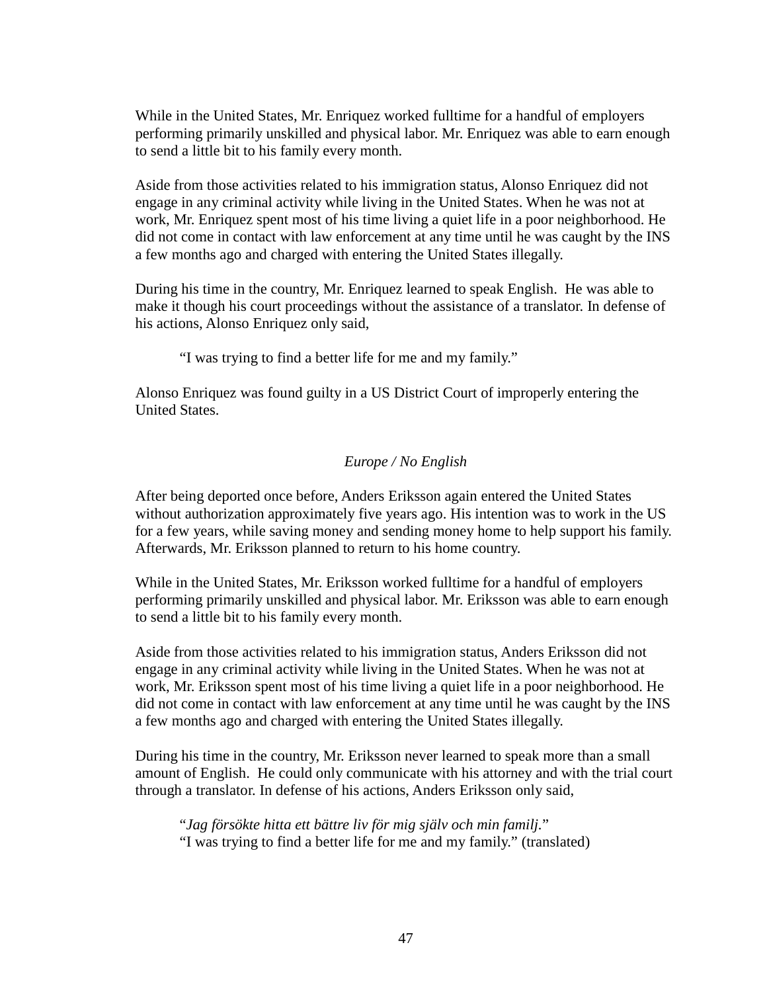While in the United States, Mr. Enriquez worked fulltime for a handful of employers performing primarily unskilled and physical labor. Mr. Enriquez was able to earn enough to send a little bit to his family every month.

Aside from those activities related to his immigration status, Alonso Enriquez did not engage in any criminal activity while living in the United States. When he was not at work, Mr. Enriquez spent most of his time living a quiet life in a poor neighborhood. He did not come in contact with law enforcement at any time until he was caught by the INS a few months ago and charged with entering the United States illegally.

During his time in the country, Mr. Enriquez learned to speak English. He was able to make it though his court proceedings without the assistance of a translator. In defense of his actions, Alonso Enriquez only said,

"I was trying to find a better life for me and my family."

Alonso Enriquez was found guilty in a US District Court of improperly entering the United States.

# *Europe / No English*

After being deported once before, Anders Eriksson again entered the United States without authorization approximately five years ago. His intention was to work in the US for a few years, while saving money and sending money home to help support his family. Afterwards, Mr. Eriksson planned to return to his home country.

While in the United States, Mr. Eriksson worked fulltime for a handful of employers performing primarily unskilled and physical labor. Mr. Eriksson was able to earn enough to send a little bit to his family every month.

Aside from those activities related to his immigration status, Anders Eriksson did not engage in any criminal activity while living in the United States. When he was not at work, Mr. Eriksson spent most of his time living a quiet life in a poor neighborhood. He did not come in contact with law enforcement at any time until he was caught by the INS a few months ago and charged with entering the United States illegally.

During his time in the country, Mr. Eriksson never learned to speak more than a small amount of English. He could only communicate with his attorney and with the trial court through a translator. In defense of his actions, Anders Eriksson only said,

 "*Jag försökte hitta ett bättre liv för mig själv och min familj.*" "I was trying to find a better life for me and my family." (translated)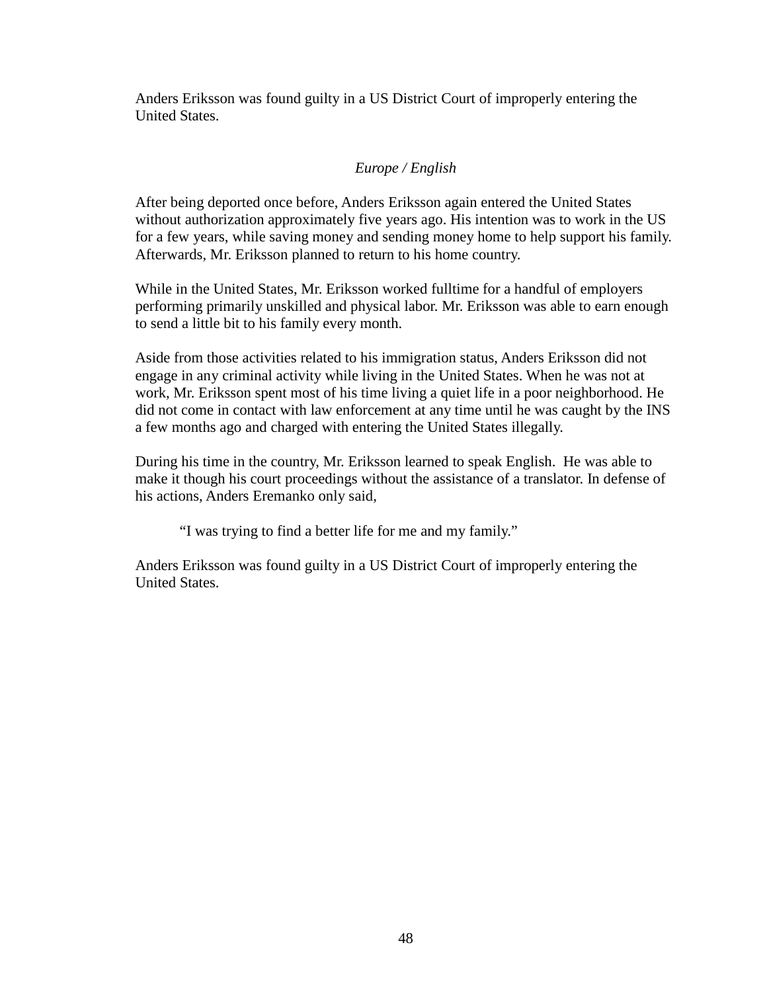Anders Eriksson was found guilty in a US District Court of improperly entering the United States.

# *Europe / English*

After being deported once before, Anders Eriksson again entered the United States without authorization approximately five years ago. His intention was to work in the US for a few years, while saving money and sending money home to help support his family. Afterwards, Mr. Eriksson planned to return to his home country.

While in the United States, Mr. Eriksson worked fulltime for a handful of employers performing primarily unskilled and physical labor. Mr. Eriksson was able to earn enough to send a little bit to his family every month.

Aside from those activities related to his immigration status, Anders Eriksson did not engage in any criminal activity while living in the United States. When he was not at work, Mr. Eriksson spent most of his time living a quiet life in a poor neighborhood. He did not come in contact with law enforcement at any time until he was caught by the INS a few months ago and charged with entering the United States illegally.

During his time in the country, Mr. Eriksson learned to speak English. He was able to make it though his court proceedings without the assistance of a translator. In defense of his actions, Anders Eremanko only said,

"I was trying to find a better life for me and my family."

Anders Eriksson was found guilty in a US District Court of improperly entering the United States.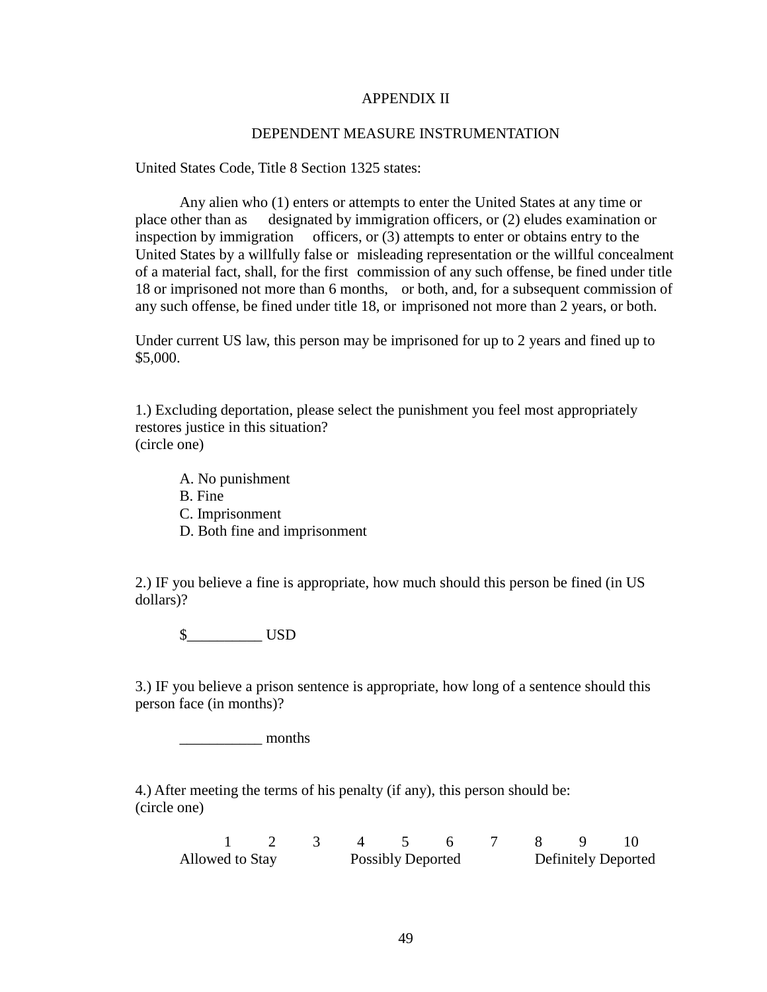## APPENDIX II

#### DEPENDENT MEASURE INSTRUMENTATION

United States Code, Title 8 Section 1325 states:

 Any alien who (1) enters or attempts to enter the United States at any time or place other than as designated by immigration officers, or (2) eludes examination or inspection by immigration officers, or (3) attempts to enter or obtains entry to the United States by a willfully false or misleading representation or the willful concealment of a material fact, shall, for the first commission of any such offense, be fined under title 18 or imprisoned not more than 6 months, or both, and, for a subsequent commission of any such offense, be fined under title 18, or imprisoned not more than 2 years, or both.

Under current US law, this person may be imprisoned for up to 2 years and fined up to \$5,000.

1.) Excluding deportation, please select the punishment you feel most appropriately restores justice in this situation? (circle one)

 A. No punishment B. Fine

- C. Imprisonment
- D. Both fine and imprisonment

2.) IF you believe a fine is appropriate, how much should this person be fined (in US dollars)?

\$\_\_\_\_\_\_\_\_\_\_ USD

3.) IF you believe a prison sentence is appropriate, how long of a sentence should this person face (in months)?

months

4.) After meeting the terms of his penalty (if any), this person should be: (circle one)

|                 |  |  |                          | 1 2 3 4 5 6 7 8 9 10 |  |                            |
|-----------------|--|--|--------------------------|----------------------|--|----------------------------|
| Allowed to Stay |  |  | <b>Possibly Deported</b> |                      |  | <b>Definitely Deported</b> |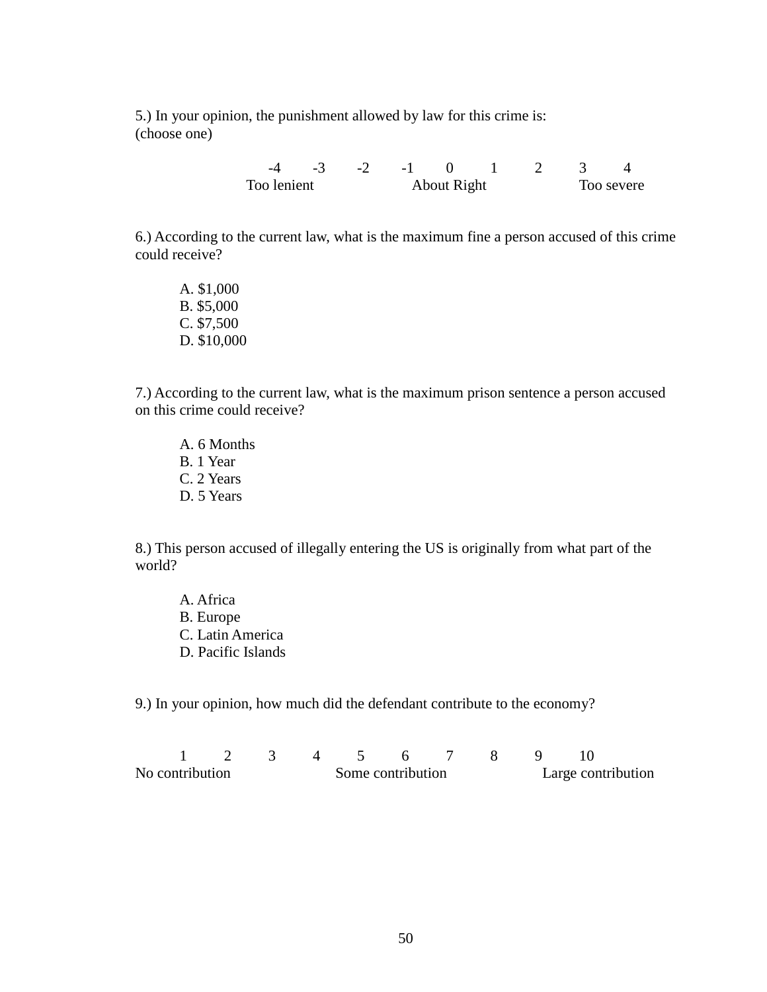5.) In your opinion, the punishment allowed by law for this crime is: (choose one)

> -4 -3 -2 -1 0 1 2 3 4 Too lenient About Right Too severe

6.) According to the current law, what is the maximum fine a person accused of this crime could receive?

 A. \$1,000 B. \$5,000 C. \$7,500 D. \$10,000

7.) According to the current law, what is the maximum prison sentence a person accused on this crime could receive?

 A. 6 Months B. 1 Year C. 2 Years D. 5 Years

8.) This person accused of illegally entering the US is originally from what part of the world?

 A. Africa B. Europe C. Latin America D. Pacific Islands

9.) In your opinion, how much did the defendant contribute to the economy?

| No contribution<br>Some contribution |  |  |  |  |  | Large contribution |  |  |  |
|--------------------------------------|--|--|--|--|--|--------------------|--|--|--|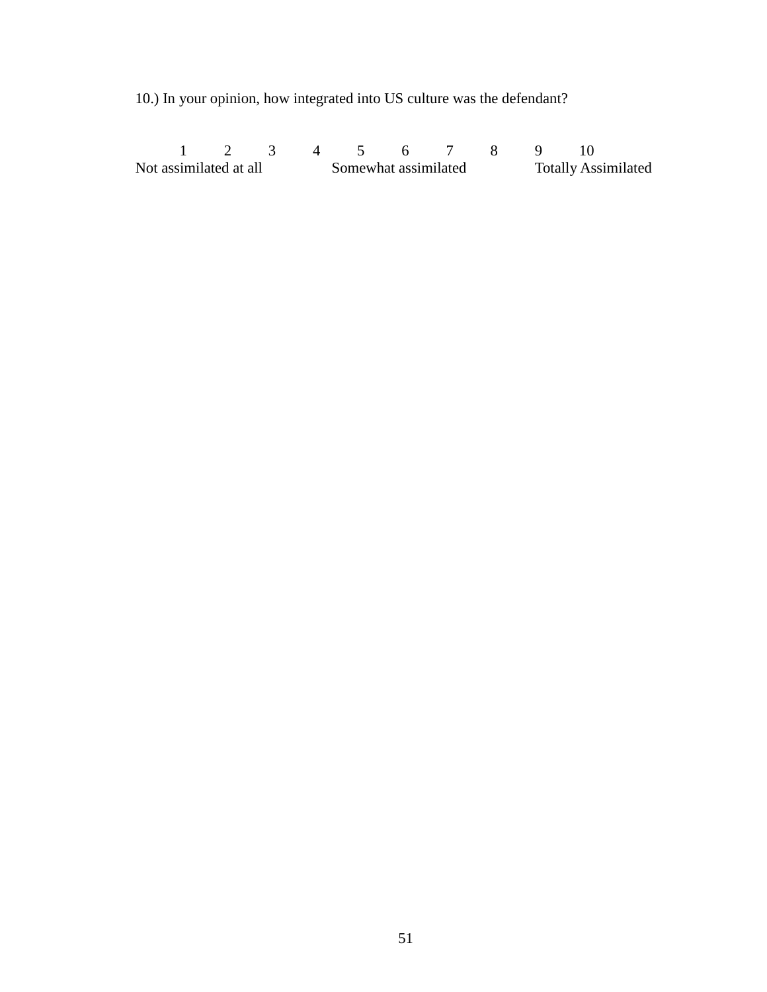10.) In your opinion, how integrated into US culture was the defendant?

 1 2 3 4 5 6 7 8 9 10 Not assimilated at all Somewhat assimilated Totally Assimilated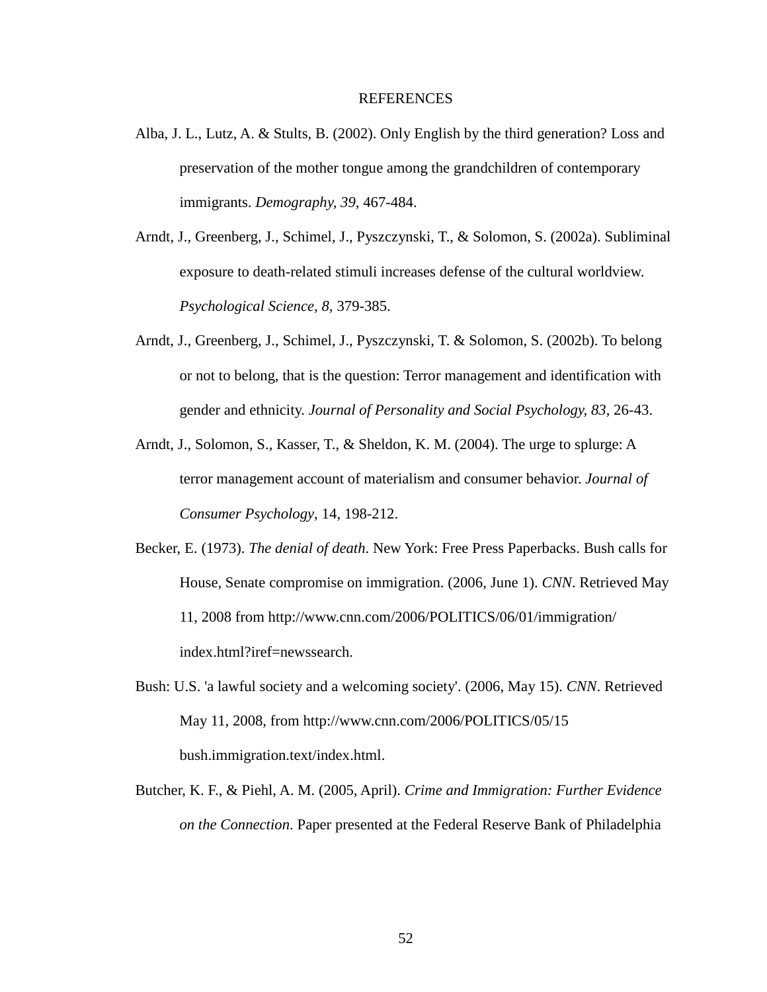#### REFERENCES

- Alba, J. L., Lutz, A. & Stults, B. (2002). Only English by the third generation? Loss and preservation of the mother tongue among the grandchildren of contemporary immigrants. *Demography, 39*, 467-484.
- Arndt, J., Greenberg, J., Schimel, J., Pyszczynski, T., & Solomon, S. (2002a). Subliminal exposure to death-related stimuli increases defense of the cultural worldview. *Psychological Science, 8*, 379-385.
- Arndt, J., Greenberg, J., Schimel, J., Pyszczynski, T. & Solomon, S. (2002b). To belong or not to belong, that is the question: Terror management and identification with gender and ethnicity. *Journal of Personality and Social Psychology, 83*, 26-43.
- Arndt, J., Solomon, S., Kasser, T., & Sheldon, K. M. (2004). The urge to splurge: A terror management account of materialism and consumer behavior. *Journal of Consumer Psychology*, 14, 198-212.
- Becker, E. (1973). *The denial of death*. New York: Free Press Paperbacks. Bush calls for House, Senate compromise on immigration. (2006, June 1). *CNN*. Retrieved May 11, 2008 from http://www.cnn.com/2006/POLITICS/06/01/immigration/ index.html?iref=newssearch.
- Bush: U.S. 'a lawful society and a welcoming society'. (2006, May 15). *CNN*. Retrieved May 11, 2008, from http://www.cnn.com/2006/POLITICS/05/15 bush.immigration.text/index.html.
- Butcher, K. F., & Piehl, A. M. (2005, April). *Crime and Immigration: Further Evidence on the Connection*. Paper presented at the Federal Reserve Bank of Philadelphia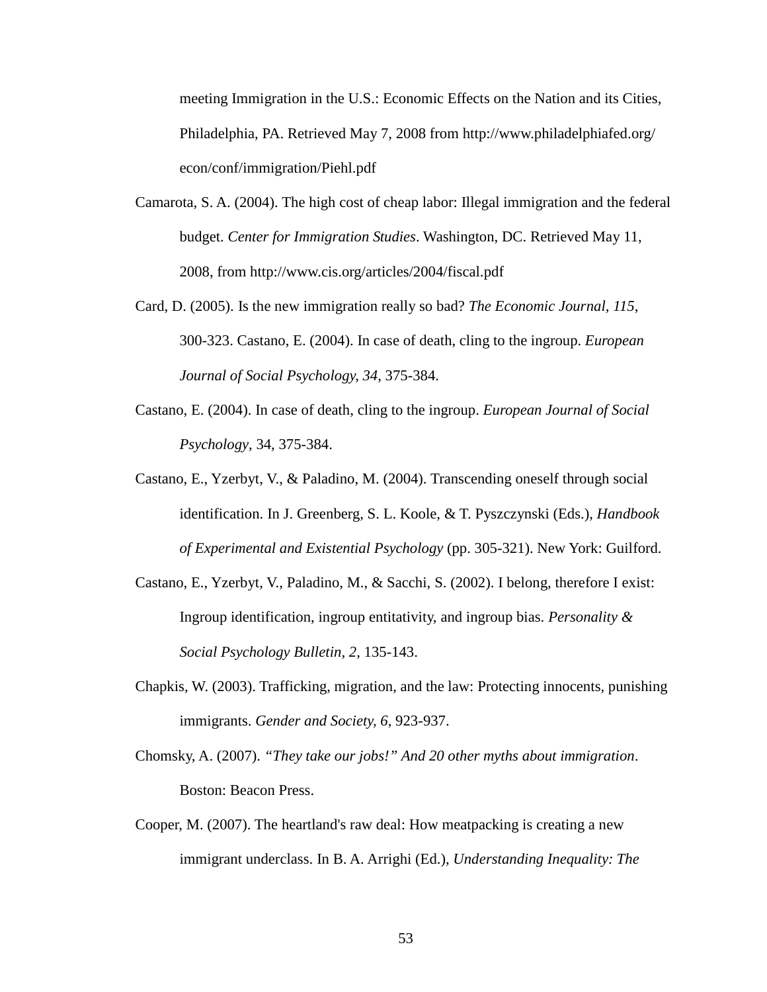meeting Immigration in the U.S.: Economic Effects on the Nation and its Cities, Philadelphia, PA. Retrieved May 7, 2008 from http://www.philadelphiafed.org/ econ/conf/immigration/Piehl.pdf

- Camarota, S. A. (2004). The high cost of cheap labor: Illegal immigration and the federal budget. *Center for Immigration Studies*. Washington, DC. Retrieved May 11, 2008, from http://www.cis.org/articles/2004/fiscal.pdf
- Card, D. (2005). Is the new immigration really so bad? *The Economic Journal, 115*, 300-323. Castano, E. (2004). In case of death, cling to the ingroup. *European Journal of Social Psychology, 34*, 375-384.
- Castano, E. (2004). In case of death, cling to the ingroup. *European Journal of Social Psychology*, 34, 375-384.
- Castano, E., Yzerbyt, V., & Paladino, M. (2004). Transcending oneself through social identification. In J. Greenberg, S. L. Koole, & T. Pyszczynski (Eds.), *Handbook of Experimental and Existential Psychology* (pp. 305-321). New York: Guilford.
- Castano, E., Yzerbyt, V., Paladino, M., & Sacchi, S. (2002). I belong, therefore I exist: Ingroup identification, ingroup entitativity, and ingroup bias. *Personality & Social Psychology Bulletin, 2*, 135-143.
- Chapkis, W. (2003). Trafficking, migration, and the law: Protecting innocents, punishing immigrants. *Gender and Society, 6*, 923-937.
- Chomsky, A. (2007). *"They take our jobs!" And 20 other myths about immigration*. Boston: Beacon Press.
- Cooper, M. (2007). The heartland's raw deal: How meatpacking is creating a new immigrant underclass. In B. A. Arrighi (Ed.), *Understanding Inequality: The*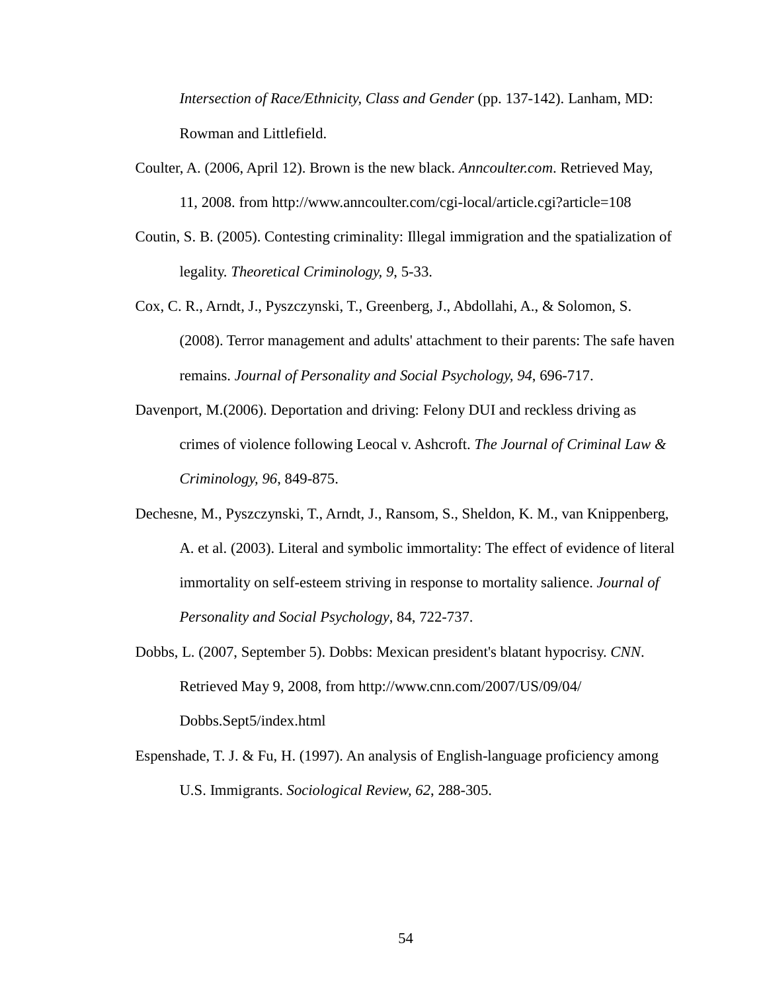*Intersection of Race/Ethnicity, Class and Gender* (pp. 137-142). Lanham, MD: Rowman and Littlefield.

- Coulter, A. (2006, April 12). Brown is the new black. *Anncoulter.com*. Retrieved May, 11, 2008. from http://www.anncoulter.com/cgi-local/article.cgi?article=108
- Coutin, S. B. (2005). Contesting criminality: Illegal immigration and the spatialization of legality. *Theoretical Criminology, 9*, 5-33.
- Cox, C. R., Arndt, J., Pyszczynski, T., Greenberg, J., Abdollahi, A., & Solomon, S. (2008). Terror management and adults' attachment to their parents: The safe haven remains. *Journal of Personality and Social Psychology, 94*, 696-717.
- Davenport, M.(2006). Deportation and driving: Felony DUI and reckless driving as crimes of violence following Leocal v. Ashcroft. *The Journal of Criminal Law & Criminology, 96*, 849-875.
- Dechesne, M., Pyszczynski, T., Arndt, J., Ransom, S., Sheldon, K. M., van Knippenberg, A. et al. (2003). Literal and symbolic immortality: The effect of evidence of literal immortality on self-esteem striving in response to mortality salience. *Journal of Personality and Social Psychology*, 84, 722-737.
- Dobbs, L. (2007, September 5). Dobbs: Mexican president's blatant hypocrisy. *CNN*. Retrieved May 9, 2008, from http://www.cnn.com/2007/US/09/04/ Dobbs.Sept5/index.html
- Espenshade, T. J. & Fu, H. (1997). An analysis of English-language proficiency among U.S. Immigrants. *Sociological Review, 62*, 288-305.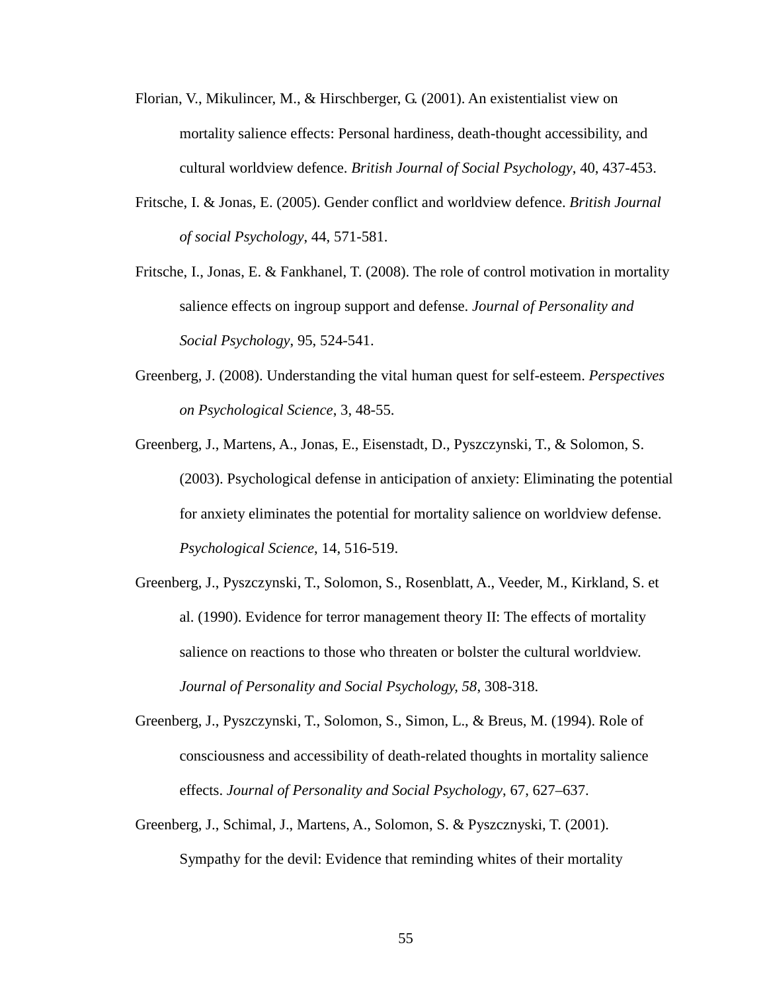- Florian, V., Mikulincer, M., & Hirschberger, G. (2001). An existentialist view on mortality salience effects: Personal hardiness, death-thought accessibility, and cultural worldview defence. *British Journal of Social Psychology*, 40, 437-453.
- Fritsche, I. & Jonas, E. (2005). Gender conflict and worldview defence. *British Journal of social Psychology*, 44, 571-581.
- Fritsche, I., Jonas, E. & Fankhanel, T. (2008). The role of control motivation in mortality salience effects on ingroup support and defense. *Journal of Personality and Social Psychology*, 95, 524-541.
- Greenberg, J. (2008). Understanding the vital human quest for self-esteem. *Perspectives on Psychological Science*, 3, 48-55.
- Greenberg, J., Martens, A., Jonas, E., Eisenstadt, D., Pyszczynski, T., & Solomon, S. (2003). Psychological defense in anticipation of anxiety: Eliminating the potential for anxiety eliminates the potential for mortality salience on worldview defense. *Psychological Science*, 14, 516-519.
- Greenberg, J., Pyszczynski, T., Solomon, S., Rosenblatt, A., Veeder, M., Kirkland, S. et al. (1990). Evidence for terror management theory II: The effects of mortality salience on reactions to those who threaten or bolster the cultural worldview. *Journal of Personality and Social Psychology, 58*, 308-318.
- Greenberg, J., Pyszczynski, T., Solomon, S., Simon, L., & Breus, M. (1994). Role of consciousness and accessibility of death-related thoughts in mortality salience effects. *Journal of Personality and Social Psychology*, 67, 627–637.
- Greenberg, J., Schimal, J., Martens, A., Solomon, S. & Pyszcznyski, T. (2001). Sympathy for the devil: Evidence that reminding whites of their mortality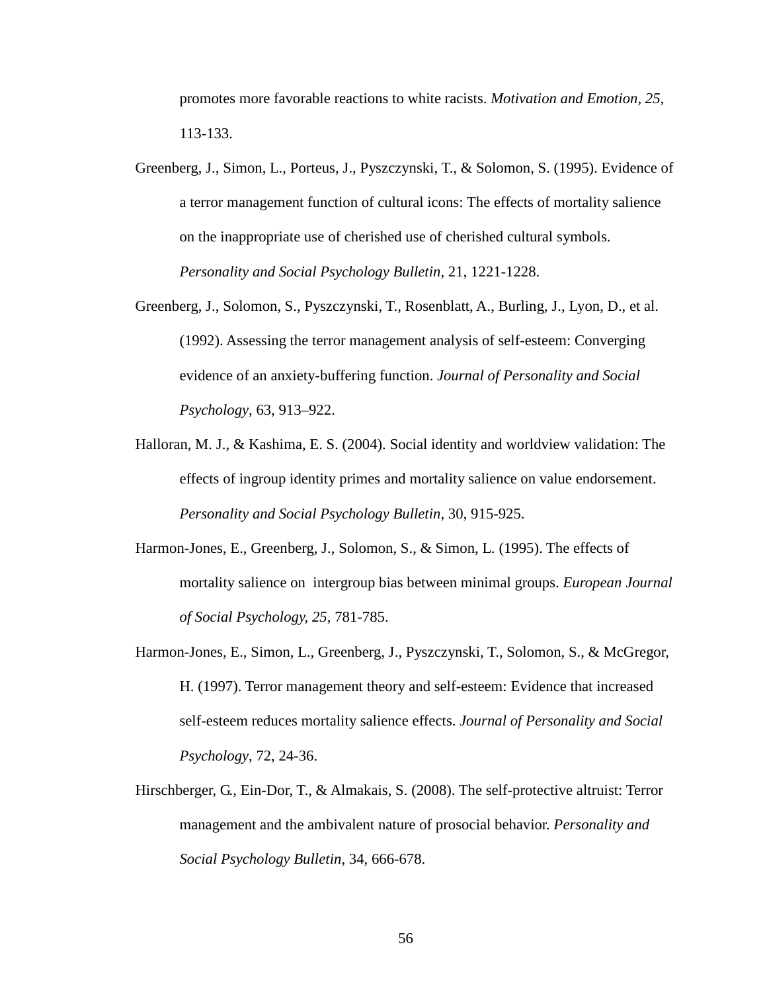promotes more favorable reactions to white racists. *Motivation and Emotion, 25*, 113-133.

- Greenberg, J., Simon, L., Porteus, J., Pyszczynski, T., & Solomon, S. (1995). Evidence of a terror management function of cultural icons: The effects of mortality salience on the inappropriate use of cherished use of cherished cultural symbols. *Personality and Social Psychology Bulletin*, 21, 1221-1228.
- Greenberg, J., Solomon, S., Pyszczynski, T., Rosenblatt, A., Burling, J., Lyon, D., et al. (1992). Assessing the terror management analysis of self-esteem: Converging evidence of an anxiety-buffering function. *Journal of Personality and Social Psychology*, 63, 913–922.
- Halloran, M. J., & Kashima, E. S. (2004). Social identity and worldview validation: The effects of ingroup identity primes and mortality salience on value endorsement. *Personality and Social Psychology Bulletin*, 30, 915-925.
- Harmon-Jones, E., Greenberg, J., Solomon, S., & Simon, L. (1995). The effects of mortality salience on intergroup bias between minimal groups. *European Journal of Social Psychology, 25*, 781-785.
- Harmon-Jones, E., Simon, L., Greenberg, J., Pyszczynski, T., Solomon, S., & McGregor, H. (1997). Terror management theory and self-esteem: Evidence that increased self-esteem reduces mortality salience effects. *Journal of Personality and Social Psychology*, 72, 24-36.
- Hirschberger, G., Ein-Dor, T., & Almakais, S. (2008). The self-protective altruist: Terror management and the ambivalent nature of prosocial behavior. *Personality and Social Psychology Bulletin*, 34, 666-678.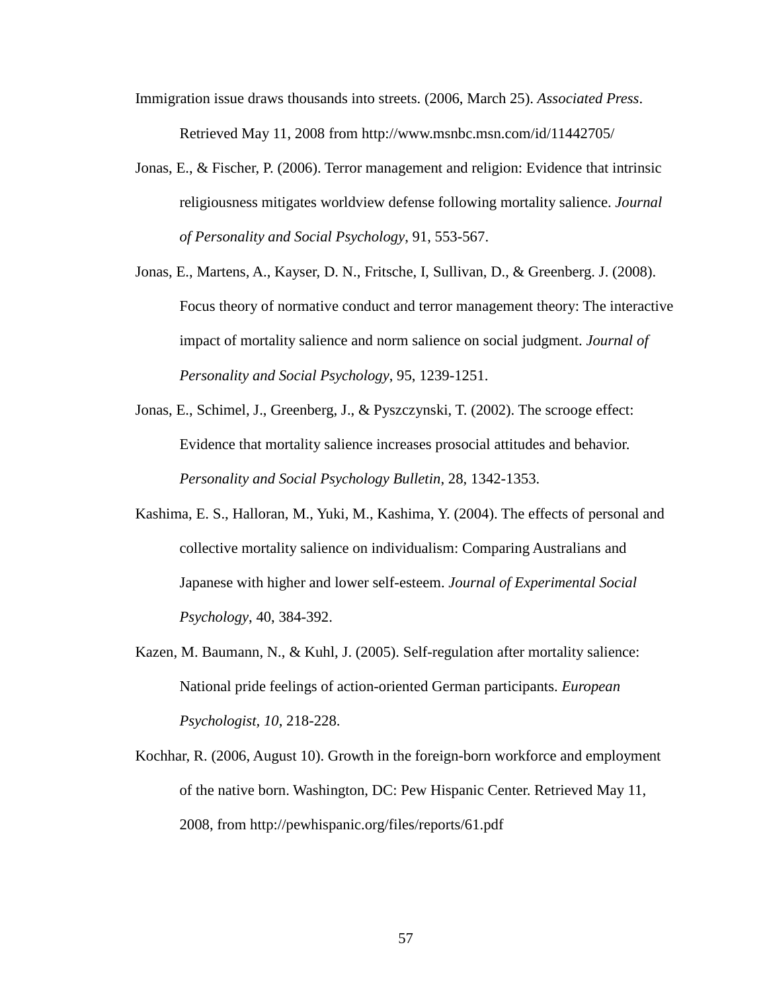Immigration issue draws thousands into streets. (2006, March 25). *Associated Press*. Retrieved May 11, 2008 from http://www.msnbc.msn.com/id/11442705/

- Jonas, E., & Fischer, P. (2006). Terror management and religion: Evidence that intrinsic religiousness mitigates worldview defense following mortality salience. *Journal of Personality and Social Psychology*, 91, 553-567.
- Jonas, E., Martens, A., Kayser, D. N., Fritsche, I, Sullivan, D., & Greenberg. J. (2008). Focus theory of normative conduct and terror management theory: The interactive impact of mortality salience and norm salience on social judgment. *Journal of Personality and Social Psychology*, 95, 1239-1251.
- Jonas, E., Schimel, J., Greenberg, J., & Pyszczynski, T. (2002). The scrooge effect: Evidence that mortality salience increases prosocial attitudes and behavior. *Personality and Social Psychology Bulletin*, 28, 1342-1353.
- Kashima, E. S., Halloran, M., Yuki, M., Kashima, Y. (2004). The effects of personal and collective mortality salience on individualism: Comparing Australians and Japanese with higher and lower self-esteem. *Journal of Experimental Social Psychology*, 40, 384-392.
- Kazen, M. Baumann, N., & Kuhl, J. (2005). Self-regulation after mortality salience: National pride feelings of action-oriented German participants. *European Psychologist, 10*, 218-228.
- Kochhar, R. (2006, August 10). Growth in the foreign-born workforce and employment of the native born. Washington, DC: Pew Hispanic Center. Retrieved May 11, 2008, from http://pewhispanic.org/files/reports/61.pdf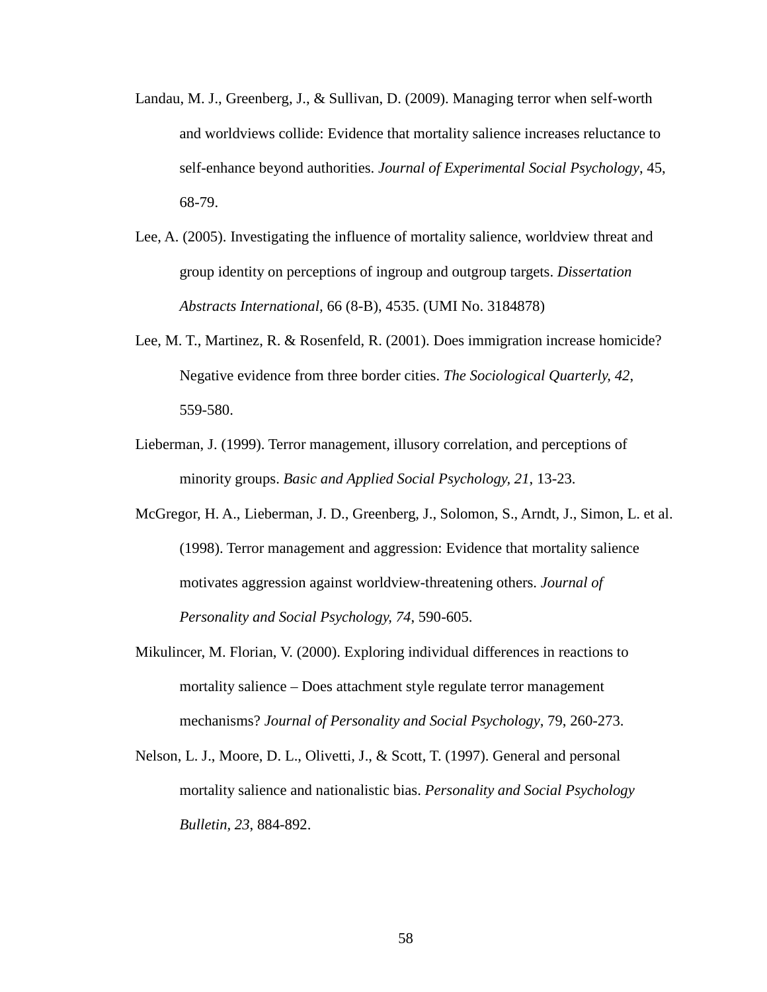- Landau, M. J., Greenberg, J., & Sullivan, D. (2009). Managing terror when self-worth and worldviews collide: Evidence that mortality salience increases reluctance to self-enhance beyond authorities. *Journal of Experimental Social Psychology*, 45, 68-79.
- Lee, A. (2005). Investigating the influence of mortality salience, worldview threat and group identity on perceptions of ingroup and outgroup targets. *Dissertation Abstracts International,* 66 (8-B), 4535. (UMI No. 3184878)
- Lee, M. T., Martinez, R. & Rosenfeld, R. (2001). Does immigration increase homicide? Negative evidence from three border cities. *The Sociological Quarterly, 42*, 559-580.
- Lieberman, J. (1999). Terror management, illusory correlation, and perceptions of minority groups. *Basic and Applied Social Psychology, 21*, 13-23.
- McGregor, H. A., Lieberman, J. D., Greenberg, J., Solomon, S., Arndt, J., Simon, L. et al. (1998). Terror management and aggression: Evidence that mortality salience motivates aggression against worldview-threatening others. *Journal of Personality and Social Psychology, 74*, 590-605.
- Mikulincer, M. Florian, V. (2000). Exploring individual differences in reactions to mortality salience – Does attachment style regulate terror management mechanisms? *Journal of Personality and Social Psychology*, 79, 260-273.
- Nelson, L. J., Moore, D. L., Olivetti, J., & Scott, T. (1997). General and personal mortality salience and nationalistic bias. *Personality and Social Psychology Bulletin, 23*, 884-892.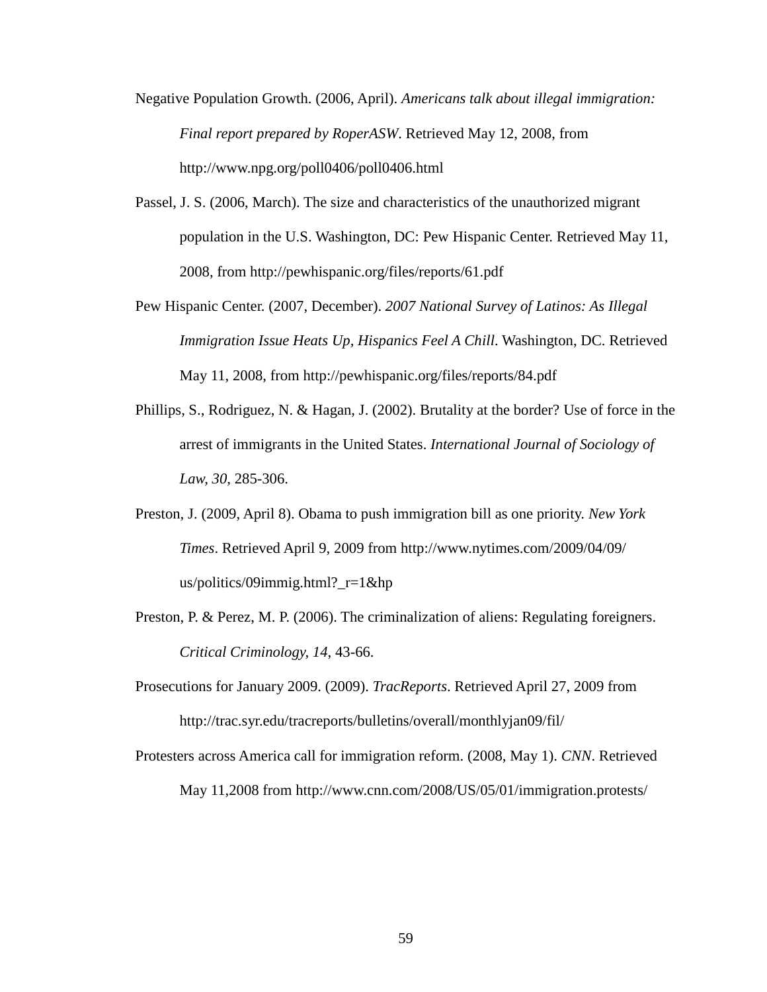- Negative Population Growth. (2006, April). *Americans talk about illegal immigration: Final report prepared by RoperASW*. Retrieved May 12, 2008, from http://www.npg.org/poll0406/poll0406.html
- Passel, J. S. (2006, March). The size and characteristics of the unauthorized migrant population in the U.S. Washington, DC: Pew Hispanic Center. Retrieved May 11, 2008, from http://pewhispanic.org/files/reports/61.pdf
- Pew Hispanic Center. (2007, December). *2007 National Survey of Latinos: As Illegal Immigration Issue Heats Up, Hispanics Feel A Chill. Washington, DC. Retrieved* May 11, 2008, from http://pewhispanic.org/files/reports/84.pdf
- Phillips, S., Rodriguez, N. & Hagan, J. (2002). Brutality at the border? Use of force in the arrest of immigrants in the United States. *International Journal of Sociology of Law, 30*, 285-306.
- Preston, J. (2009, April 8). Obama to push immigration bill as one priority. *New York Times*. Retrieved April 9, 2009 from http://www.nytimes.com/2009/04/09/ us/politics/09immig.html?\_r=1&hp
- Preston, P. & Perez, M. P. (2006). The criminalization of aliens: Regulating foreigners. *Critical Criminology, 14*, 43-66.
- Prosecutions for January 2009. (2009). *TracReports*. Retrieved April 27, 2009 from http://trac.syr.edu/tracreports/bulletins/overall/monthlyjan09/fil/
- Protesters across America call for immigration reform. (2008, May 1). *CNN*. Retrieved May 11,2008 from http://www.cnn.com/2008/US/05/01/immigration.protests/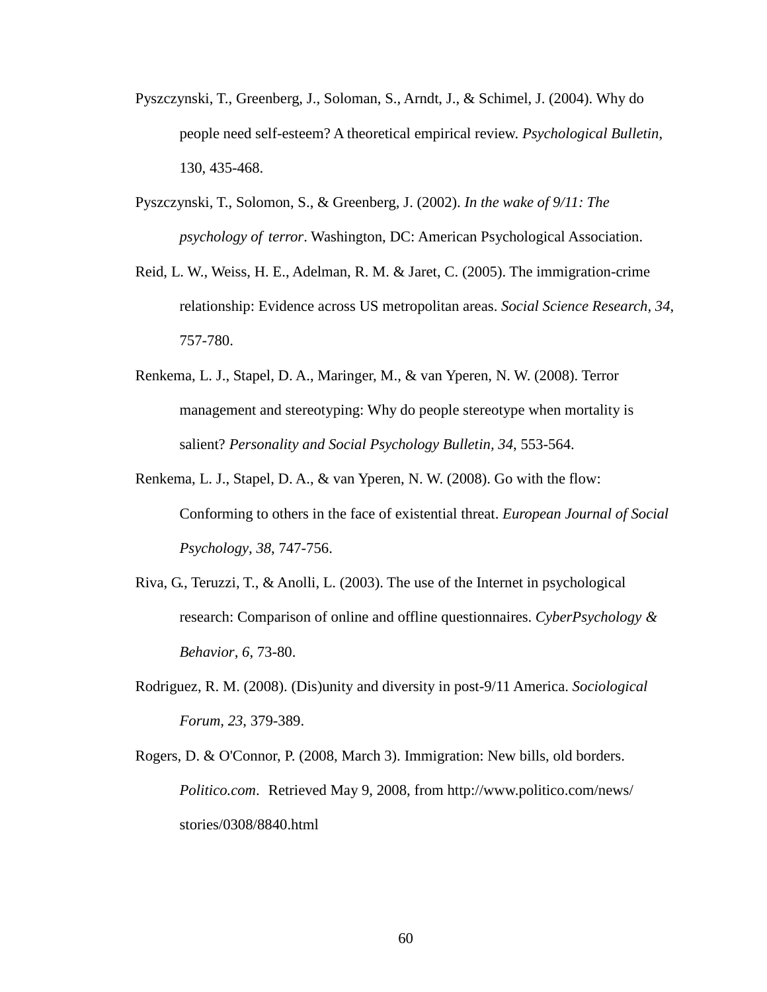- Pyszczynski, T., Greenberg, J., Soloman, S., Arndt, J., & Schimel, J. (2004). Why do people need self-esteem? A theoretical empirical review. *Psychological Bulletin*, 130, 435-468.
- Pyszczynski, T., Solomon, S., & Greenberg, J. (2002). *In the wake of 9/11: The psychology of terror*. Washington, DC: American Psychological Association.
- Reid, L. W., Weiss, H. E., Adelman, R. M. & Jaret, C. (2005). The immigration-crime relationship: Evidence across US metropolitan areas. *Social Science Research, 34*, 757-780.
- Renkema, L. J., Stapel, D. A., Maringer, M., & van Yperen, N. W. (2008). Terror management and stereotyping: Why do people stereotype when mortality is salient? *Personality and Social Psychology Bulletin, 34*, 553-564.
- Renkema, L. J., Stapel, D. A., & van Yperen, N. W. (2008). Go with the flow: Conforming to others in the face of existential threat. *European Journal of Social Psychology, 38*, 747-756.
- Riva, G., Teruzzi, T., & Anolli, L. (2003). The use of the Internet in psychological research: Comparison of online and offline questionnaires. *CyberPsychology & Behavior*, *6*, 73-80.
- Rodriguez, R. M. (2008). (Dis)unity and diversity in post-9/11 America. *Sociological Forum, 23*, 379-389.
- Rogers, D. & O'Connor, P. (2008, March 3). Immigration: New bills, old borders. *Politico.com*. Retrieved May 9, 2008, from http://www.politico.com/news/ stories/0308/8840.html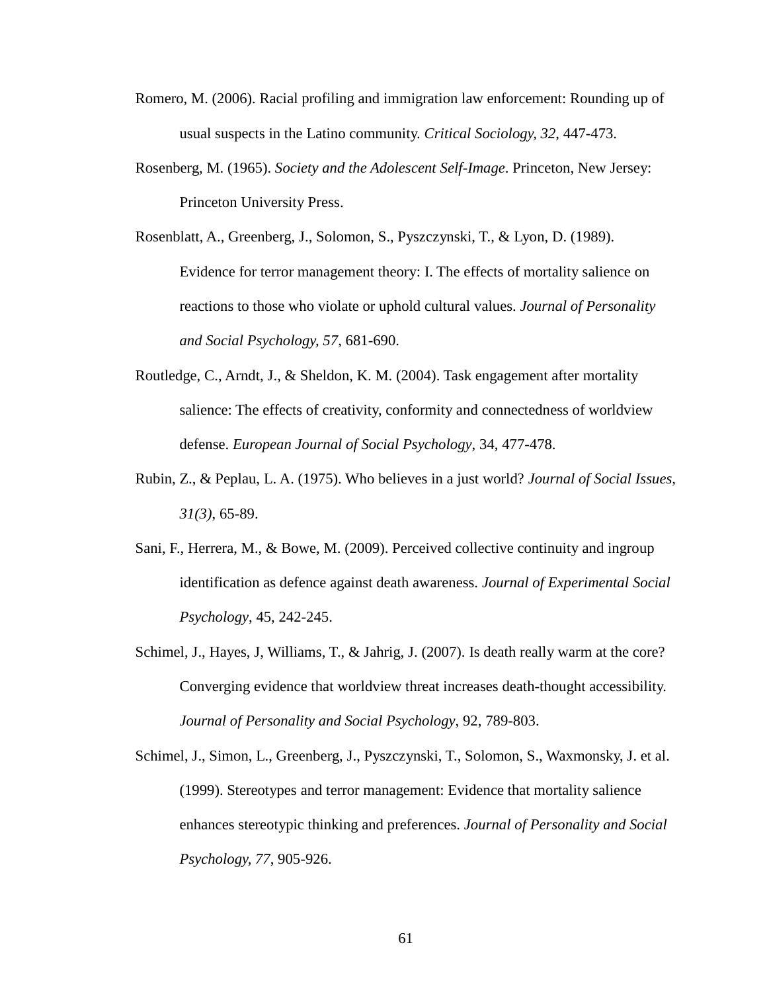- Romero, M. (2006). Racial profiling and immigration law enforcement: Rounding up of usual suspects in the Latino community. *Critical Sociology, 32*, 447-473.
- Rosenberg, M. (1965). *Society and the Adolescent Self-Image*. Princeton, New Jersey: Princeton University Press.
- Rosenblatt, A., Greenberg, J., Solomon, S., Pyszczynski, T., & Lyon, D. (1989). Evidence for terror management theory: I. The effects of mortality salience on reactions to those who violate or uphold cultural values. *Journal of Personality and Social Psychology, 57*, 681-690.
- Routledge, C., Arndt, J., & Sheldon, K. M. (2004). Task engagement after mortality salience: The effects of creativity, conformity and connectedness of worldview defense. *European Journal of Social Psychology*, 34, 477-478.
- Rubin, Z., & Peplau, L. A. (1975). Who believes in a just world? *Journal of Social Issues, 31(3)*, 65-89.
- Sani, F., Herrera, M., & Bowe, M. (2009). Perceived collective continuity and ingroup identification as defence against death awareness. *Journal of Experimental Social Psychology*, 45, 242-245.
- Schimel, J., Hayes, J, Williams, T., & Jahrig, J. (2007). Is death really warm at the core? Converging evidence that worldview threat increases death-thought accessibility. *Journal of Personality and Social Psychology*, 92, 789-803.
- Schimel, J., Simon, L., Greenberg, J., Pyszczynski, T., Solomon, S., Waxmonsky, J. et al. (1999). Stereotypes and terror management: Evidence that mortality salience enhances stereotypic thinking and preferences. *Journal of Personality and Social Psychology, 77*, 905-926.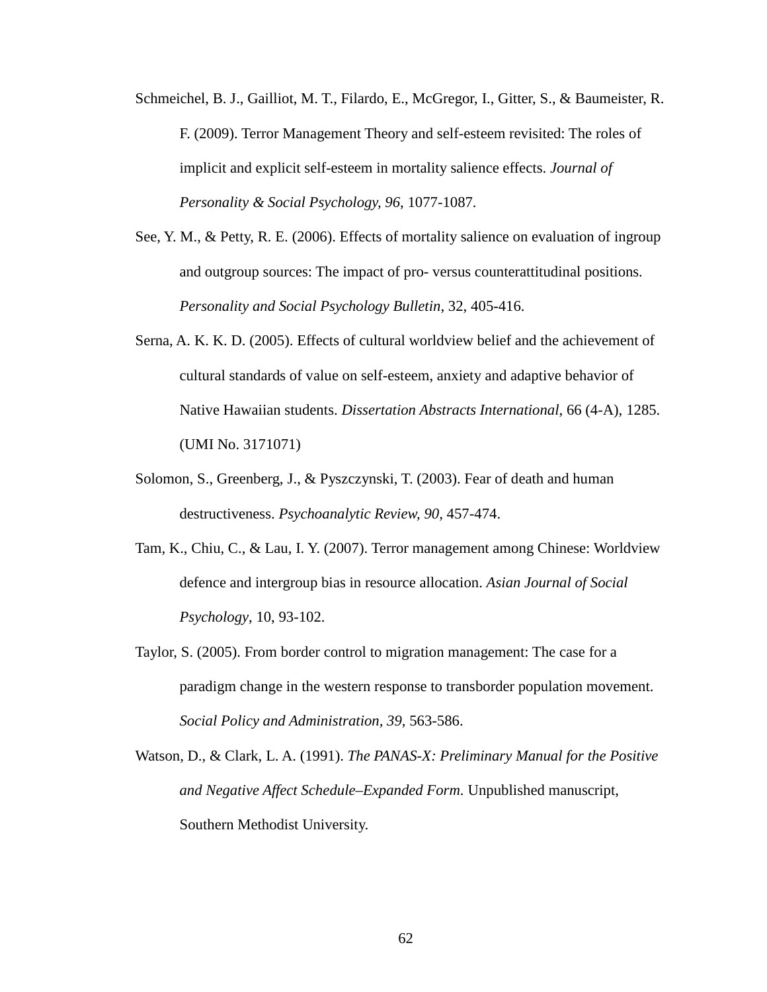- Schmeichel, B. J., Gailliot, M. T., Filardo, E., McGregor, I., Gitter, S., & Baumeister, R. F. (2009). Terror Management Theory and self-esteem revisited: The roles of implicit and explicit self-esteem in mortality salience effects. *Journal of Personality & Social Psychology, 96*, 1077-1087.
- See, Y. M., & Petty, R. E. (2006). Effects of mortality salience on evaluation of ingroup and outgroup sources: The impact of pro- versus counterattitudinal positions. *Personality and Social Psychology Bulletin*, 32, 405-416.
- Serna, A. K. K. D. (2005). Effects of cultural worldview belief and the achievement of cultural standards of value on self-esteem, anxiety and adaptive behavior of Native Hawaiian students. *Dissertation Abstracts International*, 66 (4-A), 1285. (UMI No. 3171071)
- Solomon, S., Greenberg, J., & Pyszczynski, T. (2003). Fear of death and human destructiveness. *Psychoanalytic Review, 90*, 457-474.
- Tam, K., Chiu, C., & Lau, I. Y. (2007). Terror management among Chinese: Worldview defence and intergroup bias in resource allocation. *Asian Journal of Social Psychology*, 10, 93-102.
- Taylor, S. (2005). From border control to migration management: The case for a paradigm change in the western response to transborder population movement. *Social Policy and Administration, 39*, 563-586.
- Watson, D., & Clark, L. A. (1991). *The PANAS-X: Preliminary Manual for the Positive and Negative Affect Schedule–Expanded Form*. Unpublished manuscript, Southern Methodist University.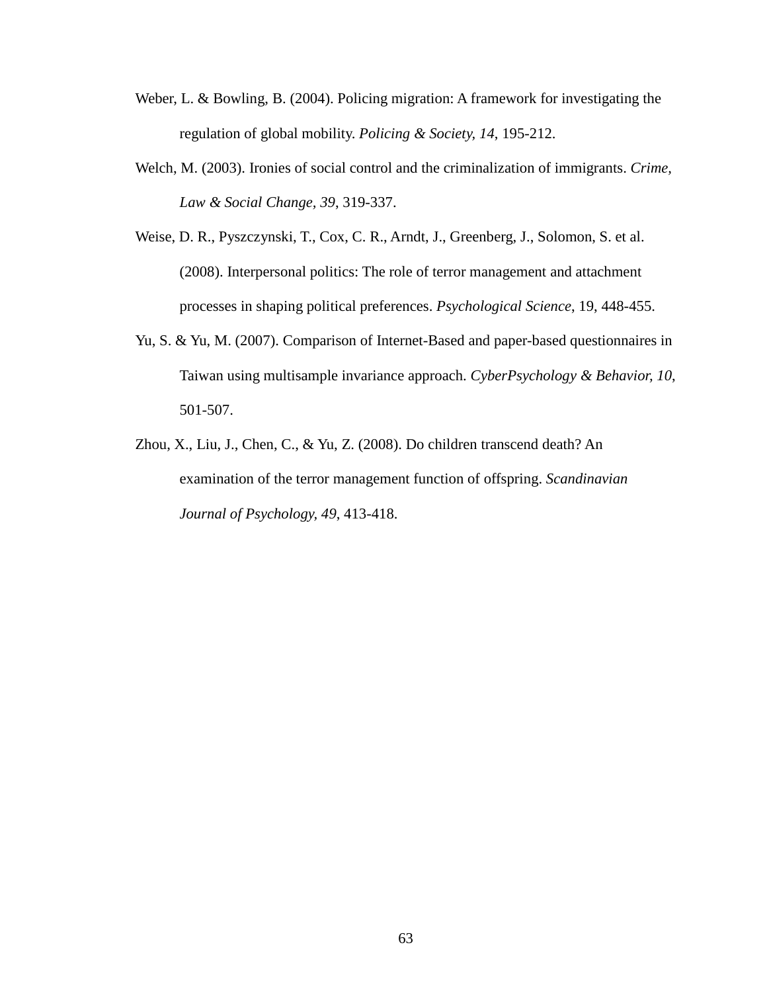- Weber, L. & Bowling, B. (2004). Policing migration: A framework for investigating the regulation of global mobility. *Policing & Society, 14*, 195-212.
- Welch, M. (2003). Ironies of social control and the criminalization of immigrants. *Crime, Law & Social Change, 39*, 319-337.
- Weise, D. R., Pyszczynski, T., Cox, C. R., Arndt, J., Greenberg, J., Solomon, S. et al. (2008). Interpersonal politics: The role of terror management and attachment processes in shaping political preferences. *Psychological Science*, 19, 448-455.
- Yu, S. & Yu, M. (2007). Comparison of Internet-Based and paper-based questionnaires in Taiwan using multisample invariance approach. *CyberPsychology & Behavior, 10*, 501-507.
- Zhou, X., Liu, J., Chen, C., & Yu, Z. (2008). Do children transcend death? An examination of the terror management function of offspring. *Scandinavian Journal of Psychology, 49*, 413-418.